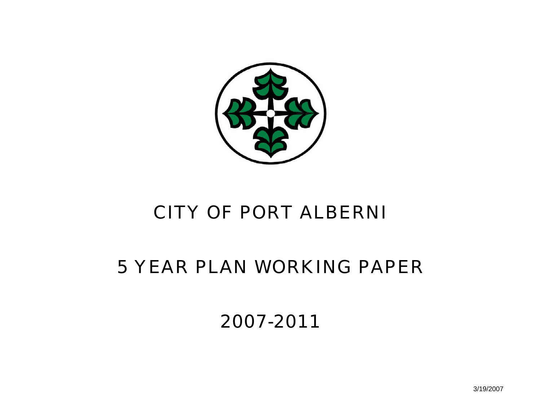

# CITY OF PORT ALBERNI

## 5 YEAR PLAN WORKING PAPER

2007-2011

3/19/2007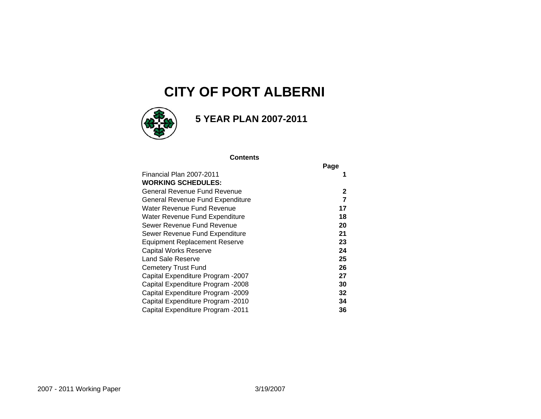### **CITY OF PORT ALBERNI**



### **5 YEAR PLAN 2007-2011**

#### **Contents**

|                                      | Page |
|--------------------------------------|------|
| Financial Plan 2007-2011             |      |
| <b>WORKING SCHEDULES:</b>            |      |
| General Revenue Fund Revenue         | 2    |
| General Revenue Fund Expenditure     | 7    |
| Water Revenue Fund Revenue           | 17   |
| Water Revenue Fund Expenditure       | 18   |
| Sewer Revenue Fund Revenue           | 20   |
| Sewer Revenue Fund Expenditure       | 21   |
| <b>Equipment Replacement Reserve</b> | 23   |
| Capital Works Reserve                | 24   |
| Land Sale Reserve                    | 25   |
| Cemetery Trust Fund                  | 26   |
| Capital Expenditure Program -2007    | 27   |
| Capital Expenditure Program -2008    | 30   |
| Capital Expenditure Program -2009    | 32   |
| Capital Expenditure Program -2010    | 34   |
| Capital Expenditure Program -2011    | 36   |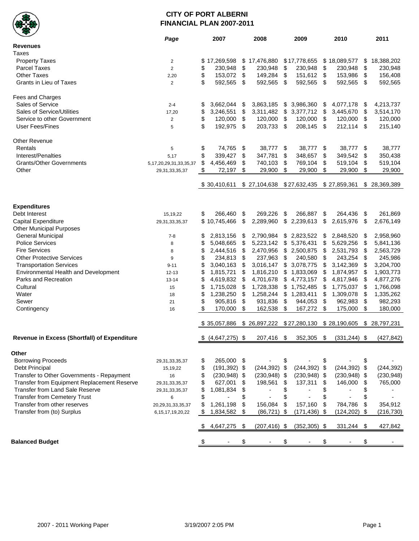

#### **CITY OF PORT ALBERNI FINANCIAL PLAN 2007-2011**

| ▼                                            | Page                          | 2007                  |    | 2008            |      | 2009                      |                           | 2010            |     | 2011         |
|----------------------------------------------|-------------------------------|-----------------------|----|-----------------|------|---------------------------|---------------------------|-----------------|-----|--------------|
| <b>Revenues</b>                              |                               |                       |    |                 |      |                           |                           |                 |     |              |
| Taxes                                        |                               |                       |    |                 |      |                           |                           |                 |     |              |
| <b>Property Taxes</b>                        | $\overline{2}$                | \$<br>17,269,598      |    | \$17,476,880    |      | \$17,778,655              |                           | \$18,089,577    | \$  | 18,388,202   |
| <b>Parcel Taxes</b>                          | 2                             | \$<br>230,948         | \$ | 230,948         | \$   | 230,948                   | \$                        | 230,948         | \$  | 230,948      |
| <b>Other Taxes</b>                           | 2,20                          | \$<br>153,072         | \$ | 149,284         | \$   | 151,612                   | \$                        | 153,986         | \$  | 156,408      |
| Grants in Lieu of Taxes                      | $\overline{2}$                | \$<br>592,565         | \$ | 592,565         | \$   | 592,565                   | $\sqrt[6]{\frac{1}{2}}$   | 592,565         | \$  | 592,565      |
|                                              |                               |                       |    |                 |      |                           |                           |                 |     |              |
| Fees and Charges                             |                               |                       |    |                 |      |                           |                           |                 |     |              |
| Sales of Service                             | $2 - 4$                       | \$<br>3,662,044       | \$ | 3,863,185       | \$   | 3,986,360                 | \$                        | 4,077,178       | \$  | 4,213,737    |
| <b>Sales of Service/Utilities</b>            | 17,20                         | \$<br>3,246,551       | \$ | 3,311,482       | \$   | 3,377,712                 | \$                        | 3,445,670       | \$  | 3,514,170    |
| Service to other Government                  | $\overline{2}$                | \$<br>120,000         | \$ | 120,000         | \$   | 120,000                   | $\boldsymbol{\mathsf{S}}$ | 120,000         | \$  | 120,000      |
| <b>User Fees/Fines</b>                       | 5                             | \$<br>192,975         | \$ | 203,733         | \$   | 208,145                   | \$                        | 212,114         | \$  | 215,140      |
|                                              |                               |                       |    |                 |      |                           |                           |                 |     |              |
| <b>Other Revenue</b>                         |                               |                       |    |                 |      |                           |                           |                 |     |              |
| Rentals                                      | 5                             | \$<br>74,765          | \$ | 38,777          | \$   | 38,777                    | -\$                       | 38,777          | \$  | 38,777       |
| Interest/Penalties                           | 5,17                          | \$<br>339,427         | \$ | 347,781         | \$   | 348,657                   | \$                        | 349,542         | \$  | 350,438      |
| <b>Grants/Other Governments</b>              | 5, 17, 20, 29, 31, 33, 35, 37 | \$<br>4,456,469       | \$ | 740,103         | \$   | 769,104                   | \$                        | 519,104         | \$  | 519,104      |
| Other                                        | 29,31,33,35,37                | \$<br>72,197          | \$ | 29,900          | \$   | 29,900                    | \$                        | 29,900          | \$  | 29,900       |
|                                              |                               | \$30,410,611          |    | \$27,104,638    |      | \$27,632,435 \$27,859,361 |                           |                 |     | \$28,369,389 |
|                                              |                               |                       |    |                 |      |                           |                           |                 |     |              |
| <b>Expenditures</b>                          |                               |                       |    |                 |      |                           |                           |                 |     |              |
| Debt Interest                                | 15, 19, 22                    | \$<br>266,460         | \$ | 269,226         | \$   | 266,887                   | \$                        | 264,436         | \$  | 261,869      |
| Capital Expenditure                          | 29, 31, 33, 35, 37            | \$10,745,466          | \$ | 2,289,960       | \$   | 2,239,613                 | \$                        | 2,615,976       | \$  | 2,676,149    |
| <b>Other Municipal Purposes</b>              |                               |                       |    |                 |      |                           |                           |                 |     |              |
| <b>General Municipal</b>                     | $7 - 8$                       | \$<br>2,813,156       | \$ | 2,790,984       |      | \$2,823,522               | \$                        | 2,848,520       | \$  | 2,958,960    |
| <b>Police Services</b>                       | 8                             | \$<br>5,048,665       | \$ | 5,223,142       |      | \$5,376,431               | \$                        | 5,629,256       | \$  | 5,841,136    |
| <b>Fire Services</b>                         | 8                             | \$<br>2,444,516       | \$ | 2,470,956       |      | \$2,500,875               | \$                        | 2,531,793       | \$  | 2,563,729    |
| <b>Other Protective Services</b>             | 9                             | \$<br>234,813         | \$ | 237,963         | \$   | 240,580                   | \$                        | 243,254         | \$  | 245,986      |
| <b>Transportation Services</b>               | $9 - 11$                      | \$<br>3,040,163       | \$ | 3,016,147       |      | \$3,078,775               | \$                        | 3,142,369       | \$  | 3,204,700    |
| Environmental Health and Development         | $12 - 13$                     | \$<br>1,815,721       | \$ | 1,816,210       |      | \$1,833,069               | \$                        | 1,874,957       | \$  | 1,903,773    |
| Parks and Recreation                         | $13 - 14$                     | \$<br>4,619,832       | \$ | 4,701,678       | \$   | 4,773,157                 | \$                        | 4,817,946       | \$  | 4,877,276    |
| Cultural                                     | 15                            | \$<br>1,715,028       | \$ | 1,728,338       |      | \$1,752,485               | \$                        | 1,775,037       | \$  | 1,766,098    |
| Water                                        | 18                            | \$<br>1,238,250       | \$ | 1,258,244       | \$   | 1,283,411                 | \$                        | 1,309,078       | \$  | 1,335,262    |
| Sewer                                        | 21                            | \$<br>905,816         | \$ | 931,836         | \$   | 944,053                   | \$                        | 962,983         | \$  | 982,293      |
| Contingency                                  | 16                            | \$<br>170,000         | \$ | 162,538         | \$   | 167,272                   | \$                        | 175,000         | \$  | 180,000      |
|                                              |                               |                       |    |                 |      |                           |                           |                 |     |              |
|                                              |                               | \$35,057,886          |    | \$26,897,222    |      | \$27,280,130              |                           | \$28,190,605    |     | \$28,797,231 |
| Revenue in Excess (Shortfall) of Expenditure |                               | $$$ (4,647,275) \$    |    | 207,416         | \$   | 352,305                   | \$                        | $(331, 244)$ \$ |     | (427, 842)   |
|                                              |                               |                       |    |                 |      |                           |                           |                 |     |              |
| Other                                        |                               |                       |    |                 |      |                           |                           |                 |     |              |
| <b>Borrowing Proceeds</b>                    | 29, 31, 33, 35, 37            | \$<br>265,000         | \$ |                 | \$   |                           | \$                        |                 | \$  |              |
| Debt Principal                               | 15,19,22                      | \$<br>$(191, 392)$ \$ |    | $(244, 392)$ \$ |      | $(244, 392)$ \$           |                           | $(244, 392)$ \$ |     | (244, 392)   |
| Transfer to Other Governments - Repayment    | 16                            | \$<br>$(230, 948)$ \$ |    | (230, 948)      | - \$ | $(230, 948)$ \$           |                           | $(230, 948)$ \$ |     | (230, 948)   |
| Transfer from Equipment Replacement Reserve  | 29, 31, 33, 35, 37            | \$<br>627,001         | \$ | 198,561         | \$   | 137,311                   | \$                        | 146,000         | \$  | 765,000      |
| Transfer from Land Sale Reserve              | 29, 31, 33, 35, 37            | \$<br>1,081,834       | \$ |                 | \$   |                           | \$                        |                 | \$  |              |
| <b>Transfer from Cemetery Trust</b>          | 6                             | \$                    | \$ |                 | \$   |                           | \$                        |                 | \$  |              |
| Transfer from other reserves                 | 20, 29, 31, 33, 35, 37        | \$<br>1,261,198       | \$ | 156,084         | \$   | 157,160                   | \$                        | 784,786         | \$  | 354,912      |
| Transfer from (to) Surplus                   | 6, 15, 17, 19, 20, 22         | \$<br>1,834,582       | \$ | (86, 721)       | -\$  | $(171, 436)$ \$           |                           | $(124, 202)$ \$ |     | (216, 730)   |
|                                              |                               | 4,647,275             | S  | $(207, 416)$ \$ |      | $(352, 305)$ \$           |                           | 331,244         | -\$ | 427,842      |
| <b>Balanced Budget</b>                       |                               |                       | \$ |                 |      |                           |                           |                 | \$  |              |
|                                              |                               |                       |    |                 |      |                           |                           |                 |     |              |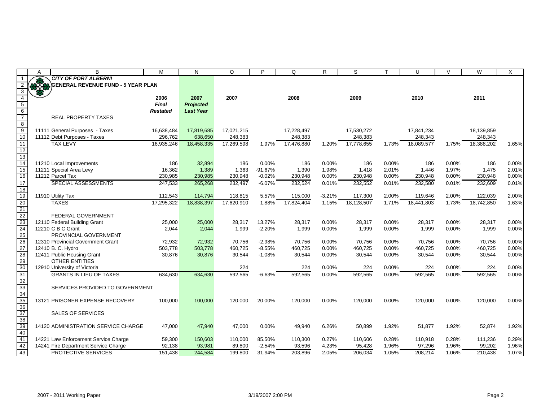|                                                       | A  | B                                                          | M               | N                | $\circ$    | P         | Q          | R        | S          |       | U          | $\vee$ | W          | X     |
|-------------------------------------------------------|----|------------------------------------------------------------|-----------------|------------------|------------|-----------|------------|----------|------------|-------|------------|--------|------------|-------|
|                                                       |    | <b>CITY OF PORT ALBERNI</b>                                |                 |                  |            |           |            |          |            |       |            |        |            |       |
|                                                       | 33 | <b>GENERAL REVENUE FUND - 5 YEAR PLAN</b>                  |                 |                  |            |           |            |          |            |       |            |        |            |       |
| 3                                                     |    |                                                            |                 |                  |            |           |            |          |            |       |            |        |            |       |
| $\overline{4}$                                        |    |                                                            | 2006            | 2007             | 2007       |           | 2008       |          | 2009       |       | 2010       |        | 2011       |       |
| $\begin{array}{c} 5 \\ 6 \\ 7 \end{array}$            |    |                                                            | <b>Final</b>    | <b>Projected</b> |            |           |            |          |            |       |            |        |            |       |
|                                                       |    |                                                            | <b>Restated</b> | <b>Last Year</b> |            |           |            |          |            |       |            |        |            |       |
|                                                       |    | <b>REAL PROPERTY TAXES</b>                                 |                 |                  |            |           |            |          |            |       |            |        |            |       |
| 8<br>$\overline{9}$                                   |    | 11111 General Purposes - Taxes                             | 16,638,484      | 17,819,685       | 17,021,215 |           | 17,228,497 |          | 17,530,272 |       | 17,841,234 |        | 18,139,859 |       |
| 10                                                    |    | 11112 Debt Purposes - Taxes                                | 296,762         | 638,650          | 248,383    |           | 248,383    |          | 248,383    |       | 248,343    |        | 248,343    |       |
| 11                                                    |    | <b>TAX LEVY</b>                                            | 16,935,246      | 18,458,335       | 17,269,598 | 1.97%     | 17,476,880 | 1.20%    | 17,778,655 | 1.73% | 18,089,577 | 1.75%  | 18,388,202 | 1.65% |
| $\overline{12}$                                       |    |                                                            |                 |                  |            |           |            |          |            |       |            |        |            |       |
| $\overline{13}$                                       |    |                                                            |                 |                  |            |           |            |          |            |       |            |        |            |       |
| 14                                                    |    | 11210 Local Improvements                                   | 186             | 32,894           | 186        | 0.00%     | 186        | 0.00%    | 186        | 0.00% | 186        | 0.00%  | 186        | 0.00% |
| $\overline{15}$                                       |    | 11211 Special Area Levy                                    | 16,362          | 1,389            | 1,363      | $-91.67%$ | 1,390      | 1.98%    | 1,418      | 2.01% | 1,446      | 1.97%  | 1,475      | 2.01% |
| $\overline{16}$                                       |    | 11212 Parcel Tax                                           | 230,985         | 230,985          | 230,948    | $-0.02%$  | 230,948    | 0.00%    | 230,948    | 0.00% | 230,948    | 0.00%  | 230,948    | 0.00% |
| $\overline{17}$                                       |    | SPECIAL ASSESSMENTS                                        | 247,533         | 265,268          | 232,497    | $-6.07%$  | 232,524    | 0.01%    | 232,552    | 0.01% | 232,580    | 0.01%  | 232,609    | 0.01% |
| 18                                                    |    |                                                            |                 |                  |            |           |            |          |            |       |            |        |            |       |
| 19                                                    |    | 11910 Utility Tax                                          | 112,543         | 114,794          | 118,815    | 5.57%     | 115,000    | $-3.21%$ | 117,300    | 2.00% | 119,646    | 2.00%  | 122,039    | 2.00% |
| $\overline{20}$                                       |    | <b>TAXES</b>                                               | 17,295,322      | 18,838,397       | 17,620,910 | 1.88%     | 17,824,404 | 1.15%    | 18,128,507 | 1.71% | 18,441,803 | 1.73%  | 18,742,850 | 1.63% |
| $\overline{21}$                                       |    |                                                            |                 |                  |            |           |            |          |            |       |            |        |            |       |
| $\frac{22}{23}$<br>$\frac{23}{24}$<br>$\frac{24}{25}$ |    | FEDERAL GOVERNMENT                                         |                 |                  |            |           |            |          |            |       |            |        |            |       |
|                                                       |    | 12110 Federal Building Grant                               | 25,000          | 25,000           | 28,317     | 13.27%    | 28,317     | 0.00%    | 28,317     | 0.00% | 28,317     | 0.00%  | 28,317     | 0.00% |
|                                                       |    | 12210 C B C Grant                                          | 2,044           | 2,044            | 1,999      | $-2.20%$  | 1,999      | 0.00%    | 1,999      | 0.00% | 1,999      | 0.00%  | 1,999      | 0.00% |
|                                                       |    | PROVINCIAL GOVERNMENT<br>12310 Provincial Government Grant | 72,932          | 72,932           | 70,756     | $-2.98%$  | 70,756     | 0.00%    | 70,756     | 0.00% | 70,756     | 0.00%  | 70,756     | 0.00% |
| 26<br>27                                              |    | 12410 B. C. Hydro                                          | 503,778         | 503,778          | 460,725    | $-8.55%$  | 460,725    | 0.00%    | 460,725    | 0.00% | 460,725    | 0.00%  | 460,725    | 0.00% |
| 28                                                    |    | 12411 Public Housing Grant                                 | 30,876          | 30,876           | 30,544     | $-1.08%$  | 30,544     | 0.00%    | 30,544     | 0.00% | 30,544     | 0.00%  | 30,544     | 0.00% |
|                                                       |    | <b>OTHER ENTITIES</b>                                      |                 |                  |            |           |            |          |            |       |            |        |            |       |
| $\frac{29}{30}$                                       |    | 12910 University of Victoria                               |                 |                  | 224        |           | 224        | 0.00%    | 224        | 0.00% | 224        | 0.00%  | 224        | 0.00% |
| 31                                                    |    | <b>GRANTS IN LIEU OF TAXES</b>                             | 634,630         | 634,630          | 592,565    | $-6.63%$  | 592,565    | 0.00%    | 592,565    | 0.00% | 592,565    | 0.00%  | 592,565    | 0.00% |
| 32                                                    |    |                                                            |                 |                  |            |           |            |          |            |       |            |        |            |       |
|                                                       |    | SERVICES PROVIDED TO GOVERNMENT                            |                 |                  |            |           |            |          |            |       |            |        |            |       |
| 33<br>34<br>35                                        |    |                                                            |                 |                  |            |           |            |          |            |       |            |        |            |       |
|                                                       |    | 13121 PRISONER EXPENSE RECOVERY                            | 100,000         | 100,000          | 120,000    | 20.00%    | 120,000    | 0.00%    | 120,000    | 0.00% | 120,000    | 0.00%  | 120,000    | 0.00% |
| $\overline{36}$                                       |    |                                                            |                 |                  |            |           |            |          |            |       |            |        |            |       |
| 37                                                    |    | <b>SALES OF SERVICES</b>                                   |                 |                  |            |           |            |          |            |       |            |        |            |       |
| 38<br>$\frac{1}{39}$                                  |    |                                                            |                 |                  |            |           |            |          |            |       |            |        |            |       |
|                                                       |    | 14120 ADMINISTRATION SERVICE CHARGE                        | 47,000          | 47,940           | 47,000     | 0.00%     | 49,940     | 6.26%    | 50,899     | 1.92% | 51,877     | 1.92%  | 52,874     | 1.92% |
| 40<br>41                                              |    | 14221 Law Enforcement Service Charge                       | 59,300          | 150,603          | 110,000    | 85.50%    | 110,300    | 0.27%    | 110,606    | 0.28% | 110,918    | 0.28%  | 111,236    | 0.29% |
| 42                                                    |    | 14241 Fire Department Service Charge                       | 92,138          | 93,981           | 89,800     | $-2.54%$  | 93,596     | 4.23%    | 95,428     | 1.96% | 97,296     | 1.96%  | 99,202     | 1.96% |
| 43                                                    |    | <b>PROTECTIVE SERVICES</b>                                 | 151,438         | 244,584          | 199,800    | 31.94%    | 203,896    | 2.05%    | 206,034    | 1.05% | 208,214    | 1.06%  | 210,438    | 1.07% |
|                                                       |    |                                                            |                 |                  |            |           |            |          |            |       |            |        |            |       |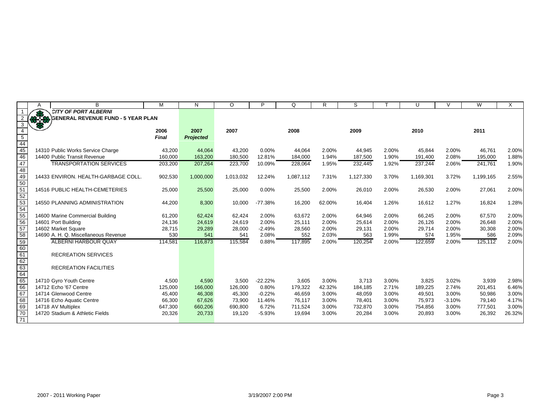|                      | A   | B                                         | М            | N                | O         | P         | Q         | R      | S         |       | U         | $\vee$   | W         | X      |
|----------------------|-----|-------------------------------------------|--------------|------------------|-----------|-----------|-----------|--------|-----------|-------|-----------|----------|-----------|--------|
|                      |     | <b>CITY OF PORT ALBERNI</b>               |              |                  |           |           |           |        |           |       |           |          |           |        |
|                      | 878 | <b>GENERAL REVENUE FUND - 5 YEAR PLAN</b> |              |                  |           |           |           |        |           |       |           |          |           |        |
|                      |     |                                           |              |                  |           |           |           |        |           |       |           |          |           |        |
| $\overline{4}$       |     |                                           | 2006         | 2007             | 2007      |           | 2008      |        | 2009      |       | 2010      |          | 2011      |        |
| $\overline{5}$       |     |                                           | <b>Final</b> | <b>Projected</b> |           |           |           |        |           |       |           |          |           |        |
| $\frac{44}{45}$      |     |                                           |              |                  |           |           |           |        |           |       |           |          |           |        |
|                      |     | 14310 Public Works Service Charge         | 43,200       | 44,064           | 43,200    | 0.00%     | 44.064    | 2.00%  | 44,945    | 2.00% | 45,844    | 2.00%    | 46,761    | 2.00%  |
| 46                   |     | 14400 Public Transit Revenue              | 160,000      | 163,200          | 180,500   | 12.81%    | 184,000   | 1.94%  | 187,500   | 1.90% | 191,400   | 2.08%    | 195,000   | 1.88%  |
| 47                   |     | <b>TRANSPORTATION SERVICES</b>            | 203,200      | 207,264          | 223,700   | 10.09%    | 228,064   | 1.95%  | 232,445   | 1.92% | 237,244   | 2.06%    | 241,761   | 1.90%  |
| 48                   |     |                                           |              |                  |           |           |           |        |           |       |           |          |           |        |
| 49                   |     | 14433 ENVIRON, HEALTH-GARBAGE COLL.       | 902,530      | 1,000,000        | 1,013,032 | 12.24%    | 1,087,112 | 7.31%  | 1,127,330 | 3.70% | 1,169,301 | 3.72%    | 1,199,165 | 2.55%  |
| $\frac{50}{51}$      |     |                                           |              |                  |           |           |           |        |           |       |           |          |           |        |
|                      |     | 14516 PUBLIC HEALTH-CEMETERIES            | 25,000       | 25,500           | 25,000    | 0.00%     | 25,500    | 2.00%  | 26,010    | 2.00% | 26,530    | 2.00%    | 27,061    | 2.00%  |
|                      |     |                                           |              |                  |           |           |           |        |           |       |           |          |           |        |
|                      |     | <b>14550 PLANNING ADMINISTRATION</b>      | 44,200       | 8,300            | 10,000    | $-77.38%$ | 16,200    | 62.00% | 16,404    | 1.26% | 16,612    | 1.27%    | 16,824    | 1.28%  |
|                      |     |                                           |              |                  |           |           |           |        |           |       |           |          |           |        |
| 53<br>54<br>55<br>56 |     | 14600 Marine Commercial Building          | 61,200       | 62,424           | 62,424    | 2.00%     | 63,672    | 2.00%  | 64,946    | 2.00% | 66,245    | 2.00%    | 67,570    | 2.00%  |
|                      |     | 14601 Port Building                       | 24,136       | 24,619           | 24,619    | 2.00%     | 25,111    | 2.00%  | 25,614    | 2.00% | 26,126    | 2.00%    | 26,648    | 2.00%  |
| 57                   |     | 14602 Market Square                       | 28,715       | 29,289           | 28,000    | $-2.49%$  | 28,560    | 2.00%  | 29,131    | 2.00% | 29,714    | 2.00%    | 30,308    | 2.00%  |
| 58                   |     | 14690 A. H. Q. Miscellaneous Revenue      | 530          | 541              | 541       | 2.08%     | 552       | 2.03%  | 563       | 1.99% | 574       | 1.95%    | 586       | 2.09%  |
| 59                   |     | <b>ALBERNI HARBOUR QUAY</b>               | 114,581      | 116,873          | 115,584   | 0.88%     | 117,895   | 2.00%  | 120,254   | 2.00% | 122,659   | 2.00%    | 125,112   | 2.00%  |
| 60<br>61             |     |                                           |              |                  |           |           |           |        |           |       |           |          |           |        |
|                      |     | <b>RECREATION SERVICES</b>                |              |                  |           |           |           |        |           |       |           |          |           |        |
|                      |     |                                           |              |                  |           |           |           |        |           |       |           |          |           |        |
| 62<br>63             |     | <b>RECREATION FACILITIES</b>              |              |                  |           |           |           |        |           |       |           |          |           |        |
| 64                   |     |                                           |              |                  |           |           |           |        |           |       |           |          |           |        |
| 65                   |     | 14710 Gyro Youth Centre                   | 4,500        | 4,590            | 3,500     | $-22.22%$ | 3,605     | 3.00%  | 3,713     | 3.00% | 3,825     | 3.02%    | 3,939     | 2.98%  |
| 66                   |     | 14712 Echo '67 Centre                     | 125,000      | 166,000          | 126,000   | 0.80%     | 179,322   | 42.32% | 184,185   | 2.71% | 189,225   | 2.74%    | 201,451   | 6.46%  |
| 67                   |     | 14714 Glenwood Centre                     | 45,400       | 46,308           | 45,300    | $-0.22%$  | 46,659    | 3.00%  | 48,059    | 3.00% | 49,501    | 3.00%    | 50,986    | 3.00%  |
| 68                   |     | 14716 Echo Aquatic Centre                 | 66,300       | 67,626           | 73,900    | 11.46%    | 76,117    | 3.00%  | 78,401    | 3.00% | 75,973    | $-3.10%$ | 79,140    | 4.17%  |
| 69                   |     | 14718 AV Multiplex                        | 647,300      | 660,206          | 690,800   | 6.72%     | 711,524   | 3.00%  | 732,870   | 3.00% | 754,856   | 3.00%    | 777,501   | 3.00%  |
| $\overline{70}$      |     | 14720 Stadium & Athletic Fields           | 20,326       | 20,733           | 19,120    | $-5.93%$  | 19,694    | 3.00%  | 20,284    | 3.00% | 20,893    | 3.00%    | 26,392    | 26.32% |
|                      |     |                                           |              |                  |           |           |           |        |           |       |           |          |           |        |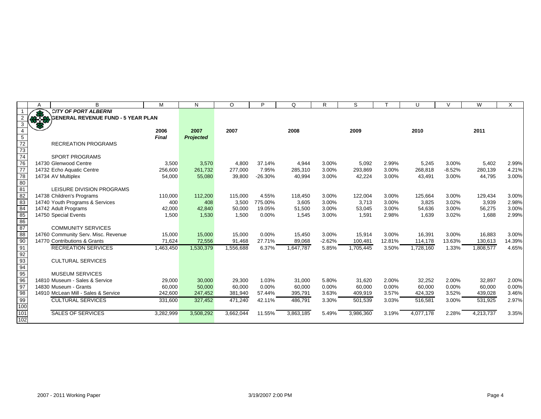|                                    | Α | B                                   | M         | N                | $\circ$   | P         | $\Omega$  | R        | S         |        | U         | $\mathcal{U}$ | W         | X      |
|------------------------------------|---|-------------------------------------|-----------|------------------|-----------|-----------|-----------|----------|-----------|--------|-----------|---------------|-----------|--------|
|                                    |   | <b>CITY OF PORT ALBERNI</b>         |           |                  |           |           |           |          |           |        |           |               |           |        |
|                                    |   | GENERAL REVENUE FUND - 5 YEAR PLAN  |           |                  |           |           |           |          |           |        |           |               |           |        |
| 3                                  |   |                                     |           |                  |           |           |           |          |           |        |           |               |           |        |
| $\overline{4}$                     |   |                                     | 2006      | 2007             | 2007      |           | 2008      |          | 2009      |        | 2010      |               | 2011      |        |
|                                    |   |                                     | Final     | <b>Projected</b> |           |           |           |          |           |        |           |               |           |        |
|                                    |   | <b>RECREATION PROGRAMS</b>          |           |                  |           |           |           |          |           |        |           |               |           |        |
| $\frac{5}{72}$ $\frac{72}{73}$     |   |                                     |           |                  |           |           |           |          |           |        |           |               |           |        |
| $\overline{74}$                    |   | <b>SPORT PROGRAMS</b>               |           |                  |           |           |           |          |           |        |           |               |           |        |
| $\frac{76}{77}$                    |   | 14730 Glenwood Centre               | 3,500     | 3,570            | 4,800     | 37.14%    | 4,944     | 3.00%    | 5,092     | 2.99%  | 5,245     | 3.00%         | 5,402     | 2.99%  |
|                                    |   | 14732 Echo Aquatic Centre           | 256,600   | 261,732          | 277,000   | 7.95%     | 285,310   | 3.00%    | 293,869   | 3.00%  | 268,818   | $-8.52%$      | 280,139   | 4.21%  |
| $\frac{78}{80}$                    |   | 14734 AV Multiplex                  | 54,000    | 55,080           | 39,800    | $-26.30%$ | 40,994    | 3.00%    | 42,224    | 3.00%  | 43,491    | 3.00%         | 44,795    | 3.00%  |
|                                    |   |                                     |           |                  |           |           |           |          |           |        |           |               |           |        |
| 81                                 |   | LEISURE DIVISION PROGRAMS           |           |                  |           |           |           |          |           |        |           |               |           |        |
| 82                                 |   | 14738 Children's Programs           | 110,000   | 112,200          | 115,000   | 4.55%     | 118,450   | 3.00%    | 122,004   | 3.00%  | 125,664   | 3.00%         | 129,434   | 3.00%  |
| $rac{1}{83}$                       |   | 14740 Youth Programs & Services     | 400       | 408              | 3,500     | 775.00%   | 3,605     | 3.00%    | 3,713     | 3.00%  | 3,825     | 3.02%         | 3,939     | 2.98%  |
| 84                                 |   | 14742 Adult Programs                | 42,000    | 42,840           | 50,000    | 19.05%    | 51,500    | 3.00%    | 53,045    | 3.00%  | 54,636    | 3.00%         | 56,275    | 3.00%  |
|                                    |   | 14750 Special Events                | 1,500     | 1,530            | 1,500     | 0.00%     | 1,545     | 3.00%    | 1,591     | 2.98%  | 1,639     | 3.02%         | 1,688     | 2.99%  |
|                                    |   |                                     |           |                  |           |           |           |          |           |        |           |               |           |        |
| $\frac{85}{86}$                    |   | <b>COMMUNITY SERVICES</b>           |           |                  |           |           |           |          |           |        |           |               |           |        |
| 88                                 |   | 14760 Community Serv. Misc. Revenue | 15,000    | 15,000           | 15,000    | 0.00%     | 15,450    | 3.00%    | 15,914    | 3.00%  | 16,391    | 3.00%         | 16,883    | 3.00%  |
| 90                                 |   | 14770 Contributions & Grants        | 71,624    | 72,556           | 91,468    | 27.71%    | 89,068    | $-2.62%$ | 100,481   | 12.81% | 114,178   | 13.63%        | 130,613   | 14.39% |
| $\frac{1}{91}$                     |   | <b>RECREATION SERVICES</b>          | 1,463,450 | 1,530,379        | 1,556,688 | 6.37%     | 1,647,787 | 5.85%    | 1,705,445 | 3.50%  | 1,728,160 | 1.33%         | 1,808,577 | 4.65%  |
| $\frac{92}{93}$                    |   |                                     |           |                  |           |           |           |          |           |        |           |               |           |        |
|                                    |   | <b>CULTURAL SERVICES</b>            |           |                  |           |           |           |          |           |        |           |               |           |        |
| 94                                 |   |                                     |           |                  |           |           |           |          |           |        |           |               |           |        |
|                                    |   | <b>MUSEUM SERVICES</b>              |           |                  |           |           |           |          |           |        |           |               |           |        |
| $\frac{95}{96}$<br>$\frac{96}{97}$ |   | 14810 Museum - Sales & Service      | 29,000    | 30,000           | 29,300    | 1.03%     | 31,000    | 5.80%    | 31,620    | 2.00%  | 32,252    | 2.00%         | 32,897    | 2.00%  |
|                                    |   | 14830 Museum - Grants               | 60,000    | 50,000           | 60,000    | 0.00%     | 60,000    | 0.00%    | 60,000    | 0.00%  | 60,000    | 0.00%         | 60,000    | 0.00%  |
| 98                                 |   | 14910 McLean Mill - Sales & Service | 242,600   | 247,452          | 381,940   | 57.44%    | 395,791   | 3.63%    | 409,919   | 3.57%  | 424,329   | 3.52%         | 439,028   | 3.46%  |
| 99                                 |   | <b>CULTURAL SERVICES</b>            | 331,600   | 327,452          | 471,240   | 42.11%    | 486.791   | 3.30%    | 501,539   | 3.03%  | 516,581   | 3.00%         | 531,925   | 2.97%  |
|                                    |   |                                     |           |                  |           |           |           |          |           |        |           |               |           |        |
| 100<br>101<br>102                  |   | <b>SALES OF SERVICES</b>            | 3,282,999 | 3,508,292        | 3,662,044 | 11.55%    | 3,863,185 | 5.49%    | 3,986,360 | 3.19%  | 4,077,178 | 2.28%         | 4,213,737 | 3.35%  |
|                                    |   |                                     |           |                  |           |           |           |          |           |        |           |               |           |        |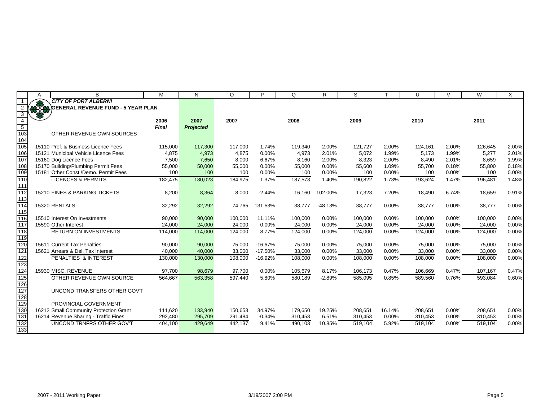|                         | A     | B                                                                           | M               | N                | $\circ$         | Þ              | O               | R              | S             |                | U             | $\mathcal{U}$  | W               | X              |
|-------------------------|-------|-----------------------------------------------------------------------------|-----------------|------------------|-----------------|----------------|-----------------|----------------|---------------|----------------|---------------|----------------|-----------------|----------------|
|                         |       | <b>CITY OF PORT ALBERNI</b>                                                 |                 |                  |                 |                |                 |                |               |                |               |                |                 |                |
|                         | 35.58 | <b>GENERAL REVENUE FUND - 5 YEAR PLAN</b>                                   |                 |                  |                 |                |                 |                |               |                |               |                |                 |                |
| 3                       |       |                                                                             |                 |                  |                 |                |                 |                |               |                |               |                |                 |                |
| $\overline{4}$          |       |                                                                             | 2006            | 2007             | 2007            |                | 2008            |                | 2009          |                | 2010          |                | 2011            |                |
| $\overline{5}$          |       |                                                                             | <b>Final</b>    | <b>Projected</b> |                 |                |                 |                |               |                |               |                |                 |                |
| $\frac{1}{103}$         |       | OTHER REVENUE OWN SOURCES                                                   |                 |                  |                 |                |                 |                |               |                |               |                |                 |                |
| 104                     |       |                                                                             |                 |                  |                 |                |                 |                |               |                |               |                |                 |                |
| 105                     |       | 15110 Prof. & Business Licence Fees                                         | 115,000         | 117,300          | 117,000         | 1.74%          | 119,340         | 2.00%          | 121,727       | 2.00%          | 124,161       | 2.00%          | 126,645         | 2.00%          |
| 106                     |       | 15121 Municipal Vehicle Licence Fees                                        | 4,875           | 4,973            | 4,875           | 0.00%          | 4,973           | 2.01%          | 5,072         | 1.99%          | 5,173         | 1.99%          | 5,277           | 2.01%          |
| 107<br>$\overline{108}$ |       | 15160 Dog Licence Fees                                                      | 7,500<br>55,000 | 7,650<br>50,000  | 8,000<br>55,000 | 6.67%<br>0.00% | 8,160<br>55,000 | 2.00%<br>0.00% | 8,323         | 2.00%<br>1.09% | 8,490         | 2.01%<br>0.18% | 8,659<br>55,800 | 1.99%<br>0.18% |
| 109                     |       | 15170 Building/Plumbing Permit Fees<br>15181 Other Const./Demo. Permit Fees | 100             | 100              | 100             | 0.00%          | 100             | 0.00%          | 55,600<br>100 | 0.00%          | 55,700<br>100 | 0.00%          | 100             | 0.00%          |
| $\overline{110}$        |       | <b>LICENCES &amp; PERMITS</b>                                               | 182,475         | 180,023          | 184,975         | 1.37%          | 187,573         | 1.40%          | 190,822       | 1.73%          | 193,624       | 1.47%          | 196,481         | 1.48%          |
| $\overline{111}$        |       |                                                                             |                 |                  |                 |                |                 |                |               |                |               |                |                 |                |
| $\overline{112}$        |       | 15210 FINES & PARKING TICKETS                                               | 8,200           | 8,364            | 8,000           | $-2.44%$       | 16,160          | 102.00%        | 17,323        | 7.20%          | 18,490        | 6.74%          | 18,659          | 0.91%          |
| $\overline{113}$        |       |                                                                             |                 |                  |                 |                |                 |                |               |                |               |                |                 |                |
| 114                     |       | 15320 RENTALS                                                               | 32,292          | 32,292           | 74,765          | 131.53%        | 38,777          | $-48.13%$      | 38,777        | 0.00%          | 38,777        | 0.00%          | 38,777          | 0.00%          |
| 115                     |       |                                                                             |                 |                  |                 |                |                 |                |               |                |               |                |                 |                |
| 116                     |       | 15510 Interest On Investments                                               | 90,000          | 90,000           | 100,000         | 11.11%         | 100,000         | $0.00\%$       | 100,000       | 0.00%          | 100,000       | 0.00%          | 100,000         | 0.00%          |
| 117                     |       | 15590 Other Interest                                                        | 24,000          | 24,000           | 24,000          | 0.00%          | 24,000          | 0.00%          | 24,000        | 0.00%          | 24,000        | 0.00%          | 24,000          | 0.00%          |
| $\overline{118}$        |       | <b>RETURN ON INVESTMENTS</b>                                                | 114,000         | 114,000          | 124,000         | 8.77%          | 124,000         | 0.00%          | 124,000       | 0.00%          | 124,000       | 0.00%          | 124,000         | 0.00%          |
| $\overline{119}$        |       |                                                                             |                 |                  |                 |                |                 |                |               |                |               |                |                 |                |
| $\overline{120}$        |       | 15611 Current Tax Penalties                                                 | 90,000          | 90,000           | 75,000          | $-16.67%$      | 75,000          | $0.00\%$       | 75,000        | 0.00%          | 75,000        | 0.00%          | 75,000          | 0.00%          |
| $\overline{121}$        |       | 15621 Arrears & Del. Tax Interest                                           | 40,000          | 40,000           | 33,000          | $-17.50%$      | 33,000          | 0.00%          | 33,000        | 0.00%          | 33,000        | 0.00%          | 33,000          | 0.00%          |
| $\overline{122}$        |       | <b>PENALTIES &amp; INTEREST</b>                                             | 130,000         | 130,000          | 108,000         | $-16.92%$      | 108,000         | 0.00%          | 108,000       | 0.00%          | 108,000       | 0.00%          | 108,000         | 0.00%          |
| $\overline{123}$        |       |                                                                             |                 |                  |                 |                |                 |                |               |                |               |                |                 |                |
| 124                     |       | 15930 MISC. REVENUE                                                         | 97,700          | 98,679           | 97,700          | 0.00%          | 105,679         | 8.17%          | 106,173       | 0.47%          | 106,669       | 0.47%          | 107,167         | 0.47%          |
| 125                     |       | OTHER REVENUE OWN SOURCE                                                    | 564,667         | 563,358          | 597,440         | 5.80%          | 580,189         | $-2.89%$       | 585,095       | 0.85%          | 589,560       | 0.76%          | 593,084         | 0.60%          |
| $\overline{126}$        |       |                                                                             |                 |                  |                 |                |                 |                |               |                |               |                |                 |                |
| 127                     |       | UNCOND TRANSFERS OTHER GOV'T                                                |                 |                  |                 |                |                 |                |               |                |               |                |                 |                |
| 128                     |       |                                                                             |                 |                  |                 |                |                 |                |               |                |               |                |                 |                |
| 129                     |       | PROVINCIAL GOVERNMENT                                                       |                 |                  |                 |                |                 |                |               |                |               |                |                 |                |
| $\overline{130}$        |       | 16212 Small Community Protection Grant                                      | 111,620         | 133,940          | 150,653         | 34.97%         | 179,650         | 19.25%         | 208,651       | 16.14%         | 208,651       | 0.00%          | 208,651         | 0.00%          |
| 131                     |       | 16214 Revenue Sharing - Traffic Fines                                       | 292,480         | 295,709          | 291,484         | $-0.34%$       | 310,453         | 6.51%          | 310,453       | 0.00%          | 310,453       | 0.00%          | 310,453         | 0.00%          |
| $\overline{132}$        |       | UNCOND TRNFRS OTHER GOV'T                                                   | 404,100         | 429,649          | 442,137         | 9.41%          | 490,103         | 10.85%         | 519,104       | 5.92%          | 519,104       | 0.00%          | 519,104         | 0.00%          |
| 133                     |       |                                                                             |                 |                  |                 |                |                 |                |               |                |               |                |                 |                |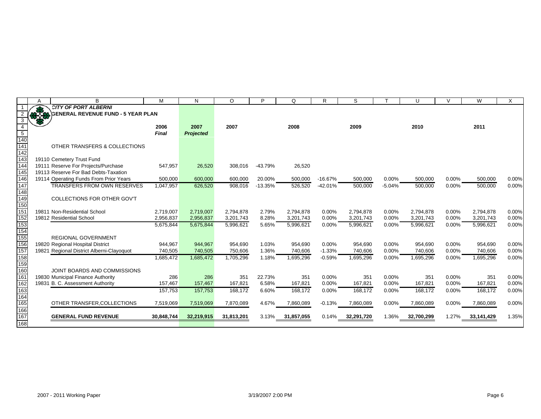|                  | B                                         | M          | N          | $\circ$    | Þ         | O          | R         | S          |          | U          | $\mathcal{U}$ | W          |          |
|------------------|-------------------------------------------|------------|------------|------------|-----------|------------|-----------|------------|----------|------------|---------------|------------|----------|
|                  | <b>CITY OF PORT ALBERNI</b>               |            |            |            |           |            |           |            |          |            |               |            |          |
|                  | <b>GENERAL REVENUE FUND - 5 YEAR PLAN</b> |            |            |            |           |            |           |            |          |            |               |            |          |
| 3                |                                           |            |            |            |           |            |           |            |          |            |               |            |          |
|                  |                                           | 2006       | 2007       | 2007       |           | 2008       |           | 2009       |          | 2010       |               | 2011       |          |
| $5\phantom{.0}$  |                                           | Final      | Projected  |            |           |            |           |            |          |            |               |            |          |
| 140              |                                           |            |            |            |           |            |           |            |          |            |               |            |          |
| 141              | OTHER TRANSFERS & COLLECTIONS             |            |            |            |           |            |           |            |          |            |               |            |          |
| 142              |                                           |            |            |            |           |            |           |            |          |            |               |            |          |
| 143              | 19110 Cemetery Trust Fund                 |            |            |            |           |            |           |            |          |            |               |            |          |
| 144              | 19111 Reserve For Projects/Purchase       | 547,957    | 26,520     | 308.016    | $-43.79%$ | 26,520     |           |            |          |            |               |            |          |
| $\overline{145}$ | 19113 Reserve For Bad Debts-Taxation      |            |            |            |           |            |           |            |          |            |               |            |          |
| 146              | 19114 Operating Funds From Prior Years    | 500,000    | 600,000    | 600,000    | 20.00%    | 500,000    | $-16.67%$ | 500,000    | 0.00%    | 500,000    | 0.00%         | 500,000    | 0.00%    |
| 147              | <b>TRANSFERS FROM OWN RESERVES</b>        | 1,047,957  | 626,520    | 908,016    | $-13.35%$ | 526,520    | $-42.01%$ | 500,000    | $-5.04%$ | 500,000    | 0.00%         | 500,000    | 0.00%    |
| 148              |                                           |            |            |            |           |            |           |            |          |            |               |            |          |
| 149              | COLLECTIONS FOR OTHER GOV'T               |            |            |            |           |            |           |            |          |            |               |            |          |
| 150              |                                           |            |            |            |           |            |           |            |          |            |               |            |          |
| 151              | 19811 Non-Residential School              | 2,719,007  | 2,719,007  | 2,794,878  | 2.79%     | 2,794,878  | 0.00%     | 2,794,878  | 0.00%    | 2,794,878  | 0.00%         | 2,794,878  | $0.00\%$ |
| 152              | 19812 Residential School                  | 2,956,837  | 2,956,837  | 3,201,743  | 8.28%     | 3,201,743  | 0.00%     | 3,201,743  | 0.00%    | 3,201,743  | 0.00%         | 3,201,743  | 0.00%    |
| 153              |                                           | 5,675,844  | 5,675,844  | 5,996,621  | 5.65%     | 5,996,621  | 0.00%     | 5,996,621  | 0.00%    | 5,996,621  | 0.00%         | 5,996,621  | 0.00%    |
| 154              |                                           |            |            |            |           |            |           |            |          |            |               |            |          |
| 155              | <b>REGIONAL GOVERNMENT</b>                |            |            |            |           |            |           |            |          |            |               |            |          |
| 156              | 19820 Regional Hospital District          | 944,967    | 944,967    | 954,690    | 1.03%     | 954,690    | $0.00\%$  | 954,690    | 0.00%    | 954,690    | 0.00%         | 954,690    | 0.00%    |
| 157              | 19821 Regional District Alberni-Clayoquot | 740,505    | 740,505    | 750,606    | 1.36%     | 740,606    | $-1.33%$  | 740,606    | 0.00%    | 740,606    | 0.00%         | 740,606    | 0.00%    |
| 158              |                                           | 1,685,472  | 1,685,472  | 1,705,296  | 1.18%     | 1,695,296  | $-0.59%$  | 1,695,296  | 0.00%    | 1,695,296  | 0.00%         | 1,695,296  | 0.00%    |
| 159              |                                           |            |            |            |           |            |           |            |          |            |               |            |          |
| 160              | JOINT BOARDS AND COMMISSIONS              |            |            |            |           |            |           |            |          |            |               |            |          |
| $\overline{161}$ | 19830 Municipal Finance Authority         | 286        | 286        | 351        | 22.73%    | 351        | $0.00\%$  | 351        | 0.00%    | 351        | 0.00%         | 351        | $0.00\%$ |
| 162              | 19831 B. C. Assessment Authority          | 157,467    | 157,467    | 167,821    | 6.58%     | 167,821    | 0.00%     | 167,821    | 0.00%    | 167,821    | 0.00%         | 167,821    | $0.00\%$ |
| 163              |                                           | 157,753    | 157,753    | 168.172    | 6.60%     | 168.172    | 0.00%     | 168,172    | 0.00%    | 168,172    | 0.00%         | 168,172    | 0.00%    |
| 164              |                                           |            |            |            |           |            |           |            |          |            |               |            |          |
| 165              | OTHER TRANSFER, COLLECTIONS               | 7,519,069  | 7,519,069  | 7,870,089  | 4.67%     | 7,860,089  | $-0.13%$  | 7,860,089  | 0.00%    | 7,860,089  | 0.00%         | 7,860,089  | 0.00%    |
| 166              |                                           |            |            |            |           |            |           |            |          |            |               |            |          |
| 167              | <b>GENERAL FUND REVENUE</b>               | 30,848,744 | 32,219,915 | 31,813,201 | 3.13%     | 31,857,055 | 0.14%     | 32,291,720 | 1.36%    | 32,700,299 | 1.27%         | 33,141,429 | 1.35%    |
| 168l             |                                           |            |            |            |           |            |           |            |          |            |               |            |          |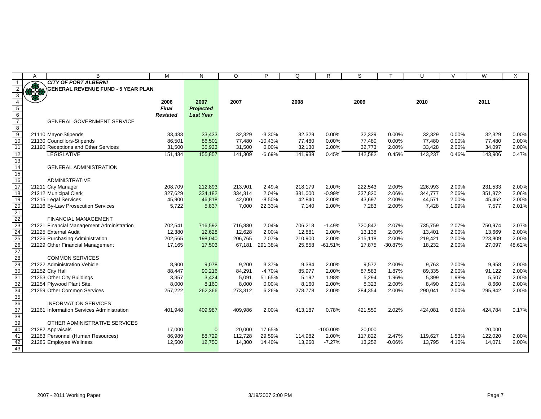|                                                                          | A           | B                                                     | M               | N                | O       | P         | Q       | R           | S       |           | U       | $\vee$   | W       | X      |
|--------------------------------------------------------------------------|-------------|-------------------------------------------------------|-----------------|------------------|---------|-----------|---------|-------------|---------|-----------|---------|----------|---------|--------|
|                                                                          |             | <b>CITY OF PORT ALBERNI</b>                           |                 |                  |         |           |         |             |         |           |         |          |         |        |
|                                                                          | <b>OPEN</b> | <b>GENERAL REVENUE FUND - 5 YEAR PLAN</b>             |                 |                  |         |           |         |             |         |           |         |          |         |        |
| $\overline{4}$                                                           |             |                                                       | 2006            | 2007             | 2007    |           | 2008    |             | 2009    |           | 2010    |          | 2011    |        |
| $\overline{5}$                                                           |             |                                                       | <b>Final</b>    | Projected        |         |           |         |             |         |           |         |          |         |        |
|                                                                          |             |                                                       | <b>Restated</b> | <b>Last Year</b> |         |           |         |             |         |           |         |          |         |        |
| $\frac{6}{7}$                                                            |             | <b>GENERAL GOVERNMENT SERVICE</b>                     |                 |                  |         |           |         |             |         |           |         |          |         |        |
|                                                                          |             |                                                       |                 |                  |         |           |         |             |         |           |         |          |         |        |
| $\begin{array}{c}\n 8 \\  9 \\  \hline\n 10\n \end{array}$               |             | 21110 Mayor-Stipends                                  | 33,433          | 33,433           | 32,329  | $-3.30%$  | 32,329  | $0.00\%$    | 32,329  | 0.00%     | 32,329  | $0.00\%$ | 32,329  | 0.00%  |
|                                                                          |             | 21130 Councillors-Stipends                            | 86,501          | 86,501           | 77,480  | $-10.43%$ | 77,480  | 0.00%       | 77,480  | 0.00%     | 77,480  | 0.00%    | 77,480  | 0.00%  |
| $\overline{11}$                                                          |             | 21190 Receptions and Other Services                   | 31,500          | 35,923           | 31,500  | 0.00%     | 32,130  | 2.00%       | 32,773  | 2.00%     | 33,428  | 2.00%    | 34,097  | 2.00%  |
| 12                                                                       |             | <b>LEGISLATIVE</b>                                    | 151,434         | 155,857          | 141,309 | $-6.69%$  | 141,939 | 0.45%       | 142,582 | 0.45%     | 143,237 | 0.46%    | 143,906 | 0.47%  |
| $\overline{13}$                                                          |             |                                                       |                 |                  |         |           |         |             |         |           |         |          |         |        |
| 14                                                                       |             | <b>GENERAL ADMINISTRATION</b>                         |                 |                  |         |           |         |             |         |           |         |          |         |        |
| 15                                                                       |             |                                                       |                 |                  |         |           |         |             |         |           |         |          |         |        |
| 16                                                                       |             | <b>ADMINISTRATIVE</b>                                 |                 |                  |         |           |         |             |         |           |         |          |         |        |
| $\overline{17}$                                                          |             | 21211 City Manager                                    | 208,709         | 212,893          | 213,901 | 2.49%     | 218,179 | 2.00%       | 222,543 | 2.00%     | 226,993 | 2.00%    | 231,533 | 2.00%  |
| 18                                                                       |             | 21212 Municipal Clerk                                 | 327,629         | 334,182          | 334,314 | 2.04%     | 331,000 | $-0.99%$    | 337,820 | 2.06%     | 344,777 | 2.06%    | 351,872 | 2.06%  |
| 19                                                                       |             | 21215 Legal Services                                  | 45,900          | 46,818           | 42,000  | $-8.50%$  | 42,840  | 2.00%       | 43,697  | 2.00%     | 44,571  | 2.00%    | 45,462  | 2.00%  |
|                                                                          |             | 21216 By-Law Prosecution Services                     | 5,722           | 5,837            | 7,000   | 22.33%    | 7,140   | 2.00%       | 7,283   | 2.00%     | 7,428   | 1.99%    | 7,577   | 2.01%  |
| $\frac{20}{21}$<br>$\frac{22}{23}$<br>$\frac{23}{24}$<br>$\frac{24}{25}$ |             |                                                       |                 |                  |         |           |         |             |         |           |         |          |         |        |
|                                                                          |             | <b>FINANCIAL MANAGEMENT</b>                           |                 |                  |         |           |         |             |         |           |         |          |         |        |
|                                                                          |             | 21221 Financial Management Administration             | 702,541         | 716,592          | 716,880 | 2.04%     | 706,218 | $-1.49%$    | 720,842 | 2.07%     | 735,759 | 2.07%    | 750,974 | 2.07%  |
|                                                                          |             | 21225 External Audit                                  | 12,380          | 12,628           | 12,628  | 2.00%     | 12,881  | 2.00%       | 13,138  | 2.00%     | 13,401  | 2.00%    | 13,669  | 2.00%  |
|                                                                          |             | 21226 Purchasing Administration                       | 202,565         | 198,040          | 206,765 | 2.07%     | 210,900 | 2.00%       | 215,118 | 2.00%     | 219,421 | 2.00%    | 223,809 | 2.00%  |
| 26<br>27<br>28                                                           |             | 21229 Other Financial Management                      | 17,165          | 17,503           | 67,181  | 291.38%   | 25,858  | $-61.51%$   | 17,875  | $-30.87%$ | 18,232  | 2.00%    | 27,097  | 48.62% |
|                                                                          |             |                                                       |                 |                  |         |           |         |             |         |           |         |          |         |        |
|                                                                          |             | <b>COMMON SERVICES</b>                                |                 |                  |         |           |         |             |         |           |         |          |         |        |
| 29<br>30                                                                 |             | 21222 Administration Vehicle                          | 8,900           | 9,078            | 9,200   | 3.37%     | 9,384   | 2.00%       | 9,572   | 2.00%     | 9,763   | 2.00%    | 9,958   | 2.00%  |
|                                                                          |             | 21252 City Hall                                       | 88,447          | 90,216           | 84,291  | $-4.70%$  | 85,977  | 2.00%       | 87,583  | 1.87%     | 89,335  | 2.00%    | 91,122  | 2.00%  |
| 31                                                                       |             | 21253 Other City Buildings                            | 3,357           | 3,424            | 5,091   | 51.65%    | 5,192   | 1.98%       | 5,294   | 1.96%     | 5,399   | 1.98%    | 5,507   | 2.00%  |
| 32                                                                       |             | 21254 Plywood Plant Site                              | 8,000           | 8,160            | 8,000   | 0.00%     | 8,160   | 2.00%       | 8,323   | 2.00%     | 8,490   | 2.01%    | 8,660   | 2.00%  |
| 34<br>35                                                                 |             | 21259 Other Common Services                           | 257,222         | 262,366          | 273,312 | 6.26%     | 278,778 | 2.00%       | 284,354 | 2.00%     | 290,041 | 2.00%    | 295,842 | 2.00%  |
|                                                                          |             |                                                       |                 |                  |         |           |         |             |         |           |         |          |         |        |
| 36<br>37                                                                 |             | <b>INFORMATION SERVICES</b>                           |                 |                  |         |           |         |             |         |           |         |          |         |        |
|                                                                          |             | 21261 Information Services Administration             | 401,948         | 409,987          | 409,986 | 2.00%     | 413,187 | 0.78%       | 421,550 | 2.02%     | 424,081 | 0.60%    | 424,784 | 0.17%  |
| 38                                                                       |             |                                                       |                 |                  |         |           |         |             |         |           |         |          |         |        |
| 39                                                                       |             | OTHER ADMINISTRATIVE SERVICES                         | 17,000          | $\overline{0}$   | 20,000  | 17.65%    |         | $-100.00\%$ | 20,000  |           |         |          | 20.000  |        |
| 40<br>41                                                                 |             | 21282 Appraisals<br>21283 Personnel (Human Resources) | 86,989          | 88,729           | 112,728 | 29.59%    | 114,982 | 2.00%       | 117,822 | 2.47%     | 119,627 | 1.53%    | 122,020 | 2.00%  |
|                                                                          |             | 21285 Employee Wellness                               | 12,500          | 12,750           | 14,300  | 14.40%    | 13,260  | $-7.27%$    | 13,252  | $-0.06%$  | 13,795  | 4.10%    | 14,071  | 2.00%  |
| 42<br>43                                                                 |             |                                                       |                 |                  |         |           |         |             |         |           |         |          |         |        |
|                                                                          |             |                                                       |                 |                  |         |           |         |             |         |           |         |          |         |        |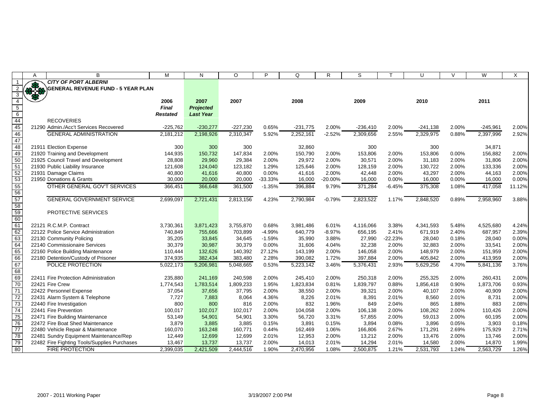|                                                     | A  | B                                            | M               | N                | $\circ$    | P         | Q          | $\mathsf{R}$ | S          |           | U          | $\vee$ | W          | X      |
|-----------------------------------------------------|----|----------------------------------------------|-----------------|------------------|------------|-----------|------------|--------------|------------|-----------|------------|--------|------------|--------|
|                                                     |    | <b>CITY OF PORT ALBERNI</b>                  |                 |                  |            |           |            |              |            |           |            |        |            |        |
|                                                     | 好好 | <b>GENERAL REVENUE FUND - 5 YEAR PLAN</b>    |                 |                  |            |           |            |              |            |           |            |        |            |        |
|                                                     |    |                                              |                 |                  |            |           |            |              |            |           |            |        |            |        |
| 4                                                   |    |                                              | 2006            | 2007             | 2007       |           | 2008       |              | 2009       |           | 2010       |        | 2011       |        |
| $5\overline{)}$                                     |    |                                              | <b>Final</b>    | <b>Projected</b> |            |           |            |              |            |           |            |        |            |        |
|                                                     |    |                                              | <b>Restated</b> | <b>Last Year</b> |            |           |            |              |            |           |            |        |            |        |
|                                                     |    | <b>RECOVERIES</b>                            |                 |                  |            |           |            |              |            |           |            |        |            |        |
| $\begin{array}{c} 6 \\ 44 \\ \hline 45 \end{array}$ |    | 21290 Admin./Acc't Services Recovered        | $-225,762$      | $-230,277$       | $-227,230$ | 0.65%     | $-231,775$ | 2.00%        | $-236,410$ | 2.00%     | $-241,138$ | 2.00%  | $-245,961$ | 2.00%  |
| 46                                                  |    | <b>GENERAL ADMINISTRATION</b>                | 2,181,212       | 2,198,926        | 2,310,347  | 5.92%     | 2,252,161  | $-2.52%$     | 2,309,656  | 2.55%     | 2,329,975  | 0.88%  | 2,397,996  | 2.92%  |
| 47                                                  |    |                                              |                 |                  |            |           |            |              |            |           |            |        |            |        |
| 48                                                  |    | 21911 Election Expense                       | 300             | 300              | 300        |           | 32,860     |              | 300        |           | 300        |        | 34,871     |        |
| 49                                                  |    | 21920 Training and Development               | 144,935         | 150,732          | 147,834    | 2.00%     | 150,790    | 2.00%        | 153,806    | 2.00%     | 153,806    | 0.00%  | 156,882    | 2.00%  |
| 50                                                  |    | 21925 Council Travel and Development         | 28,808          | 29,960           | 29,384     | 2.00%     | 29,972     | 2.00%        | 30,571     | 2.00%     | 31,183     | 2.00%  | 31,806     | 2.00%  |
| 51                                                  |    | 21930 Public Liability Insurance             | 121,608         | 124,040          | 123,182    | 1.29%     | 125,646    | 2.00%        | 128,159    | 2.00%     | 130,722    | 2.00%  | 133,336    | 2.00%  |
|                                                     |    | 21931 Damage Claims                          | 40,800          | 41,616           | 40,800     | 0.00%     | 41,616     | 2.00%        | 42,448     | 2.00%     | 43,297     | 2.00%  | 44,163     | 2.00%  |
| 52<br>53<br>55<br>56                                |    | 21950 Donations & Grants                     | 30,000          | 20,000           | 20,000     | $-33.33%$ | 16,000     | $-20.00%$    | 16,000     | 0.00%     | 16,000     | 0.00%  | 16,000     | 0.00%  |
|                                                     |    | OTHER GENERAL GOV'T SERVICES                 | 366,451         | 366,648          | 361,500    | $-1.35%$  | 396,884    | 9.79%        | 371,284    | $-6.45%$  | 375,308    | 1.08%  | 417,058    | 11.12% |
|                                                     |    |                                              |                 |                  |            |           |            |              |            |           |            |        |            |        |
| $\frac{12}{57}$<br>58                               |    | <b>GENERAL GOVERNMENT SERVICE</b>            | 2,699,097       | 2,721,431        | 2,813,156  | 4.23%     | 2,790,984  | $-0.79%$     | 2,823,522  | 1.17%     | 2,848,520  | 0.89%  | 2,958,960  | 3.88%  |
|                                                     |    |                                              |                 |                  |            |           |            |              |            |           |            |        |            |        |
| 59                                                  |    | PROTECTIVE SERVICES                          |                 |                  |            |           |            |              |            |           |            |        |            |        |
|                                                     |    |                                              |                 |                  |            |           |            |              |            |           |            |        |            |        |
| 60<br>61<br>62                                      |    | 22121 R.C.M.P. Contract                      | 3,730,361       | 3,871,423        | 3,755,870  | 0.68%     | 3,981,486  | 6.01%        | 4,116,066  | 3.38%     | 4,341,593  | 5.48%  | 4,525,680  | 4.24%  |
|                                                     |    | 22122 Police Service Administration          | 740,849         | 755,666          | 703,899    | $-4.99%$  | 640,779    | $-8.97%$     | 656,195    | 2.41%     | 671,919    | 2.40%  | 687,957    | 2.39%  |
| 63                                                  |    | 22130 Community Policing                     | 35,205          | 33,845           | 34,645     | $-1.59%$  | 35,990     | 3.88%        | 27,990     | $-22.23%$ | 28,040     | 0.18%  | 28,040     | 0.00%  |
| 64                                                  |    | 22140 Commissionaire Services                | 30,379          | 30,987           | 30,379     | 0.00%     | 31,606     | 4.04%        | 32,238     | 2.00%     | 32,883     | 2.00%  | 33,541     | 2.00%  |
| 65                                                  |    | 22160 Police Building Maintenance            | 110,444         | 132,626          | 140,392    | 27.12%    | 143,199    | 2.00%        | 146,058    | 2.00%     | 148,979    | 2.00%  | 151,959    | 2.00%  |
| 66                                                  |    | 22180 Detention/Custody of Prisoner          | 374,935         | 382,434          | 383,480    | 2.28%     | 390,082    | 1.72%        | 397,884    | 2.00%     | 405,842    | 2.00%  | 413,959    | 2.00%  |
| $\overline{67}$                                     |    | POLICE PROTECTION                            | 5,022,173       | 5,206,981        | 5,048,665  | 0.53%     | 5,223,142  | 3.46%        | 5,376,431  | 2.93%     | 5,629,256  | 4.70%  | 5,841,136  | 3.76%  |
|                                                     |    |                                              |                 |                  |            |           |            |              |            |           |            |        |            |        |
| 68<br>69                                            |    | 22411 Fire Protection Administration         | 235,880         | 241,169          | 240,598    | 2.00%     | 245,410    | 2.00%        | 250,318    | 2.00%     | 255,325    | 2.00%  | 260,431    | 2.00%  |
| $\overline{70}$                                     |    | 22421 Fire Crew                              | 1,774,543       | 1,783,514        | 1,809,233  | 1.95%     | 1,823,834  | 0.81%        | 1,839,797  | 0.88%     | 1,856,418  | 0.90%  | 1,873,706  | 0.93%  |
| 71                                                  |    | 22422 Personnel Expense                      | 37,054          | 37,656           | 37,795     | 2.00%     | 38,550     | 2.00%        | 39,321     | 2.00%     | 40,107     | 2.00%  | 40,909     | 2.00%  |
|                                                     |    | 22431 Alarm System & Telephone               | 7,727           | 7,883            | 8,064      | 4.36%     | 8,226      | 2.01%        | 8,391      | 2.01%     | 8,560      | 2.01%  | 8,731      | 2.00%  |
| 72<br>73<br>74                                      |    | 22440 Fire Investigation                     | 800             | 800              | 816        | 2.00%     | 832        | 1.96%        | 849        | 2.04%     | 865        | 1.88%  | 883        | 2.08%  |
|                                                     |    | 22441 Fire Prevention                        | 100,017         | 102,017          | 102,017    | 2.00%     | 104,058    | 2.00%        | 106,138    | 2.00%     | 108,262    | 2.00%  | 110,426    | 2.00%  |
|                                                     |    | 22471 Fire Building Maintenance              | 53,149          | 54,901           | 54,901     | 3.30%     | 56,720     | 3.31%        | 57,855     | 2.00%     | 59,013     | 2.00%  | 60,195     | 2.00%  |
| 75<br>76                                            |    | 22472 Fire Boat Shed Maintenance             | 3,879           | 3,885            | 3,885      | 0.15%     | 3,891      | 0.15%        | 3,894      | 0.08%     | 3,896      | 0.05%  | 3,903      | 0.18%  |
| 77                                                  |    | 22480 Vehicle Repair & Maintenance           | 160,070         | 163,248          | 160,771    | 0.44%     | 162,469    | 1.06%        | 166,806    | 2.67%     | 171,291    | 2.69%  | 175,929    | 2.71%  |
| 78                                                  |    | 22481 Sundry Equipment Maintenance/Rep       | 12,449          | 12,699           | 12,699     | 2.01%     | 12,953     | 2.00%        | 13,212     | 2.00%     | 13,476     | 2.00%  | 13,746     | 2.00%  |
| 79                                                  |    | 22482 Fire Fighting Tools/Supplies Purchases | 13,467          | 13,737           | 13,737     | 2.00%     | 14,013     | 2.01%        | 14,294     | 2.01%     | 14,580     | 2.00%  | 14,870     | 1.99%  |
| 80                                                  |    | <b>FIRE PROTECTION</b>                       | 2,399,035       | 2,421,509        | 2,444,516  | 1.90%     | 2,470,956  | 1.08%        | 2,500,875  | 1.21%     | 2,531,793  | 1.24%  | 2,563,729  | 1.26%  |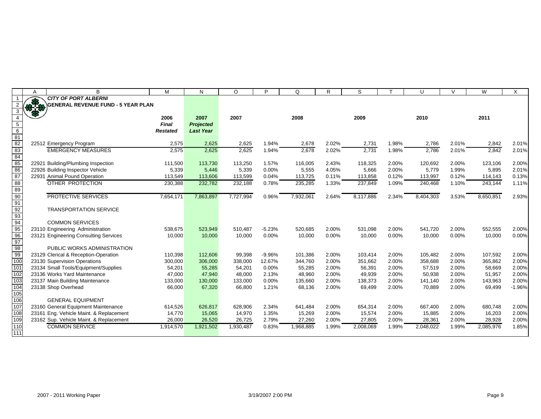| A                       | B                                         | M               | N                | $\circ$   | P        | Q         | R     | S         |       | U         | $\vee$ | W         | X        |
|-------------------------|-------------------------------------------|-----------------|------------------|-----------|----------|-----------|-------|-----------|-------|-----------|--------|-----------|----------|
|                         | <b>CITY OF PORT ALBERNI</b>               |                 |                  |           |          |           |       |           |       |           |        |           |          |
| $\mathbf{v}$ is the set | <b>GENERAL REVENUE FUND - 5 YEAR PLAN</b> |                 |                  |           |          |           |       |           |       |           |        |           |          |
|                         |                                           |                 |                  |           |          |           |       |           |       |           |        |           |          |
|                         |                                           | 2006            | 2007             | 2007      |          | 2008      |       | 2009      |       | 2010      |        | 2011      |          |
|                         |                                           | <b>Final</b>    | Projected        |           |          |           |       |           |       |           |        |           |          |
|                         |                                           | <b>Restated</b> | <b>Last Year</b> |           |          |           |       |           |       |           |        |           |          |
|                         | 22512 Emergency Program                   | 2,575           | 2,625            | 2,625     | 1.94%    | 2,678     | 2.02% | 2,731     | 1.98% | 2,786     | 2.01%  | 2,842     | 2.01%    |
|                         | <b>EMERGENCY MEASURES</b>                 | 2,575           | 2,625            | 2,625     | 1.94%    | 2,678     | 2.02% | 2,731     | 1.98% | 2,786     | 2.01%  | 2,842     | 2.01%    |
|                         |                                           |                 |                  |           |          |           |       |           |       |           |        |           |          |
|                         | 22921 Building/Plumbing Inspection        | 111.500         | 113,730          | 113,250   | 1.57%    | 116.005   | 2.43% | 118,325   | 2.00% | 120.692   | 2.00%  | 123,106   | 2.00%    |
|                         | 22926 Building Inspector Vehicle          | 5,339           | 5,446            | 5,339     | 0.00%    | 5,555     | 4.05% | 5,666     | 2.00% | 5,779     | 1.99%  | 5,895     | 2.01%    |
|                         | 22931 Animal Pound Operation              | 113,549         | 113,606          | 113,599   | 0.04%    | 113,725   | 0.11% | 113,858   | 0.12% | 113,997   | 0.12%  | 114,143   | 0.13%    |
|                         | OTHER PROTECTION                          | 230,388         | 232,782          | 232,188   | 0.78%    | 235,285   | 1.33% | 237,849   | 1.09% | 240,468   | 1.10%  | 243,144   | 1.11%    |
|                         |                                           |                 |                  |           |          |           |       |           |       |           |        |           |          |
|                         | <b>PROTECTIVE SERVICES</b>                | 7,654,171       | 7,863,897        | 7,727,994 | 0.96%    | 7,932,061 | 2.64% | 8.117.886 | 2.34% | 8,404,303 | 3.53%  | 8,650,851 | 2.93%    |
|                         |                                           |                 |                  |           |          |           |       |           |       |           |        |           |          |
|                         | <b>TRANSPORTATION SERVICE</b>             |                 |                  |           |          |           |       |           |       |           |        |           |          |
|                         |                                           |                 |                  |           |          |           |       |           |       |           |        |           |          |
|                         | <b>COMMON SERVICES</b>                    |                 |                  |           |          |           |       |           |       |           |        |           |          |
|                         | 23110 Engineering Administration          | 538,675         | 523,949          | 510,487   | $-5.23%$ | 520,685   | 2.00% | 531,098   | 2.00% | 541,720   | 2.00%  | 552,555   | 2.00%    |
|                         | 23121 Engineering Consulting Services     | 10,000          | 10,000           | 10,000    | 0.00%    | 10,000    | 0.00% | 10,000    | 0.00% | 10,000    | 0.00%  | 10,000    | 0.00%    |
|                         | PUBLIC WORKS ADMINISTRATION               |                 |                  |           |          |           |       |           |       |           |        |           |          |
|                         | 23129 Clerical & Reception-Operation      | 110,398         | 112,606          | 99,398    | $-9.96%$ | 101,386   | 2.00% | 103,414   | 2.00% | 105,482   | 2.00%  | 107,592   | 2.00%    |
|                         | 23130 Supervision Operations              | 300,000         | 306,000          | 338.000   | 12.67%   | 344.760   | 2.00% | 351,662   | 2.00% | 358,688   | 2.00%  | 365,862   | 2.00%    |
|                         | 23134 Small Tools/Equipment/Supplies      | 54,201          | 55.285           | 54.201    | 0.00%    | 55,285    | 2.00% | 56,391    | 2.00% | 57,519    | 2.00%  | 58,669    | 2.00%    |
|                         | 23136 Works Yard Maintenance              | 47,000          | 47,940           | 48,000    | 2.13%    | 48,960    | 2.00% | 49,939    | 2.00% | 50,938    | 2.00%  | 51,957    | 2.00%    |
|                         | 23137 Main Building Maintenance           | 133,000         | 130,000          | 133,000   | 0.00%    | 135,660   | 2.00% | 138,373   | 2.00% | 141,140   | 2.00%  | 143,963   | 2.00%    |
|                         | 23138 Shop Overhead                       | 66,000          | 67,320           | 66,800    | 1.21%    | 68,136    | 2.00% | 69,499    | 2.00% | 70,889    | 2.00%  | 69,499    | $-1.96%$ |
|                         |                                           |                 |                  |           |          |           |       |           |       |           |        |           |          |
|                         | <b>GENERAL EQUIPMENT</b>                  |                 |                  |           |          |           |       |           |       |           |        |           |          |
|                         | 23160 General Equipment Maintenance       | 614,526         | 626,817          | 628.906   | 2.34%    | 641,484   | 2.00% | 654,314   | 2.00% | 667,400   | 2.00%  | 680.748   | 2.00%    |
|                         | 23161 Eng. Vehicle Maint. & Replacement   | 14,770          | 15,065           | 14,970    | 1.35%    | 15,269    | 2.00% | 15,574    | 2.00% | 15,885    | 2.00%  | 16,203    | 2.00%    |
|                         | 23162 Sup. Vehicle Maint. & Replacement   | 26,000          | 26,520           | 26,725    | 2.79%    | 27,260    | 2.00% | 27,805    | 2.00% | 28,361    | 2.00%  | 28,928    | 2.00%    |
|                         | <b>COMMON SERVICE</b>                     | 1,914,570       | 1,921,502        | 1,930,487 | 0.83%    | 1,968,885 | 1.99% | 2,008,069 | 1.99% | 2,048,022 | 1.99%  | 2,085,976 | 1.85%    |
|                         |                                           |                 |                  |           |          |           |       |           |       |           |        |           |          |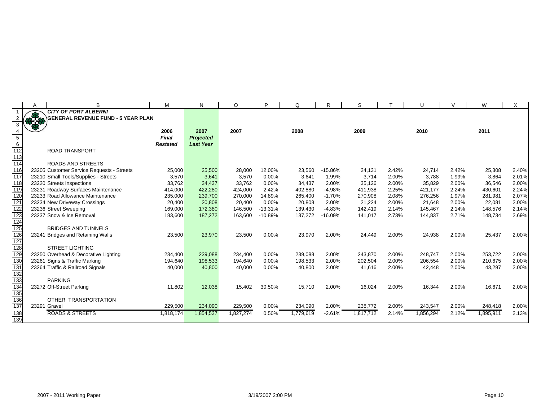|                          | A    | B                                         | м               | N                | $\circ$   | P         | Q         | R         | S         |       | U        | $\vee$ | W         | X     |
|--------------------------|------|-------------------------------------------|-----------------|------------------|-----------|-----------|-----------|-----------|-----------|-------|----------|--------|-----------|-------|
|                          |      | <b>CITY OF PORT ALBERNI</b>               |                 |                  |           |           |           |           |           |       |          |        |           |       |
|                          | 9769 | <b>GENERAL REVENUE FUND - 5 YEAR PLAN</b> |                 |                  |           |           |           |           |           |       |          |        |           |       |
|                          |      |                                           |                 |                  |           |           |           |           |           |       |          |        |           |       |
|                          |      |                                           | 2006            | 2007             | 2007      |           | 2008      |           | 2009      |       | 2010     |        | 2011      |       |
| $\overline{5}$           |      |                                           | <b>Final</b>    | Projected        |           |           |           |           |           |       |          |        |           |       |
| $\overline{6}$           |      |                                           | <b>Restated</b> | <b>Last Year</b> |           |           |           |           |           |       |          |        |           |       |
| 112                      |      | <b>ROAD TRANSPORT</b>                     |                 |                  |           |           |           |           |           |       |          |        |           |       |
| 113                      |      |                                           |                 |                  |           |           |           |           |           |       |          |        |           |       |
| 114                      |      | <b>ROADS AND STREETS</b>                  |                 |                  |           |           |           |           |           |       |          |        |           |       |
| 116                      |      | 23205 Customer Service Requests - Streets | 25,000          | 25,500           | 28,000    | 12.00%    | 23,560    | $-15.86%$ | 24,131    | 2.42% | 24,714   | 2.42%  | 25,308    | 2.40% |
| 117                      |      | 23210 Small Tools/Supplies - Streets      | 3,570           | 3,641            | 3,570     | 0.00%     | 3,641     | 1.99%     | 3,714     | 2.00% | 3.788    | 1.99%  | 3.864     | 2.01% |
| 118                      |      | 23220 Streets Inspections                 | 33,762          | 34,437           | 33,762    | 0.00%     | 34,437    | 2.00%     | 35,126    | 2.00% | 35,829   | 2.00%  | 36,546    | 2.00% |
| 119                      |      | 23231 Roadway Surfaces Maintenance        | 414,000         | 422,280          | 424,000   | 2.42%     | 402,880   | $-4.98%$  | 411,938   | 2.25% | 421,177  | 2.24%  | 430,601   | 2.24% |
| 120                      |      | 23233 Road Allowance Maintenance          | 235,000         | 239,700          | 270,000   | 14.89%    | 265,400   | $-1.70%$  | 270,908   | 2.08% | 276,256  | 1.97%  | 281,981   | 2.07% |
| 121                      |      | 23234 New Driveway Crossings              | 20,400          | 20,808           | 20,400    | 0.00%     | 20,808    | 2.00%     | 21,224    | 2.00% | 21,648   | 2.00%  | 22,081    | 2.00% |
|                          |      | 23236 Street Sweeping                     | 169,000         | 172,380          | 146,500   | $-13.31%$ | 139,430   | $-4.83%$  | 142,419   | 2.14% | 145,467  | 2.14%  | 148,576   | 2.14% |
| 122<br>123<br>124<br>125 |      | 23237 Snow & Ice Removal                  | 183,600         | 187,272          | 163,600   | $-10.89%$ | 137,272   | $-16.09%$ | 141,017   | 2.73% | 144,837  | 2.71%  | 148,734   | 2.69% |
|                          |      |                                           |                 |                  |           |           |           |           |           |       |          |        |           |       |
|                          |      | <b>BRIDGES AND TUNNELS</b>                |                 |                  |           |           |           |           |           |       |          |        |           |       |
| $\frac{126}{126}$        |      | 23241 Bridges and Retaining Walls         | 23,500          | 23,970           | 23,500    | 0.00%     | 23,970    | 2.00%     | 24,449    | 2.00% | 24,938   | 2.00%  | 25,437    | 2.00% |
|                          |      |                                           |                 |                  |           |           |           |           |           |       |          |        |           |       |
| 128                      |      | <b>STREET LIGHTING</b>                    |                 |                  |           |           |           |           |           |       |          |        |           |       |
| 129                      |      | 23250 Overhead & Decorative Lighting      | 234,400         | 239,088          | 234,400   | 0.00%     | 239,088   | 2.00%     | 243,870   | 2.00% | 248,747  | 2.00%  | 253,722   | 2.00% |
| 130                      |      | 23261 Signs & Traffic Marking             | 194,640         | 198,533          | 194,640   | 0.00%     | 198,533   | 2.00%     | 202,504   | 2.00% | 206,554  | 2.00%  | 210,675   | 2.00% |
| 131                      |      | 23264 Traffic & Railroad Signals          | 40,000          | 40,800           | 40,000    | 0.00%     | 40,800    | 2.00%     | 41,616    | 2.00% | 42,448   | 2.00%  | 43,297    | 2.00% |
| 132                      |      |                                           |                 |                  |           |           |           |           |           |       |          |        |           |       |
| 133                      |      | <b>PARKING</b>                            |                 |                  |           |           |           |           |           |       |          |        |           |       |
| 134                      |      | 23272 Off-Street Parking                  | 11,802          | 12,038           | 15,402    | 30.50%    | 15,710    | 2.00%     | 16,024    | 2.00% | 16,344   | 2.00%  | 16,671    | 2.00% |
| 135                      |      |                                           |                 |                  |           |           |           |           |           |       |          |        |           |       |
| $\frac{1}{136}$          |      | OTHER TRANSPORTATION                      |                 |                  |           |           |           |           |           |       |          |        |           |       |
| 137                      |      | 23291 Gravel                              | 229,500         | 234,090          | 229,500   | 0.00%     | 234,090   | 2.00%     | 238,772   | 2.00% | 243,547  | 2.00%  | 248,418   | 2.00% |
| 138                      |      | <b>ROADS &amp; STREETS</b>                | 1,818,174       | 1,854,537        | 1,827,274 | 0.50%     | 1,779,619 | $-2.61%$  | 1,817,712 | 2.14% | .856,294 | 2.12%  | 1,895,911 | 2.13% |
| 139                      |      |                                           |                 |                  |           |           |           |           |           |       |          |        |           |       |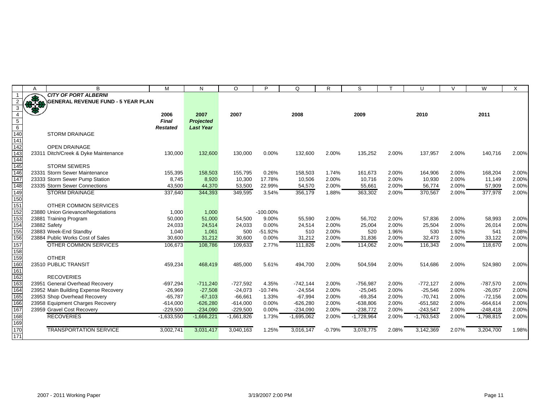|                  | A   | B                                         | M               | N                | $\circ$      | P           | Q            | R        | S            |       | U            | $\vee$ | W            | X     |
|------------------|-----|-------------------------------------------|-----------------|------------------|--------------|-------------|--------------|----------|--------------|-------|--------------|--------|--------------|-------|
|                  | æ   | <b>CITY OF PORT ALBERNI</b>               |                 |                  |              |             |              |          |              |       |              |        |              |       |
|                  | 3.8 | <b>GENERAL REVENUE FUND - 5 YEAR PLAN</b> |                 |                  |              |             |              |          |              |       |              |        |              |       |
|                  |     |                                           |                 |                  |              |             |              |          |              |       |              |        |              |       |
|                  |     |                                           | 2006            | 2007             | 2007         |             | 2008         |          | 2009         |       | 2010         |        | 2011         |       |
| $\overline{5}$   |     |                                           | <b>Final</b>    | Projected        |              |             |              |          |              |       |              |        |              |       |
| $6\overline{6}$  |     |                                           | <b>Restated</b> | <b>Last Year</b> |              |             |              |          |              |       |              |        |              |       |
| 140              |     | <b>STORM DRAINAGE</b>                     |                 |                  |              |             |              |          |              |       |              |        |              |       |
| 141              |     |                                           |                 |                  |              |             |              |          |              |       |              |        |              |       |
| $\overline{142}$ |     | <b>OPEN DRAINAGE</b>                      |                 |                  |              |             |              |          |              |       |              |        |              |       |
| 143              |     | 23311 Ditch/Creek & Dyke Maintenance      | 130,000         | 132,600          | 130,000      | 0.00%       | 132,600      | 2.00%    | 135,252      | 2.00% | 137,957      | 2.00%  | 140,716      | 2.00% |
| 144              |     |                                           |                 |                  |              |             |              |          |              |       |              |        |              |       |
| 145              |     | <b>STORM SEWERS</b>                       |                 |                  |              |             |              |          |              |       |              |        |              |       |
| 146              |     | 23331 Storm Sewer Maintenance             | 155,395         | 158,503          | 155,795      | 0.26%       | 158,503      | 1.74%    | 161,673      | 2.00% | 164,906      | 2.00%  | 168,204      | 2.00% |
| 147              |     | 23333 Storm Sewer Pump Station            | 8,745           | 8,920            | 10,300       | 17.78%      | 10,506       | 2.00%    | 10,716       | 2.00% | 10,930       | 2.00%  | 11,149       | 2.00% |
| $\overline{148}$ |     | 23335 Storm Sewer Connections             | 43,500          | 44,370           | 53,500       | 22.99%      | 54,570       | 2.00%    | 55,661       | 2.00% | 56,774       | 2.00%  | 57,909       | 2.00% |
| 149              |     | <b>STORM DRAINAGE</b>                     | 337,640         | 344,393          | 349,595      | 3.54%       | 356,179      | 1.88%    | 363,302      | 2.00% | 370,567      | 2.00%  | 377,978      | 2.00% |
| 150              |     |                                           |                 |                  |              |             |              |          |              |       |              |        |              |       |
| $\overline{151}$ |     | OTHER COMMON SERVICES                     |                 |                  |              |             |              |          |              |       |              |        |              |       |
| 152              |     | 23880 Union Grievance/Negotiations        | 1,000           | 1,000            |              | $-100.00\%$ |              |          |              |       |              |        |              |       |
| 153              |     | 23881 Training Program                    | 50,000          | 51,000           | 54,500       | 9.00%       | 55,590       | 2.00%    | 56,702       | 2.00% | 57,836       | 2.00%  | 58,993       | 2.00% |
| 154              |     | 23882 Safety                              | 24,033          | 24,514           | 24,033       | 0.00%       | 24,514       | 2.00%    | 25,004       | 2.00% | 25,504       | 2.00%  | 26,014       | 2.00% |
| 155              |     | 23883 Week-End Standby                    | 1,040           | 1,061            | 500          | $-51.92%$   | 510          | 2.00%    | 520          | 1.96% | 530          | 1.92%  | 541          | 2.08% |
| 156              |     | 23884 Public Works Cost of Sales          | 30,600          | 31,212           | 30,600       | 0.00%       | 31,212       | 2.00%    | 31,836       | 2.00% | 32,473       | 2.00%  | 33,122       | 2.00% |
| 157              |     | OTHER COMMON SERVICES                     | 106,673         | 108,786          | 109,633      | 2.77%       | 111,826      | 2.00%    | 114,062      | 2.00% | 116,343      | 2.00%  | 118,670      | 2.00% |
| 158              |     |                                           |                 |                  |              |             |              |          |              |       |              |        |              |       |
| 159              |     | <b>OTHER</b>                              |                 |                  |              |             |              |          |              |       |              |        |              |       |
| 160              |     | 23510 PUBLIC TRANSIT                      | 459,234         | 468,419          | 485,000      | 5.61%       | 494,700      | 2.00%    | 504,594      | 2.00% | 514,686      | 2.00%  | 524,980      | 2.00% |
| 161              |     |                                           |                 |                  |              |             |              |          |              |       |              |        |              |       |
| 162              |     | <b>RECOVERIES</b>                         |                 |                  |              |             |              |          |              |       |              |        |              |       |
| 163              |     | 23951 General Overhead Recovery           | $-697,294$      | $-711,240$       | $-727,592$   | 4.35%       | $-742,144$   | 2.00%    | $-756,987$   | 2.00% | $-772,127$   | 2.00%  | $-787,570$   | 2.00% |
| 164              |     | 23952 Main Building Expense Recovery      | $-26,969$       | $-27,508$        | $-24,073$    | $-10.74%$   | $-24,554$    | 2.00%    | $-25,045$    | 2.00% | $-25,546$    | 2.00%  | $-26,057$    | 2.00% |
| 165              |     | 23953 Shop Overhead Recovery              | $-65,787$       | $-67,103$        | $-66,661$    | 1.33%       | $-67,994$    | 2.00%    | $-69,354$    | 2.00% | $-70,741$    | 2.00%  | $-72,156$    | 2.00% |
| 166              |     | 23958 Equipment Charges Recovery          | $-614,000$      | $-626,280$       | $-614,000$   | 0.00%       | $-626,280$   | 2.00%    | $-638,806$   | 2.00% | $-651,582$   | 2.00%  | $-664,614$   | 2.00% |
| 167              |     | 23959 Gravel Cost Recovery                | $-229,500$      | $-234,090$       | $-229,500$   | 0.00%       | $-234,090$   | 2.00%    | $-238,772$   | 2.00% | $-243,547$   | 2.00%  | $-248,418$   | 2.00% |
| 168              |     | <b>RECOVERIES</b>                         | $-1,633,550$    | $-1,666,221$     | $-1,661,826$ | 1.73%       | $-1,695,062$ | 2.00%    | $-1,728,964$ | 2.00% | $-1,763,543$ | 2.00%  | $-1,798,815$ | 2.00% |
| 169              |     |                                           |                 |                  |              |             |              |          |              |       |              |        |              |       |
| 170              |     | <b>TRANSPORTATION SERVICE</b>             | 3,002,741       | 3,031,417        | 3,040,163    | 1.25%       | 3,016,147    | $-0.79%$ | 3,078,775    | 2.08% | 3,142,369    | 2.07%  | 3,204,700    | 1.98% |
| 171              |     |                                           |                 |                  |              |             |              |          |              |       |              |        |              |       |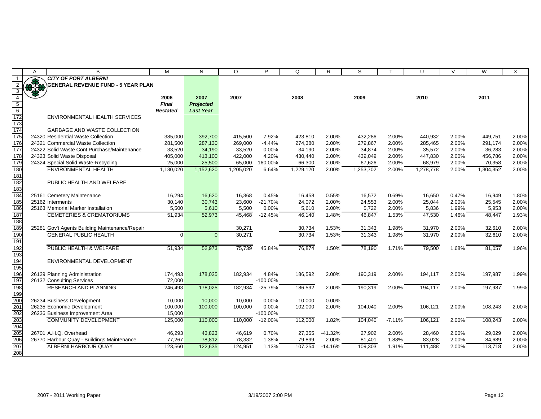|                         | Α | B                                              | M               | N                | $\circ$   | P           | Q         | R         | S         |          | U         | $\vee$ | W         | X     |
|-------------------------|---|------------------------------------------------|-----------------|------------------|-----------|-------------|-----------|-----------|-----------|----------|-----------|--------|-----------|-------|
|                         |   | <b>CITY OF PORT ALBERNI</b>                    |                 |                  |           |             |           |           |           |          |           |        |           |       |
| 2                       |   | <b>GENERAL REVENUE FUND - 5 YEAR PLAN</b>      |                 |                  |           |             |           |           |           |          |           |        |           |       |
| $\overline{\mathbf{3}}$ |   |                                                |                 |                  |           |             |           |           |           |          |           |        |           |       |
| $\overline{4}$          |   |                                                | 2006            | 2007             | 2007      |             | 2008      |           | 2009      |          | 2010      |        | 2011      |       |
|                         |   |                                                | <b>Final</b>    | <b>Projected</b> |           |             |           |           |           |          |           |        |           |       |
| $\frac{5}{6}$           |   |                                                | <b>Restated</b> | <b>Last Year</b> |           |             |           |           |           |          |           |        |           |       |
| 172                     |   | ENVIRONMENTAL HEALTH SERVICES                  |                 |                  |           |             |           |           |           |          |           |        |           |       |
| 173                     |   |                                                |                 |                  |           |             |           |           |           |          |           |        |           |       |
| 174                     |   | <b>GARBAGE AND WASTE COLLECTION</b>            |                 |                  |           |             |           |           |           |          |           |        |           |       |
| 175                     |   | 24320 Residential Waste Collection             | 385,000         | 392,700          | 415,500   | 7.92%       | 423,810   | 2.00%     | 432,286   | 2.00%    | 440,932   | 2.00%  | 449,751   | 2.00% |
| 176                     |   | 24321 Commercial Waste Collection              | 281,500         | 287,130          | 269,000   | $-4.44%$    | 274,380   | 2.00%     | 279,867   | 2.00%    | 285,465   | 2.00%  | 291,174   | 2.00% |
| 177                     |   | 24322 Solid Waste Cont Purchase/Maintenance    | 33,520          | 34,190           | 33,520    | 0.00%       | 34,190    | 2.00%     | 34,874    | 2.00%    | 35,572    | 2.00%  | 36,283    | 2.00% |
| 178                     |   | 24323 Solid Waste Disposal                     | 405,000         | 413,100          | 422,000   | 4.20%       | 430,440   | 2.00%     | 439,049   | 2.00%    | 447,830   | 2.00%  | 456,786   | 2.00% |
| 179                     |   | 24324 Special Solid Waste-Recycling            | 25,000          | 25,500           | 65,000    | 160.00%     | 66,300    | 2.00%     | 67,626    | 2.00%    | 68,979    | 2.00%  | 70,358    | 2.00% |
| 180                     |   | <b>ENVIRONMENTAL HEALTH</b>                    | 1,130,020       | 1,152,620        | 1,205,020 | 6.64%       | 1,229,120 | 2.00%     | 1,253,702 | 2.00%    | 1,278,778 | 2.00%  | 1,304,352 | 2.00% |
| 181                     |   |                                                |                 |                  |           |             |           |           |           |          |           |        |           |       |
| 182                     |   | PUBLIC HEALTH AND WELFARE                      |                 |                  |           |             |           |           |           |          |           |        |           |       |
| 183                     |   |                                                |                 |                  |           |             |           |           |           |          |           |        |           |       |
| 184                     |   | 25161 Cemetery Maintenance                     | 16,294          | 16,620           | 16,368    | 0.45%       | 16,458    | 0.55%     | 16,572    | 0.69%    | 16,650    | 0.47%  | 16,949    | 1.80% |
| 185                     |   | 25162 Interments                               | 30,140          | 30,743           | 23,600    | $-21.70%$   | 24,072    | 2.00%     | 24,553    | 2.00%    | 25,044    | 2.00%  | 25,545    | 2.00% |
| 186                     |   | 25163 Memorial Marker Installation             | 5,500           | 5,610            | 5,500     | 0.00%       | 5,610     | 2.00%     | 5,722     | 2.00%    | 5,836     | 1.99%  | 5,953     | 2.00% |
| 187                     |   | <b>CEMETERIES &amp; CREMATORIUMS</b>           | 51,934          | 52,973           | 45,468    | $-12.45%$   | 46,140    | 1.48%     | 46,847    | 1.53%    | 47,530    | 1.46%  | 48,447    | 1.93% |
| 188                     |   |                                                |                 |                  |           |             |           |           |           |          |           |        |           |       |
| 189                     |   | 25281 Gov't Agents Building Maintenance/Repair |                 |                  | 30,271    |             | 30,734    | 1.53%     | 31,343    | 1.98%    | 31,970    | 2.00%  | 32,610    | 2.00% |
| 190                     |   | <b>GENERAL PUBLIC HEALTH</b>                   | $\Omega$        | $\Omega$         | 30,271    |             | 30,734    | 1.53%     | 31,343    | 1.98%    | 31,970    | 2.00%  | 32,610    | 2.00% |
| 191                     |   |                                                |                 |                  |           |             |           |           |           |          |           |        |           |       |
| 192                     |   | PUBLIC HEALTH & WELFARE                        | 51,934          | 52,973           | 75,739    | 45.84%      | 76,874    | 1.50%     | 78,190    | 1.71%    | 79,500    | 1.68%  | 81,057    | 1.96% |
| 193                     |   |                                                |                 |                  |           |             |           |           |           |          |           |        |           |       |
| 194                     |   | ENVIRONMENTAL DEVELOPMENT                      |                 |                  |           |             |           |           |           |          |           |        |           |       |
| 195                     |   |                                                |                 |                  |           |             |           |           |           |          |           |        |           |       |
| 196                     |   | 26129 Planning Administration                  | 174,493         | 178,025          | 182,934   | 4.84%       | 186,592   | 2.00%     | 190,319   | 2.00%    | 194,117   | 2.00%  | 197,987   | 1.99% |
| 197                     |   | 26132 Consulting Services                      | 72,000          |                  |           | $-100.00\%$ |           |           |           |          |           |        |           |       |
| 198                     |   | <b>RESEARCH AND PLANNING</b>                   | 246,493         | 178,025          | 182,934   | $-25.79%$   | 186,592   | 2.00%     | 190,319   | 2.00%    | 194,117   | 2.00%  | 197,987   | 1.99% |
| 199                     |   |                                                |                 |                  |           |             |           |           |           |          |           |        |           |       |
| 200                     |   | 26234 Business Development                     | 10,000          | 10,000           | 10,000    | 0.00%       | 10,000    | 0.00%     |           |          |           |        |           |       |
|                         |   | 26235 Economic Development                     | 100,000         | 100,000          | 100,000   | 0.00%       | 102,000   | 2.00%     | 104,040   | 2.00%    | 106,121   | 2.00%  | 108,243   | 2.00% |
| 201<br>202              |   | 26236 Business Improvement Area                | 15,000          |                  |           | $-100.00\%$ |           |           |           |          |           |        |           |       |
| 203                     |   | <b>COMMUNITY DEVELOPMENT</b>                   | 125,000         | 110,000          | 110,000   | $-12.00%$   | 112,000   | 1.82%     | 104,040   | $-7.11%$ | 106,121   | 2.00%  | 108,243   | 2.00% |
|                         |   |                                                |                 |                  |           |             |           |           |           |          |           |        |           |       |
| 204<br>205              |   | 26701 A.H.Q. Overhead                          | 46,293          | 43,823           | 46,619    | 0.70%       | 27,355    | $-41.32%$ | 27,902    | 2.00%    | 28,460    | 2.00%  | 29,029    | 2.00% |
| 206                     |   | 26770 Harbour Quay - Buildings Maintenance     | 77,267          | 78,812           | 78,332    | 1.38%       | 79,899    | 2.00%     | 81,401    | 1.88%    | 83,028    | 2.00%  | 84,689    | 2.00% |
| 207                     |   | ALBERNI HARBOUR QUAY                           | 123,560         | 122,635          | 124.951   | 1.13%       | 107.254   | $-14.16%$ | 109,303   | 1.91%    | 111.488   | 2.00%  | 113.718   | 2.00% |
| 208                     |   |                                                |                 |                  |           |             |           |           |           |          |           |        |           |       |
|                         |   |                                                |                 |                  |           |             |           |           |           |          |           |        |           |       |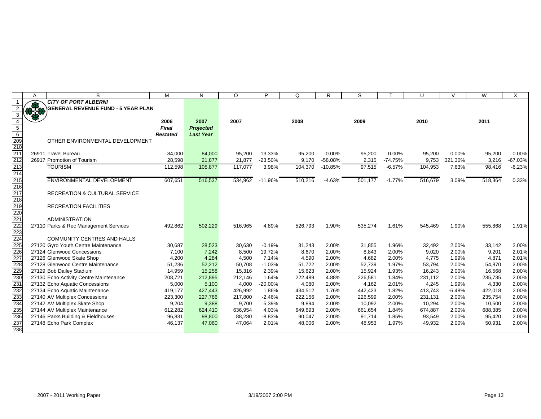|                                                                                                          | A   | B                                                                    | M                 | N                | $\circ$           | P              | Q                | R              | S                 |                | U                 | $\mathcal{U}$  | W                 | X              |
|----------------------------------------------------------------------------------------------------------|-----|----------------------------------------------------------------------|-------------------|------------------|-------------------|----------------|------------------|----------------|-------------------|----------------|-------------------|----------------|-------------------|----------------|
|                                                                                                          |     | <b>CITY OF PORT ALBERNI</b>                                          |                   |                  |                   |                |                  |                |                   |                |                   |                |                   |                |
|                                                                                                          | *** | <b>GENERAL REVENUE FUND - 5 YEAR PLAN</b>                            |                   |                  |                   |                |                  |                |                   |                |                   |                |                   |                |
| 3                                                                                                        |     |                                                                      |                   |                  |                   |                |                  |                |                   |                |                   |                |                   |                |
| $\overline{4}$                                                                                           |     |                                                                      | 2006              | 2007             | 2007              |                | 2008             |                | 2009              |                | 2010              |                | 2011              |                |
| $\overline{5}$                                                                                           |     |                                                                      | <b>Final</b>      | <b>Projected</b> |                   |                |                  |                |                   |                |                   |                |                   |                |
| $\begin{array}{r}\n 6 \\  \hline\n 209 \\  \hline\n 210 \\  \hline\n 211 \\  \hline\n 212\n \end{array}$ |     |                                                                      | <b>Restated</b>   | <b>Last Year</b> |                   |                |                  |                |                   |                |                   |                |                   |                |
|                                                                                                          |     | OTHER ENVIRONMENTAL DEVELOPMENT                                      |                   |                  |                   |                |                  |                |                   |                |                   |                |                   |                |
|                                                                                                          |     |                                                                      |                   |                  |                   |                |                  |                |                   |                |                   |                |                   |                |
|                                                                                                          |     | 26911 Travel Bureau                                                  | 84,000            | 84,000           | 95,200            | 13.33%         | 95,200           | 0.00%          | 95,200            | 0.00%          | 95,200            | $0.00\%$       | 95,200            | 0.00%          |
|                                                                                                          |     | 26917 Promotion of Tourism                                           | 28,598            | 21,877           | 21,877            | $-23.50%$      | 9,170            | $-58.08%$      | 2,315             | $-74.75%$      | 9,753             | 321.30%        | 3,216             | $-67.03%$      |
| 213<br>214                                                                                               |     | <b>TOURISM</b>                                                       | 112,598           | 105,877          | 117,077           | 3.98%          | 104,370          | $-10.85%$      | 97,515            | $-6.57%$       | 104,953           | 7.63%          | 98,416            | $-6.23%$       |
|                                                                                                          |     |                                                                      |                   |                  |                   |                |                  |                |                   |                |                   |                |                   |                |
| 215                                                                                                      |     | <b>ENVIRONMENTAL DEVELOPMENT</b>                                     | 607,651           | 516,537          | 534,962           | $-11.96%$      | 510,216          | $-4.63%$       | 501,177           | $-1.77%$       | 516,679           | 3.09%          | 518,364           | 0.33%          |
| $\overline{216}$                                                                                         |     |                                                                      |                   |                  |                   |                |                  |                |                   |                |                   |                |                   |                |
| 217                                                                                                      |     | <b>RECREATION &amp; CULTURAL SERVICE</b>                             |                   |                  |                   |                |                  |                |                   |                |                   |                |                   |                |
| $\overline{218}$                                                                                         |     |                                                                      |                   |                  |                   |                |                  |                |                   |                |                   |                |                   |                |
| 219                                                                                                      |     | <b>RECREATION FACILITIES</b>                                         |                   |                  |                   |                |                  |                |                   |                |                   |                |                   |                |
|                                                                                                          |     |                                                                      |                   |                  |                   |                |                  |                |                   |                |                   |                |                   |                |
|                                                                                                          |     | <b>ADMINISTRATION</b>                                                |                   |                  |                   |                |                  |                |                   |                |                   |                |                   |                |
| 220<br>221<br>222<br>223                                                                                 |     | 27110 Parks & Rec Management Services                                | 492,862           | 502,229          | 516,965           | 4.89%          | 526,793          | 1.90%          | 535,274           | 1.61%          | 545,469           | 1.90%          | 555,868           | 1.91%          |
|                                                                                                          |     |                                                                      |                   |                  |                   |                |                  |                |                   |                |                   |                |                   |                |
| 224                                                                                                      |     | <b>COMMUNITY CENTRES AND HALLS</b>                                   |                   |                  |                   |                |                  |                |                   |                |                   |                |                   |                |
| 225                                                                                                      |     | 27120 Gyro Youth Centre Maintenance                                  | 30,687            | 28,523           | 30,630            | $-0.19%$       | 31,243           | 2.00%          | 31,855            | 1.96%          | 32,492            | 2.00%          | 33,142            | 2.00%          |
| 226                                                                                                      |     | 27124 Glenwood Concessions                                           | 7,100             | 7,242            | 8,500             | 19.72%         | 8,670            | 2.00%          | 8,843             | 2.00%          | 9,020             | 2.00%          | 9,201             | 2.01%          |
| 227                                                                                                      |     | 27126 Glenwood Skate Shop                                            | 4,200             | 4,284            | 4,500             | 7.14%          | 4,590            | 2.00%          | 4.682             | 2.00%          | 4,775             | 1.99%          | 4.871             | 2.01%          |
| 228                                                                                                      |     | 27128 Glenwood Centre Maintenance                                    | 51,236            | 52,212           | 50,708            | $-1.03%$       | 51,722           | 2.00%          | 52,739            | 1.97%          | 53,794            | 2.00%          | 54,870            | 2.00%          |
| 229                                                                                                      |     | 27129 Bob Dailey Stadium                                             | 14,959            | 15,258           | 15,316            | 2.39%          | 15,623           | 2.00%          | 15,924            | 1.93%          | 16,243            | 2.00%          | 16,568            | 2.00%          |
| 230                                                                                                      |     | 27130 Echo Activity Centre Maintenance                               | 208,721           | 212,895          | 212,146           | 1.64%          | 222,489          | 4.88%          | 226,581           | 1.84%          | 231,112           | 2.00%          | 235,735           | 2.00%          |
|                                                                                                          |     | 27132 Echo Aquatic Concessions                                       | 5,000             | 5,100            | 4,000             | $-20.00%$      | 4,080            | 2.00%          | 4,162             | 2.01%          | 4,245             | 1.99%          | 4,330             | 2.00%          |
|                                                                                                          |     | 27134 Echo Aquatic Maintenance                                       | 419,177           | 427,443          | 426,992           | 1.86%          | 434,512          | 1.76%          | 442,423           | 1.82%          | 413,743           | $-6.48%$       | 422,018           | 2.00%          |
| 231<br>232<br>233<br>234<br>235<br>236<br>237                                                            |     | 27140 AV Multiplex Concessions                                       | 223,300           | 227,766          | 217,800           | $-2.46%$       | 222,156          | 2.00%          | 226,599           | 2.00%          | 231,131           | 2.00%          | 235,754           | 2.00%          |
|                                                                                                          |     | 27142 AV Multiplex Skate Shop                                        | 9,204             | 9,388<br>624,410 | 9,700             | 5.39%<br>4.03% | 9,894<br>649,693 | 2.00%<br>2.00% | 10,092            | 2.00%<br>1.84% | 10,294            | 2.00%<br>2.00% | 10,500            | 2.00%<br>2.00% |
|                                                                                                          |     | 27144 AV Multiplex Maintenance<br>27146 Parks Building & Fieldhouses | 612,282<br>96,831 | 98,800           | 636,954<br>88,280 | $-8.83%$       | 90,047           | 2.00%          | 661,654<br>91,714 | 1.85%          | 674,887<br>93,549 | 2.00%          | 688,385<br>95,420 | 2.00%          |
|                                                                                                          |     | 27148 Echo Park Complex                                              | 46,137            | 47,060           | 47,064            | 2.01%          | 48,006           | 2.00%          | 48,953            | 1.97%          | 49,932            | 2.00%          | 50,931            | 2.00%          |
| 238                                                                                                      |     |                                                                      |                   |                  |                   |                |                  |                |                   |                |                   |                |                   |                |
|                                                                                                          |     |                                                                      |                   |                  |                   |                |                  |                |                   |                |                   |                |                   |                |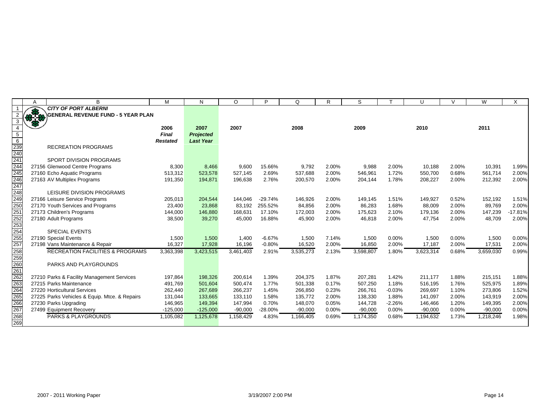|                                        | Α | B                                             | M               | N                | O         | Þ         | Q         | R     | S         |          | U         | V        | W         | X         |
|----------------------------------------|---|-----------------------------------------------|-----------------|------------------|-----------|-----------|-----------|-------|-----------|----------|-----------|----------|-----------|-----------|
|                                        |   | <b>CITY OF PORT ALBERNI</b>                   |                 |                  |           |           |           |       |           |          |           |          |           |           |
|                                        |   | <b>GENERAL REVENUE FUND - 5 YEAR PLAN</b>     |                 |                  |           |           |           |       |           |          |           |          |           |           |
|                                        |   |                                               |                 |                  |           |           |           |       |           |          |           |          |           |           |
|                                        |   |                                               | 2006            | 2007             | 2007      |           | 2008      |       | 2009      |          | 2010      |          | 2011      |           |
| $\overline{5}$                         |   |                                               | <b>Final</b>    | <b>Projected</b> |           |           |           |       |           |          |           |          |           |           |
| $\overline{6}$                         |   |                                               | <b>Restated</b> | <b>Last Year</b> |           |           |           |       |           |          |           |          |           |           |
| 239<br>240<br>241<br>244<br>245        |   | <b>RECREATION PROGRAMS</b>                    |                 |                  |           |           |           |       |           |          |           |          |           |           |
|                                        |   |                                               |                 |                  |           |           |           |       |           |          |           |          |           |           |
|                                        |   | SPORT DIVISION PROGRAMS                       |                 |                  |           |           |           |       |           |          |           |          |           |           |
|                                        |   | 27156 Glenwood Centre Programs                | 8,300           | 8,466            | 9,600     | 15.66%    | 9,792     | 2.00% | 9,988     | 2.00%    | 10,188    | 2.00%    | 10,391    | 1.99%     |
|                                        |   | 27160 Echo Aquatic Programs                   | 513,312         | 523,578          | 527,145   | 2.69%     | 537.688   | 2.00% | 546,961   | 1.72%    | 550,700   | 0.68%    | 561.714   | 2.00%     |
| 246<br>247                             |   | 27163 AV Multiplex Programs                   | 191,350         | 194,871          | 196,638   | 2.76%     | 200,570   | 2.00% | 204,144   | 1.78%    | 208,227   | 2.00%    | 212,392   | 2.00%     |
|                                        |   |                                               |                 |                  |           |           |           |       |           |          |           |          |           |           |
|                                        |   | LEISURE DIVISION PROGRAMS                     |                 |                  |           |           |           |       |           |          |           |          |           |           |
|                                        |   | 27166 Leisure Service Programs                | 205,013         | 204,544          | 144,046   | $-29.74%$ | 146,926   | 2.00% | 149,145   | 1.51%    | 149,927   | 0.52%    | 152,192   | 1.51%     |
|                                        |   | 27170 Youth Services and Programs             | 23,400          | 23,868           | 83,192    | 255.52%   | 84,856    | 2.00% | 86,283    | 1.68%    | 88,009    | 2.00%    | 89,769    | 2.00%     |
|                                        |   | 27173 Children's Programs                     | 144,000         | 146,880          | 168,631   | 17.10%    | 172,003   | 2.00% | 175,623   | 2.10%    | 179,136   | 2.00%    | 147,239   | $-17.81%$ |
|                                        |   | 27180 Adult Programs                          | 38,500          | 39,270           | 45,000    | 16.88%    | 45,900    | 2.00% | 46,818    | 2.00%    | 47,754    | 2.00%    | 48,709    | 2.00%     |
|                                        |   |                                               |                 |                  |           |           |           |       |           |          |           |          |           |           |
|                                        |   | <b>SPECIAL EVENTS</b>                         |                 |                  |           |           |           |       |           |          |           |          |           |           |
|                                        |   | 27190 Special Events                          | 1,500           | 1,500            | 1,400     | $-6.67%$  | 1,500     | 7.14% | 1,500     | 0.00%    | 1,500     | $0.00\%$ | 1,500     | 0.00%     |
| 257                                    |   | 27198 Vans Maintenance & Repair               | 16,327          | 17,928           | 16,196    | $-0.80%$  | 16,520    | 2.00% | 16,850    | 2.00%    | 17,187    | 2.00%    | 17,531    | 2.00%     |
| 258<br>259<br>260<br>261               |   | <b>RECREATION FACILITIES &amp; PROGRAMS</b>   | 3,363,398       | 3,423,515        | 3,461,403 | 2.91%     | 3,535,273 | 2.13% | 3,598,807 | 1.80%    | 3,623,314 | 0.68%    | 3,659,030 | 0.99%     |
|                                        |   |                                               |                 |                  |           |           |           |       |           |          |           |          |           |           |
|                                        |   | PARKS AND PLAYGROUNDS                         |                 |                  |           |           |           |       |           |          |           |          |           |           |
|                                        |   |                                               |                 |                  |           |           |           |       |           |          |           |          |           |           |
| 262<br>263                             |   | 27210 Parks & Facility Management Services    | 197,864         | 198,326          | 200,614   | 1.39%     | 204,375   | 1.87% | 207,281   | 1.42%    | 211,177   | 1.88%    | 215,151   | 1.88%     |
|                                        |   | 27215 Parks Maintenance                       | 491,769         | 501,604          | 500,474   | 1.77%     | 501,338   | 0.17% | 507,250   | 1.18%    | 516,195   | 1.76%    | 525,975   | 1.89%     |
|                                        |   | 27220 Horticultural Services                  | 262,440         | 267,689          | 266,237   | 1.45%     | 266,850   | 0.23% | 266,761   | $-0.03%$ | 269,697   | 1.10%    | 273,806   | 1.52%     |
|                                        |   | 27225 Parks Vehicles & Equip. Mtce. & Repairs | 131,044         | 133,665          | 133,110   | 1.58%     | 135,772   | 2.00% | 138,330   | 1.88%    | 141,097   | 2.00%    | 143,919   | 2.00%     |
|                                        |   | 27230 Parks Upgrading                         | 146,965         | 149,394          | 147,994   | 0.70%     | 148,070   | 0.05% | 144,728   | $-2.26%$ | 146,466   | 1.20%    | 149,395   | 2.00%     |
|                                        |   | 27499 Equipment Recovery                      | $-125,000$      | $-125,000$       | $-90,000$ | $-28.00%$ | $-90,000$ | 0.00% | $-90,000$ | 0.00%    | $-90,000$ | $0.00\%$ | $-90,000$ | 0.00%     |
| 264<br>265<br>266<br>267<br>268<br>269 |   | <b>PARKS &amp; PLAYGROUNDS</b>                | 1,105,082       | 1,125,678        | 1,158,429 | 4.83%     | 1,166,405 | 0.69% | 1,174,350 | 0.68%    | 1,194,632 | 1.73%    | 1,218,246 | 1.98%     |
|                                        |   |                                               |                 |                  |           |           |           |       |           |          |           |          |           |           |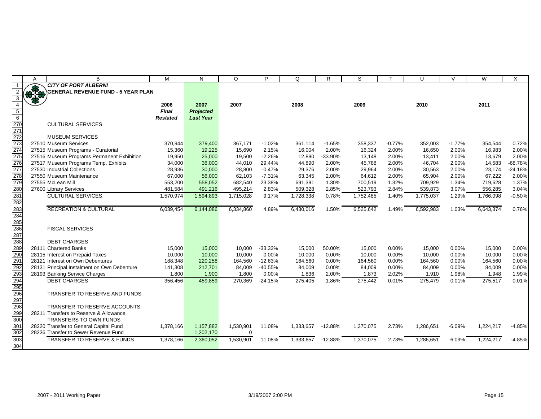|                                                                            | $\overline{A}$ | B                                           | M               | $\mathsf{N}$     | $\circ$     | P         | Q         | R         | S         |          | U         | $\vee$   | W         | X         |
|----------------------------------------------------------------------------|----------------|---------------------------------------------|-----------------|------------------|-------------|-----------|-----------|-----------|-----------|----------|-----------|----------|-----------|-----------|
|                                                                            |                | <b>CITY OF PORT ALBERNI</b>                 |                 |                  |             |           |           |           |           |          |           |          |           |           |
| 2                                                                          | $+3$           | <b>GENERAL REVENUE FUND - 5 YEAR PLAN</b>   |                 |                  |             |           |           |           |           |          |           |          |           |           |
| $\overline{3}$                                                             |                |                                             |                 |                  |             |           |           |           |           |          |           |          |           |           |
| $\overline{4}$                                                             |                |                                             | 2006            | 2007             | 2007        |           | 2008      |           | 2009      |          | 2010      |          | 2011      |           |
| $\overline{5}$                                                             |                |                                             | <b>Final</b>    | <b>Projected</b> |             |           |           |           |           |          |           |          |           |           |
|                                                                            |                |                                             | <b>Restated</b> | <b>Last Year</b> |             |           |           |           |           |          |           |          |           |           |
|                                                                            |                | <b>CULTURAL SERVICES</b>                    |                 |                  |             |           |           |           |           |          |           |          |           |           |
|                                                                            |                |                                             |                 |                  |             |           |           |           |           |          |           |          |           |           |
|                                                                            |                | <b>MUSEUM SERVICES</b>                      |                 |                  |             |           |           |           |           |          |           |          |           |           |
|                                                                            |                | 27510 Museum Services                       | 370,944         | 379,400          | 367,171     | $-1.02%$  | 361,114   | $-1.65%$  | 358,337   | $-0.77%$ | 352,003   | $-1.77%$ | 354,544   | 0.72%     |
| $\begin{array}{r} 6 \\ 270 \\ 271 \\ 272 \\ 273 \\ 274 \\ 275 \end{array}$ |                | 27515 Museum Programs - Curatorial          | 15,360          | 19,225           | 15,690      | 2.15%     | 16,004    | 2.00%     | 16,324    | 2.00%    | 16,650    | 2.00%    | 16,983    | 2.00%     |
|                                                                            |                | 27516 Museum Programs Permanent Exhibition  | 19,950          | 25,000           | 19,500      | $-2.26%$  | 12,890    | $-33.90%$ | 13,148    | 2.00%    | 13,411    | 2.00%    | 13.679    | 2.00%     |
|                                                                            |                | 27517 Museum Programs Temp. Exhibits        | 34,000          | 36,000           | 44,010      | 29.44%    | 44,890    | 2.00%     | 45,788    | 2.00%    | 46,704    | 2.00%    | 14,583    | $-68.78%$ |
| 276<br>277                                                                 |                | 27530 Industrial Collections                | 28,936          | 30,000           | 28,800      | $-0.47%$  | 29,376    | 2.00%     | 29,964    | 2.00%    | 30,563    | 2.00%    | 23,174    | $-24.18%$ |
|                                                                            |                | 27550 Museum Maintenance                    | 67,000          | 56,000           | 62,103      | $-7.31%$  | 63,345    | 2.00%     | 64,612    | 2.00%    | 65,904    | 2.00%    | 67,222    | 2.00%     |
| 278<br>279                                                                 |                | 27555 McLean Mill                           | 553,200         | 558,052          | 682,540     | 23.38%    | 691,391   | 1.30%     | 700,519   | 1.32%    | 709,929   | 1.34%    | 719,628   | 1.37%     |
|                                                                            |                | 27600 Library Services                      | 481,584         | 491,216          | 495,214     | 2.83%     | 509,328   | 2.85%     | 523,793   | 2.84%    | 539,873   | 3.07%    | 556,285   | 3.04%     |
|                                                                            |                | <b>CULTURAL SERVICES</b>                    | 1,570,974       | 1,594,893        | 1,715,028   | 9.17%     | 1,728,338 | 0.78%     | 1,752,485 | 1.40%    | 1,775,037 | 1.29%    | 1,766,098 | $-0.50%$  |
|                                                                            |                |                                             |                 |                  |             |           |           |           |           |          |           |          |           |           |
| 280<br>281<br>282<br>283<br>284<br>285<br>286<br>287                       |                | <b>RECREATION &amp; CULTURAL</b>            | 6,039,454       | 6,144,086        | 6,334,860   | 4.89%     | 6,430,016 | 1.50%     | 6,525,642 | 1.49%    | 6,592,983 | 1.03%    | 6,643,374 | 0.76%     |
|                                                                            |                |                                             |                 |                  |             |           |           |           |           |          |           |          |           |           |
|                                                                            |                |                                             |                 |                  |             |           |           |           |           |          |           |          |           |           |
|                                                                            |                | <b>FISCAL SERVICES</b>                      |                 |                  |             |           |           |           |           |          |           |          |           |           |
|                                                                            |                |                                             |                 |                  |             |           |           |           |           |          |           |          |           |           |
|                                                                            |                | <b>DEBT CHARGES</b>                         |                 |                  |             |           |           |           |           |          |           |          |           |           |
| 288<br>289<br>290                                                          |                | 28111 Chartered Banks                       | 15,000          | 15,000           | 10,000      | $-33.33%$ | 15,000    | 50.00%    | 15,000    | 0.00%    | 15,000    | 0.00%    | 15,000    | 0.00%     |
|                                                                            |                | 28115 Interest on Prepaid Taxes             | 10,000          | 10,000           | 10,000      | 0.00%     | 10,000    | 0.00%     | 10,000    | 0.00%    | 10,000    | 0.00%    | 10,000    | 0.00%     |
|                                                                            |                | 28121 Interest on Own Debentures            | 188,348         | 220,258          | 164,560     | $-12.63%$ | 164,560   | 0.00%     | 164,560   | 0.00%    | 164,560   | 0.00%    | 164,560   | 0.00%     |
|                                                                            |                | 28131 Principal Instalment on Own Debenture | 141,308         | 212,701          | 84,009      | $-40.55%$ | 84,009    | 0.00%     | 84,009    | 0.00%    | 84,009    | 0.00%    | 84,009    | 0.00%     |
| 291<br>292<br>293<br>294<br>295<br>295                                     |                | 28193 Banking Service Charges               | 1,800           | 1,900            | 1,800       | 0.00%     | 1,836     | 2.00%     | 1,873     | 2.02%    | 1,910     | 1.98%    | 1,948     | 1.99%     |
|                                                                            |                | <b>DEBT CHARGES</b>                         | 356,456         | 459,859          | 270,369     | $-24.15%$ | 275,405   | 1.86%     | 275,442   | 0.01%    | 275,479   | 0.01%    | 275,517   | 0.01%     |
|                                                                            |                |                                             |                 |                  |             |           |           |           |           |          |           |          |           |           |
|                                                                            |                | TRANSFER TO RESERVE AND FUNDS               |                 |                  |             |           |           |           |           |          |           |          |           |           |
|                                                                            |                |                                             |                 |                  |             |           |           |           |           |          |           |          |           |           |
| 297<br>298<br>299<br>300                                                   |                | <b>TRANSFER TO RESERVE ACCOUNTS</b>         |                 |                  |             |           |           |           |           |          |           |          |           |           |
|                                                                            |                | 28211 Transfers to Reserve & Allowance      |                 |                  |             |           |           |           |           |          |           |          |           |           |
|                                                                            |                | <b>TRANSFERS TO OWN FUNDS</b>               |                 |                  |             |           |           |           |           |          |           |          |           |           |
| 301                                                                        |                | 28220 Transfer to General Capital Fund      | 1,378,166       | 1,157,882        | 1,530,901   | 11.08%    | 1,333,657 | $-12.88%$ | 1,370,075 | 2.73%    | 1,286,651 | $-6.09%$ | 1,224,217 | $-4.85%$  |
| 302                                                                        |                | 28236 Transfer to Sewer Revenue Fund        |                 | 1,202,170        | $\mathbf 0$ |           |           |           |           |          |           |          |           |           |
| 303                                                                        |                | <b>TRANSFER TO RESERVE &amp; FUNDS</b>      | 1,378,166       | 2,360,052        | 1,530,901   | 11.08%    | 1,333,657 | $-12.88%$ | 1,370,075 | 2.73%    | 1,286,651 | $-6.09%$ | 1,224,217 | $-4.85%$  |
| 304                                                                        |                |                                             |                 |                  |             |           |           |           |           |          |           |          |           |           |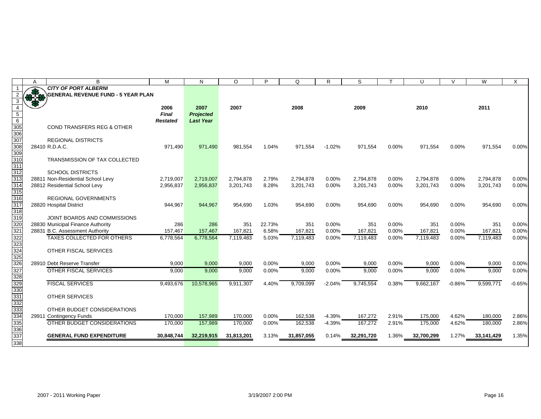|                                       | A | B                                         | M               | N                | $\circ$        | P      | Q          | R        | S          |          | U          | $\vee$   | W          | X        |
|---------------------------------------|---|-------------------------------------------|-----------------|------------------|----------------|--------|------------|----------|------------|----------|------------|----------|------------|----------|
|                                       |   | <b>CITY OF PORT ALBERNI</b>               |                 |                  |                |        |            |          |            |          |            |          |            |          |
| $\overline{2}$                        |   | <b>GENERAL REVENUE FUND - 5 YEAR PLAN</b> |                 |                  |                |        |            |          |            |          |            |          |            |          |
| 3                                     |   |                                           |                 |                  |                |        |            |          |            |          |            |          |            |          |
| $\overline{4}$                        |   |                                           | 2006            | 2007             | 2007           |        | 2008       |          | 2009       |          | 2010       |          | 2011       |          |
|                                       |   |                                           | <b>Final</b>    | <b>Projected</b> |                |        |            |          |            |          |            |          |            |          |
| $\begin{array}{c} 5 \\ 6 \end{array}$ |   |                                           | <b>Restated</b> | <b>Last Year</b> |                |        |            |          |            |          |            |          |            |          |
| $\frac{1}{305}$                       |   | <b>COND TRANSFERS REG &amp; OTHER</b>     |                 |                  |                |        |            |          |            |          |            |          |            |          |
| 306                                   |   |                                           |                 |                  |                |        |            |          |            |          |            |          |            |          |
| 307                                   |   | <b>REGIONAL DISTRICTS</b>                 |                 |                  |                |        |            |          |            |          |            |          |            |          |
| 308                                   |   | 28410 R.D.A.C.                            | 971,490         | 971,490          | 981,554        | 1.04%  | 971,554    | $-1.02%$ | 971,554    | 0.00%    | 971,554    | 0.00%    | 971,554    | 0.00%    |
| 309                                   |   |                                           |                 |                  |                |        |            |          |            |          |            |          |            |          |
| 310                                   |   | TRANSMISSION OF TAX COLLECTED             |                 |                  |                |        |            |          |            |          |            |          |            |          |
| 311                                   |   |                                           |                 |                  |                |        |            |          |            |          |            |          |            |          |
| 312                                   |   | <b>SCHOOL DISTRICTS</b>                   |                 |                  |                |        |            |          |            |          |            |          |            |          |
| 313                                   |   | 28811 Non-Residential School Levy         | 2,719,007       | 2,719,007        | 2.794.878      | 2.79%  | 2.794.878  | 0.00%    | 2,794,878  | 0.00%    | 2.794.878  | 0.00%    | 2,794,878  | 0.00%    |
| 314                                   |   | 28812 Residential School Levy             | 2,956,837       | 2,956,837        | 3,201,743      | 8.28%  | 3,201,743  | 0.00%    | 3,201,743  | 0.00%    | 3,201,743  | 0.00%    | 3,201,743  | 0.00%    |
| 315                                   |   |                                           |                 |                  |                |        |            |          |            |          |            |          |            |          |
| 316                                   |   | <b>REGIONAL GOVERNMENTS</b>               |                 |                  |                |        |            |          |            |          |            |          |            |          |
| 317                                   |   | 28820 Hospital District                   | 944,967         | 944,967          | 954,690        | 1.03%  | 954,690    | 0.00%    | 954,690    | 0.00%    | 954,690    | 0.00%    | 954,690    | 0.00%    |
| 318                                   |   |                                           |                 |                  |                |        |            |          |            |          |            |          |            |          |
|                                       |   | JOINT BOARDS AND COMMISSIONS              |                 |                  |                |        |            |          |            |          |            |          |            |          |
|                                       |   | 28830 Municipal Finance Authority         | 286             | 286              | 351            | 22.73% | 351        | 0.00%    | 351        | 0.00%    | 351        | 0.00%    | 351        | 0.00%    |
| $\frac{1}{319}$<br>$\frac{320}{321}$  |   | 28831 B.C. Assessment Authority           | 157,467         | 157,467          | 167,821        | 6.58%  | 167,821    | 0.00%    | 167,821    | 0.00%    | 167,821    | 0.00%    | 167,821    | 0.00%    |
| 322                                   |   | <b>TAXES COLLECTED FOR OTHERS</b>         | 6,778,564       | 6,778,564        | 7,119,483      | 5.03%  | 7,119,483  | 0.00%    | 7,119,483  | 0.00%    | 7,119,483  | 0.00%    | 7,119,483  | 0.00%    |
|                                       |   |                                           |                 |                  |                |        |            |          |            |          |            |          |            |          |
|                                       |   | OTHER FISCAL SERVICES                     |                 |                  |                |        |            |          |            |          |            |          |            |          |
|                                       |   |                                           |                 |                  |                |        |            |          |            |          |            |          |            |          |
| 323<br>324<br>325<br>326              |   | 28910 Debt Reserve Transfer               | 9,000           | 9,000            |                | 0.00%  | 9,000      | $0.00\%$ | 9,000      | $0.00\%$ | 9,000      | 0.00%    | 9,000      | 0.00%    |
|                                       |   | OTHER FISCAL SERVICES                     | 9.000           |                  | 9,000<br>9,000 | 0.00%  |            |          |            | 0.00%    |            |          |            |          |
|                                       |   |                                           |                 | 9,000            |                |        | 9,000      | 0.00%    | 9,000      |          | 9,000      | 0.00%    | 9,000      | 0.00%    |
| 327<br>328<br>329<br>330<br>331       |   |                                           |                 |                  |                |        |            |          |            |          |            |          |            |          |
|                                       |   | <b>FISCAL SERVICES</b>                    | 9,493,676       | 10,578,965       | 9,911,307      | 4.40%  | 9,709,099  | $-2.04%$ | 9,745,554  | 0.38%    | 9,662,167  | $-0.86%$ | 9,599,771  | $-0.65%$ |
|                                       |   |                                           |                 |                  |                |        |            |          |            |          |            |          |            |          |
|                                       |   | <b>OTHER SERVICES</b>                     |                 |                  |                |        |            |          |            |          |            |          |            |          |
|                                       |   |                                           |                 |                  |                |        |            |          |            |          |            |          |            |          |
| <u>---</u><br>332<br>333<br>334       |   | OTHER BUDGET CONSIDERATIONS               |                 |                  |                |        |            |          |            |          |            |          |            |          |
|                                       |   | 29911 Contingency Funds                   | 170,000         | 157,989          | 170,000        | 0.00%  | 162,538    | $-4.39%$ | 167,272    | 2.91%    | 175,000    | 4.62%    | 180,000    | 2.86%    |
| 335                                   |   | OTHER BUDGET CONSIDERATIONS               | 170,000         | 157,989          | 170,000        | 0.00%  | 162,538    | $-4.39%$ | 167,272    | 2.91%    | 175,000    | 4.62%    | 180,000    | 2.86%    |
| 336                                   |   |                                           |                 |                  |                |        |            |          |            |          |            |          |            |          |
| 337                                   |   | <b>GENERAL FUND EXPENDITURE</b>           | 30.848.744      | 32.219.915       | 31.813.201     | 3.13%  | 31.857.055 | 0.14%    | 32.291.720 | 1.36%    | 32.700.299 | 1.27%    | 33,141,429 | 1.35%    |
| 338                                   |   |                                           |                 |                  |                |        |            |          |            |          |            |          |            |          |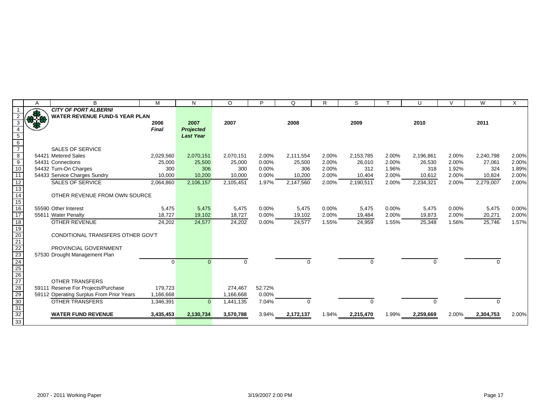|                                                                            | A        | B                                        | M            | N                | $\circ$   | Þ        | Q         | R     | S            |       | U         | $\mathcal{U}$ | W         | X     |
|----------------------------------------------------------------------------|----------|------------------------------------------|--------------|------------------|-----------|----------|-----------|-------|--------------|-------|-----------|---------------|-----------|-------|
|                                                                            |          | <b>CITY OF PORT ALBERNI</b>              |              |                  |           |          |           |       |              |       |           |               |           |       |
|                                                                            | $3 + 10$ | <b>WATER REVENUE FUND-5 YEAR PLAN</b>    |              |                  |           |          |           |       |              |       |           |               |           |       |
|                                                                            |          |                                          | 2006         | 2007             | 2007      |          | 2008      |       | 2009         |       | 2010      |               | 2011      |       |
|                                                                            |          |                                          | <b>Final</b> | <b>Projected</b> |           |          |           |       |              |       |           |               |           |       |
| $\begin{array}{c} 5 \\ 6 \\ 7 \end{array}$                                 |          |                                          |              | <b>Last Year</b> |           |          |           |       |              |       |           |               |           |       |
|                                                                            |          |                                          |              |                  |           |          |           |       |              |       |           |               |           |       |
|                                                                            |          | <b>SALES OF SERVICE</b>                  |              |                  |           |          |           |       |              |       |           |               |           |       |
| $\begin{array}{c}\n 8 \\  9 \\  \hline\n 10\n \end{array}$                 |          | 54421 Metered Sales                      | 2,029,560    | 2,070,151        | 2,070,151 | 2.00%    | 2,111,554 | 2.00% | 2,153,785    | 2.00% | 2,196,861 | 2.00%         | 2,240,798 | 2.00% |
|                                                                            |          | 54431 Connections                        | 25,000       | 25,500           | 25,000    | 0.00%    | 25,500    | 2.00% | 26,010       | 2.00% | 26,530    | 2.00%         | 27,061    | 2.00% |
|                                                                            |          | 54432 Turn-On Charges                    | 300          | 306              | 300       | 0.00%    | 306       | 2.00% | 312          | 1.96% | 318       | 1.92%         | 324       | 1.89% |
| 11                                                                         |          | 54433 Service Charges Sundry             | 10,000       | 10,200           | 10,000    | 0.00%    | 10,200    | 2.00% | 10,404       | 2.00% | 10,612    | 2.00%         | 10,824    | 2.00% |
| $\frac{12}{13}$<br>$\frac{13}{14}$<br>$\frac{15}{16}$                      |          | <b>SALES OF SERVICE</b>                  | 2,064,860    | 2,106,157        | 2,105,451 | 1.97%    | 2,147,560 | 2.00% | 2,190,511    | 2.00% | 2,234,321 | 2.00%         | 2,279,007 | 2.00% |
|                                                                            |          |                                          |              |                  |           |          |           |       |              |       |           |               |           |       |
|                                                                            |          | OTHER REVENUE FROM OWN SOURCE            |              |                  |           |          |           |       |              |       |           |               |           |       |
|                                                                            |          |                                          |              |                  |           |          |           |       |              |       |           |               |           |       |
|                                                                            |          | 55590 Other Interest                     | 5,475        | 5,475            | 5,475     | $0.00\%$ | 5,475     | 0.00% | 5,475        | 0.00% | 5,475     | 0.00%         | 5,475     | 0.00% |
| $\frac{1}{17}$                                                             |          | 55611 Water Penalty                      | 18,727       | 19,102           | 18,727    | 0.00%    | 19,102    | 2.00% | 19,484       | 2.00% | 19,873    | 2.00%         | 20,271    | 2.00% |
|                                                                            |          | <b>OTHER REVENUE</b>                     | 24,202       | 24,577           | 24,202    | 0.00%    | 24,577    | 1.55% | 24,959       | 1.55% | 25,348    | 1.56%         | 25,746    | 1.57% |
|                                                                            |          |                                          |              |                  |           |          |           |       |              |       |           |               |           |       |
|                                                                            |          | CONDITIONAL TRANSFERS OTHER GOV'T        |              |                  |           |          |           |       |              |       |           |               |           |       |
|                                                                            |          |                                          |              |                  |           |          |           |       |              |       |           |               |           |       |
|                                                                            |          | PROVINCIAL GOVERNMENT                    |              |                  |           |          |           |       |              |       |           |               |           |       |
|                                                                            |          | 57530 Drought Management Plan            |              |                  |           |          |           |       |              |       |           |               |           |       |
|                                                                            |          |                                          | $\Omega$     |                  | $\Omega$  |          | $\Omega$  |       | 0            |       | $\Omega$  |               | O         |       |
|                                                                            |          |                                          |              |                  |           |          |           |       |              |       |           |               |           |       |
|                                                                            |          |                                          |              |                  |           |          |           |       |              |       |           |               |           |       |
|                                                                            |          | <b>OTHER TRANSFERS</b>                   |              |                  |           |          |           |       |              |       |           |               |           |       |
|                                                                            |          | 59111 Reserve For Projects/Purchase      | 179,723      |                  | 274,467   | 52.72%   |           |       |              |       |           |               |           |       |
|                                                                            |          | 59112 Operating Surplus From Prior Years | 1,166,668    |                  | 1,166,668 | 0.00%    |           |       |              |       |           |               |           |       |
|                                                                            |          | <b>OTHER TRANSFERS</b>                   | 1,346,391    | $\Omega$         | 1,441,135 | 7.04%    |           |       | <sup>0</sup> |       |           |               | $\Omega$  |       |
|                                                                            |          |                                          |              |                  |           |          |           |       |              |       |           |               |           |       |
| 18<br>19<br>20<br>21<br>22<br>23<br>22<br>28<br>29<br>30<br>33<br>33<br>33 |          | <b>WATER FUND REVENUE</b>                | 3,435,453    | 2,130,734        | 3,570,788 | 3.94%    | 2,172,137 | 1.94% | 2,215,470    | 1.99% | 2,259,669 | 2.00%         | 2,304,753 | 2.00% |
|                                                                            |          |                                          |              |                  |           |          |           |       |              |       |           |               |           |       |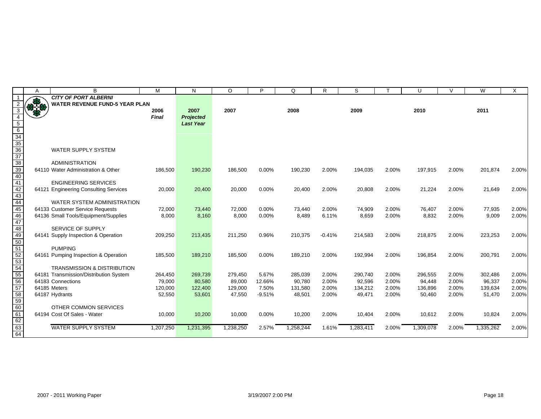|                           | Α          | B                                      | M            | N                | $\circ$   | P        | Q         | R.       | S         |       | U         | $\vee$ | W         | X     |
|---------------------------|------------|----------------------------------------|--------------|------------------|-----------|----------|-----------|----------|-----------|-------|-----------|--------|-----------|-------|
|                           |            | <b>CITY OF PORT ALBERNI</b>            |              |                  |           |          |           |          |           |       |           |        |           |       |
|                           | <b>REA</b> | <b>WATER REVENUE FUND-5 YEAR PLAN</b>  |              |                  |           |          |           |          |           |       |           |        |           |       |
|                           |            |                                        | 2006         | 2007             | 2007      |          | 2008      |          | 2009      |       | 2010      |        | 2011      |       |
|                           |            |                                        | <b>Final</b> | <b>Projected</b> |           |          |           |          |           |       |           |        |           |       |
|                           |            |                                        |              | <b>Last Year</b> |           |          |           |          |           |       |           |        |           |       |
|                           |            |                                        |              |                  |           |          |           |          |           |       |           |        |           |       |
| 34<br>35                  |            |                                        |              |                  |           |          |           |          |           |       |           |        |           |       |
|                           |            |                                        |              |                  |           |          |           |          |           |       |           |        |           |       |
| $\frac{1}{6}$             |            | <b>WATER SUPPLY SYSTEM</b>             |              |                  |           |          |           |          |           |       |           |        |           |       |
|                           |            |                                        |              |                  |           |          |           |          |           |       |           |        |           |       |
| 38<br>39                  |            | <b>ADMINISTRATION</b>                  |              |                  |           |          |           |          |           |       |           |        |           |       |
|                           |            | 64110 Water Administration & Other     | 186,500      | 190,230          | 186,500   | 0.00%    | 190,230   | 2.00%    | 194,035   | 2.00% | 197,915   | 2.00%  | 201,874   | 2.00% |
| $\overline{10}$           |            |                                        |              |                  |           |          |           |          |           |       |           |        |           |       |
|                           |            | <b>ENGINEERING SERVICES</b>            |              |                  |           |          |           |          |           |       |           |        |           |       |
| $\frac{12}{13}$           |            | 64121 Engineering Consulting Services  | 20,000       | 20,400           | 20,000    | 0.00%    | 20,400    | 2.00%    | 20,808    | 2.00% | 21,224    | 2.00%  | 21,649    | 2.00% |
|                           |            |                                        |              |                  |           |          |           |          |           |       |           |        |           |       |
| $\overline{4}$            |            | WATER SYSTEM ADMINISTRATION            |              |                  |           |          |           |          |           |       |           |        |           |       |
| $\overline{5}$            |            | 64133 Customer Service Requests        | 72,000       | 73,440           | 72,000    | 0.00%    | 73,440    | 2.00%    | 74,909    | 2.00% | 76,407    | 2.00%  | 77,935    | 2.00% |
| $\overline{6}$            |            | 64136 Small Tools/Equipment/Supplies   | 8,000        | 8,160            | 8,000     | 0.00%    | 8,489     | 6.11%    | 8,659     | 2.00% | 8,832     | 2.00%  | 9,009     | 2.00% |
| $\overline{7}$            |            |                                        |              |                  |           |          |           |          |           |       |           |        |           |       |
| $\overline{8}$            |            | SERVICE OF SUPPLY                      |              |                  |           |          |           |          |           |       |           |        |           |       |
| I9                        |            | 64141 Supply Inspection & Operation    | 209,250      | 213,435          | 211,250   | 0.96%    | 210,375   | $-0.41%$ | 214,583   | 2.00% | 218,875   | 2.00%  | 223,253   | 2.00% |
| $\overline{\overline{0}}$ |            |                                        |              |                  |           |          |           |          |           |       |           |        |           |       |
|                           |            | <b>PUMPING</b>                         |              |                  |           |          |           |          |           |       |           |        |           |       |
| $\frac{52}{53}$           |            | 64161 Pumping Inspection & Operation   | 185,500      | 189,210          | 185,500   | 0.00%    | 189,210   | 2.00%    | 192,994   | 2.00% | 196,854   | 2.00%  | 200,791   | 2.00% |
|                           |            |                                        |              |                  |           |          |           |          |           |       |           |        |           |       |
| $\overline{54}$           |            | <b>TRANSMISSION &amp; DISTRIBUTION</b> |              |                  |           |          |           |          |           |       |           |        |           |       |
| $\overline{5}$            |            | 64181 Transmission/Distribution System | 264,450      | 269,739          | 279,450   | 5.67%    | 285,039   | 2.00%    | 290,740   | 2.00% | 296,555   | 2.00%  | 302,486   | 2.00% |
| $\overline{56}$           |            | 64183 Connections                      | 79,000       | 80,580           | 89,000    | 12.66%   | 90,780    | 2.00%    | 92,596    | 2.00% | 94.448    | 2.00%  | 96,337    | 2.00% |
| 57                        |            | 64185 Meters                           | 120,000      | 122,400          | 129,000   | 7.50%    | 131,580   | 2.00%    | 134,212   | 2.00% | 136,896   | 2.00%  | 139,634   | 2.00% |
| $\overline{\mathbf{8}}$   |            | 64187 Hydrants                         | 52,550       | 53,601           | 47,550    | $-9.51%$ | 48,501    | 2.00%    | 49,471    | 2.00% | 50,460    | 2.00%  | 51,470    | 2.00% |
| $\overline{59}$           |            |                                        |              |                  |           |          |           |          |           |       |           |        |           |       |
| $\overline{\delta}$       |            | OTHER COMMON SERVICES                  |              |                  |           |          |           |          |           |       |           |        |           |       |
| $\mathbf{S}$              |            | 64194 Cost Of Sales - Water            | 10,000       | 10,200           | 10,000    | 0.00%    | 10,200    | 2.00%    | 10,404    | 2.00% | 10,612    | 2.00%  | 10,824    | 2.00% |
|                           |            |                                        |              |                  |           |          |           |          |           |       |           |        |           |       |
| $\overline{\mathbf{3}}$   |            | <b>WATER SUPPLY SYSTEM</b>             | 1,207,250    | 1,231,395        | 1,238,250 | 2.57%    | 1,258,244 | 1.61%    | 1,283,411 | 2.00% | 1,309,078 | 2.00%  | 1,335,262 | 2.00% |
| 34                        |            |                                        |              |                  |           |          |           |          |           |       |           |        |           |       |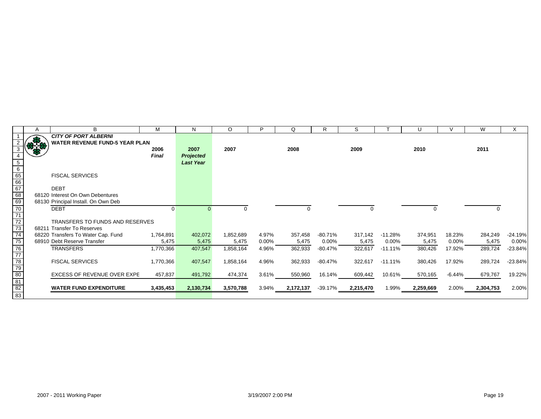|                                                                                      | A             | B                                     | M            | N                | $\circ$   | Þ        | Q         | R          | S         |            | U         |          | W         | X         |
|--------------------------------------------------------------------------------------|---------------|---------------------------------------|--------------|------------------|-----------|----------|-----------|------------|-----------|------------|-----------|----------|-----------|-----------|
|                                                                                      |               | <b>CITY OF PORT ALBERNI</b>           |              |                  |           |          |           |            |           |            |           |          |           |           |
|                                                                                      | $\frac{1}{2}$ | <b>WATER REVENUE FUND-5 YEAR PLAN</b> |              |                  |           |          |           |            |           |            |           |          |           |           |
|                                                                                      |               |                                       | 2006         | 2007             | 2007      |          | 2008      |            | 2009      |            | 2010      |          | 2011      |           |
|                                                                                      |               |                                       | <b>Final</b> | <b>Projected</b> |           |          |           |            |           |            |           |          |           |           |
|                                                                                      |               |                                       |              | <b>Last Year</b> |           |          |           |            |           |            |           |          |           |           |
|                                                                                      |               |                                       |              |                  |           |          |           |            |           |            |           |          |           |           |
|                                                                                      |               | <b>FISCAL SERVICES</b>                |              |                  |           |          |           |            |           |            |           |          |           |           |
|                                                                                      |               |                                       |              |                  |           |          |           |            |           |            |           |          |           |           |
|                                                                                      |               | <b>DEBT</b>                           |              |                  |           |          |           |            |           |            |           |          |           |           |
|                                                                                      |               | 68120 Interest On Own Debentures      |              |                  |           |          |           |            |           |            |           |          |           |           |
|                                                                                      |               | 68130 Principal Install. On Own Deb   |              |                  |           |          |           |            |           |            |           |          |           |           |
| 5<br>6<br>6<br>6<br>6<br>6<br>6<br>8<br>7<br>7<br>7<br>7<br>7<br>7<br>7<br><br><br>7 |               | <b>DEBT</b>                           | 0            |                  |           |          | 0         |            | 0         |            | 0         |          |           |           |
|                                                                                      |               | TRANSFERS TO FUNDS AND RESERVES       |              |                  |           |          |           |            |           |            |           |          |           |           |
|                                                                                      |               | 68211 Transfer To Reserves            |              |                  |           |          |           |            |           |            |           |          |           |           |
|                                                                                      |               | 68220 Transfers To Water Cap. Fund    | 1,764,891    | 402,072          | 1,852,689 | 4.97%    | 357,458   | $-80.71\%$ | 317,142   | $-11.28%$  | 374,951   | 18.23%   | 284,249   | $-24.19%$ |
|                                                                                      |               | 68910 Debt Reserve Transfer           | 5,475        | 5,475            | 5,475     | $0.00\%$ | 5,475     | $0.00\%$   | 5,475     | $0.00\%$   | 5,475     | $0.00\%$ | 5,475     | 0.00%     |
|                                                                                      |               | <b>TRANSFERS</b>                      | 1,770,366    | 407,547          | 1,858,164 | 4.96%    | 362,933   | -80.47%    | 322,617   | $-11.11%$  | 380,426   | 17.92%   | 289,724   | $-23.84%$ |
|                                                                                      |               |                                       |              |                  |           |          |           |            |           |            |           |          |           |           |
|                                                                                      |               | <b>FISCAL SERVICES</b>                | 1,770,366    | 407,547          | 1,858,164 | 4.96%    | 362,933   | -80.47%    | 322,617   | $-11.11\%$ | 380,426   | 17.92%   | 289,724   | $-23.84%$ |
|                                                                                      |               |                                       |              |                  |           |          |           |            |           |            |           |          |           |           |
|                                                                                      |               | <b>EXCESS OF REVENUE OVER EXPE</b>    | 457,837      | 491,792          | 474,374   | 3.61%    | 550,960   | 16.14%     | 609,442   | 10.61%     | 570,165   | -6.44%   | 679,767   | 19.22%    |
|                                                                                      |               |                                       |              |                  |           |          |           |            |           |            |           |          |           |           |
| 76<br>77<br>78<br>79<br>80<br>81<br>82<br>83                                         |               | <b>WATER FUND EXPENDITURE</b>         | 3,435,453    | 2,130,734        | 3,570,788 | 3.94%    | 2,172,137 | -39.17%    | 2,215,470 | 1.99%      | 2,259,669 | 2.00%    | 2,304,753 | 2.00%     |
|                                                                                      |               |                                       |              |                  |           |          |           |            |           |            |           |          |           |           |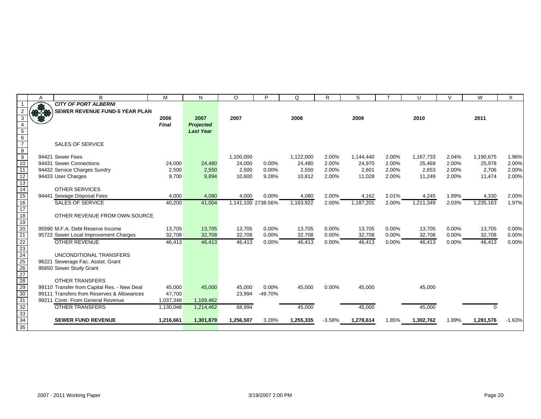|                                              | A    | B                                           | M         | N                | $\circ$            | P       | Q         | R        | S         |       | U         | $\vee$ | W         | X        |
|----------------------------------------------|------|---------------------------------------------|-----------|------------------|--------------------|---------|-----------|----------|-----------|-------|-----------|--------|-----------|----------|
|                                              |      | <b>CITY OF PORT ALBERNI</b>                 |           |                  |                    |         |           |          |           |       |           |        |           |          |
|                                              | $+3$ | <b>SEWER REVENUE FUND-5 YEAR PLAN</b>       |           |                  |                    |         |           |          |           |       |           |        |           |          |
| 3                                            |      |                                             | 2006      | 2007             | 2007               |         | 2008      |          | 2009      |       | 2010      |        | 2011      |          |
|                                              |      |                                             | Final     | Projected        |                    |         |           |          |           |       |           |        |           |          |
| $\begin{array}{c} 5 \\ 6 \\ 7 \end{array}$   |      |                                             |           | <b>Last Year</b> |                    |         |           |          |           |       |           |        |           |          |
|                                              |      |                                             |           |                  |                    |         |           |          |           |       |           |        |           |          |
|                                              |      | <b>SALES OF SERVICE</b>                     |           |                  |                    |         |           |          |           |       |           |        |           |          |
| $\frac{8}{9}$                                |      |                                             |           |                  |                    |         |           |          |           |       |           |        |           |          |
|                                              |      | 94421 Sewer Fees                            |           |                  | 1,100,000          |         | 1,122,000 | 2.00%    | 1,144,440 | 2.00% | 1,167,733 | 2.04%  | 1,190,675 | 1.96%    |
| $\overline{10}$                              |      | 94431 Sewer Connections                     | 24,000    | 24,480           | 24,000             | 0.00%   | 24,480    | 2.00%    | 24,970    | 2.00% | 25,469    | 2.00%  | 25,978    | 2.00%    |
| 11                                           |      | 94432 Service Charges Sundry                | 2,500     | 2,550            | 2,500              | 0.00%   | 2,550     | 2.00%    | 2,601     | 2.00% | 2,653     | 2.00%  | 2,706     | 2.00%    |
| $\overline{12}$                              |      | 94433 User Charges                          | 9,700     | 9,894            | 10,600             | 9.28%   | 10,812    | 2.00%    | 11,028    | 2.00% | 11,249    | 2.00%  | 11,474    | 2.00%    |
| $\frac{11}{13}$<br>$\frac{14}{15}$           |      |                                             |           |                  |                    |         |           |          |           |       |           |        |           |          |
|                                              |      | <b>OTHER SERVICES</b>                       |           |                  |                    |         |           |          |           |       |           |        |           |          |
|                                              |      | 94441 Sewage Disposal Fees                  | 4,000     | 4,080            | 4,000              | 0.00%   | 4,080     | 2.00%    | 4,162     | 2.01% | 4,245     | 1.99%  | 4,330     | 2.00%    |
| $\overline{16}$                              |      | <b>SALES OF SERVICE</b>                     | 40,200    | 41,004           | 1,141,100 2738.56% |         | 1,163,922 | 2.00%    | 1,187,201 | 2.00% | 1,211,349 | 2.03%  | 1,235,163 | 1.97%    |
| 17                                           |      |                                             |           |                  |                    |         |           |          |           |       |           |        |           |          |
| 18                                           |      | OTHER REVENUE FROM OWN SOURCE               |           |                  |                    |         |           |          |           |       |           |        |           |          |
| 19                                           |      |                                             |           |                  |                    |         |           |          |           |       |           |        |           |          |
|                                              |      | 95590 M.F.A. Debt Reserve Income            | 13,705    | 13,705           | 13,705             | 0.00%   | 13,705    | 0.00%    | 13,705    | 0.00% | 13,705    | 0.00%  | 13,705    | 0.00%    |
| 20<br>21 22 23<br>24 25 26 27 28<br>29 29 29 |      | 95722 Sewer Local Improvement Charges       | 32,708    | 32,708           | 32,708             | 0.00%   | 32,708    | 0.00%    | 32,708    | 0.00% | 32,708    | 0.00%  | 32,708    | 0.00%    |
|                                              |      | <b>OTHER REVENUE</b>                        | 46,413    | 46,413           | 46,413             | 0.00%   | 46,413    | 0.00%    | 46,413    | 0.00% | 46,413    | 0.00%  | 46,413    | 0.00%    |
|                                              |      |                                             |           |                  |                    |         |           |          |           |       |           |        |           |          |
|                                              |      | UNCONDITIONAL TRANSFERS                     |           |                  |                    |         |           |          |           |       |           |        |           |          |
|                                              |      | 96221 Sewerage Fac. Assist. Grant           |           |                  |                    |         |           |          |           |       |           |        |           |          |
|                                              |      | 95650 Sewer Study Grant                     |           |                  |                    |         |           |          |           |       |           |        |           |          |
|                                              |      |                                             |           |                  |                    |         |           |          |           |       |           |        |           |          |
|                                              |      | <b>OTHER TRANSFERS</b>                      |           |                  |                    |         |           |          |           |       |           |        |           |          |
|                                              |      | 99110 Transfer from Capital Res. - New Deal | 45,000    | 45,000           | 45,000             | 0.00%   | 45,000    | 0.00%    | 45,000    |       | 45,000    |        |           |          |
|                                              |      | 99111 Transfers from Reserves & Allowances  | 47,700    |                  | 23,994             | -49.70% |           |          |           |       |           |        |           |          |
| 31                                           |      | 99211 Contr. From General Revenue           | 1,037,348 | 1,169,462        |                    |         |           |          |           |       |           |        |           |          |
| 32<br>33<br>34                               |      | <b>OTHER TRANSFERS</b>                      | 1,130,048 | 1,214,462        | 68,994             |         | 45,000    |          | 45,000    |       | 45,000    |        | $\Omega$  |          |
|                                              |      |                                             |           |                  |                    |         |           |          |           |       |           |        |           |          |
|                                              |      | <b>SEWER FUND REVENUE</b>                   | 1,216,661 | 1,301,879        | 1,256,507          | 3.28%   | 1,255,335 | $-3.58%$ | 1,278,614 | 1.85% | 1,302,762 | 1.89%  | 1,281,576 | $-1.63%$ |
| 35                                           |      |                                             |           |                  |                    |         |           |          |           |       |           |        |           |          |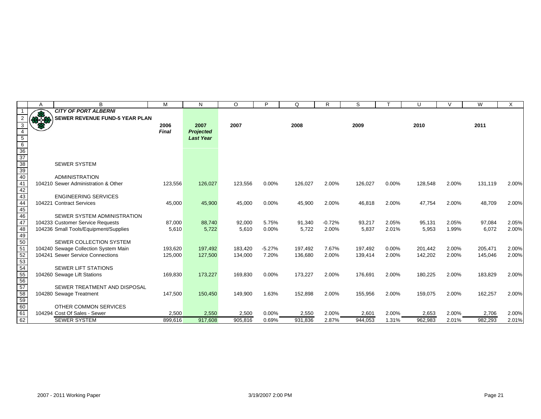|                                              | Α             | B                                     | M       | N                | $\circ$ | P        | Q       | R        | S       |       | U       | $\mathcal{U}$ | W       | X     |
|----------------------------------------------|---------------|---------------------------------------|---------|------------------|---------|----------|---------|----------|---------|-------|---------|---------------|---------|-------|
|                                              |               | <b>CITY OF PORT ALBERNI</b>           |         |                  |         |          |         |          |         |       |         |               |         |       |
|                                              | $\frac{1}{2}$ | <b>SEWER REVENUE FUND-5 YEAR PLAN</b> |         |                  |         |          |         |          |         |       |         |               |         |       |
| 3                                            |               |                                       | 2006    | 2007             | 2007    |          | 2008    |          | 2009    |       | 2010    |               | 2011    |       |
| $\overline{4}$                               |               |                                       | Final   | <b>Projected</b> |         |          |         |          |         |       |         |               |         |       |
|                                              |               |                                       |         | <b>Last Year</b> |         |          |         |          |         |       |         |               |         |       |
| $rac{5}{6}$<br>$rac{6}{36}$<br>$rac{36}{37}$ |               |                                       |         |                  |         |          |         |          |         |       |         |               |         |       |
|                                              |               |                                       |         |                  |         |          |         |          |         |       |         |               |         |       |
|                                              |               |                                       |         |                  |         |          |         |          |         |       |         |               |         |       |
|                                              |               | <b>SEWER SYSTEM</b>                   |         |                  |         |          |         |          |         |       |         |               |         |       |
| $\frac{38}{39}$<br>$\frac{40}{9}$            |               |                                       |         |                  |         |          |         |          |         |       |         |               |         |       |
|                                              |               | <b>ADMINISTRATION</b>                 |         |                  |         |          |         |          |         |       |         |               |         |       |
| 41                                           |               | 104210 Sewer Administration & Other   | 123,556 | 126,027          | 123,556 | 0.00%    | 126,027 | 2.00%    | 126,027 | 0.00% | 128,548 | 2.00%         | 131,119 | 2.00% |
| 42                                           |               |                                       |         |                  |         |          |         |          |         |       |         |               |         |       |
| 43                                           |               | <b>ENGINEERING SERVICES</b>           |         |                  |         |          |         |          |         |       |         |               |         |       |
| $\frac{1}{44}$                               |               | 104221 Contract Services              | 45,000  | 45,900           | 45,000  | $0.00\%$ | 45,900  | 2.00%    | 46,818  | 2.00% | 47,754  | 2.00%         | 48,709  | 2.00% |
| 45                                           |               |                                       |         |                  |         |          |         |          |         |       |         |               |         |       |
| 46                                           |               | SEWER SYSTEM ADMINISTRATION           |         |                  |         |          |         |          |         |       |         |               |         |       |
| 47                                           |               | 104233 Customer Service Requests      | 87,000  | 88,740           | 92,000  | 5.75%    | 91,340  | $-0.72%$ | 93,217  | 2.05% | 95,131  | 2.05%         | 97,084  | 2.05% |
| 48                                           |               | 104236 Small Tools/Equipment/Supplies | 5,610   | 5,722            | 5,610   | 0.00%    | 5,722   | 2.00%    | 5,837   | 2.01% | 5,953   | 1.99%         | 6,072   | 2.00% |
| 49<br>50                                     |               | SEWER COLLECTION SYSTEM               |         |                  |         |          |         |          |         |       |         |               |         |       |
| 51                                           |               | 104240 Sewage Collection System Main  | 193,620 | 197,492          | 183,420 | $-5.27%$ | 197,492 | 7.67%    | 197,492 | 0.00% | 201,442 | 2.00%         | 205,471 | 2.00% |
| $\overline{52}$                              |               | 104241 Sewer Service Connections      | 125,000 | 127,500          | 134,000 | 7.20%    | 136,680 | 2.00%    | 139,414 | 2.00% | 142,202 | 2.00%         | 145,046 | 2.00% |
|                                              |               |                                       |         |                  |         |          |         |          |         |       |         |               |         |       |
| $\frac{53}{54}$                              |               | <b>SEWER LIFT STATIONS</b>            |         |                  |         |          |         |          |         |       |         |               |         |       |
|                                              |               | 104260 Sewage Lift Stations           | 169,830 | 173,227          | 169,830 | 0.00%    | 173,227 | 2.00%    | 176,691 | 2.00% | 180,225 | 2.00%         | 183,829 | 2.00% |
| $\frac{55}{56}$                              |               |                                       |         |                  |         |          |         |          |         |       |         |               |         |       |
|                                              |               | SEWER TREATMENT AND DISPOSAL          |         |                  |         |          |         |          |         |       |         |               |         |       |
|                                              |               | 104280 Sewage Treatment               | 147,500 | 150,450          | 149,900 | 1.63%    | 152,898 | 2.00%    | 155,956 | 2.00% | 159,075 | 2.00%         | 162,257 | 2.00% |
| $\frac{12}{57}$                              |               |                                       |         |                  |         |          |         |          |         |       |         |               |         |       |
| $\overline{60}$                              |               | OTHER COMMON SERVICES                 |         |                  |         |          |         |          |         |       |         |               |         |       |
| 61                                           |               | 104294 Cost Of Sales - Sewer          | 2,500   | 2,550            | 2,500   | 0.00%    | 2,550   | 2.00%    | 2,601   | 2.00% | 2,653   | 2.00%         | 2,706   | 2.00% |
| 62                                           |               | <b>SEWER SYSTEM</b>                   | 899,616 | 917,608          | 905,816 | 0.69%    | 931,836 | 2.87%    | 944,053 | 1.31% | 962,983 | 2.01%         | 982,293 | 2.01% |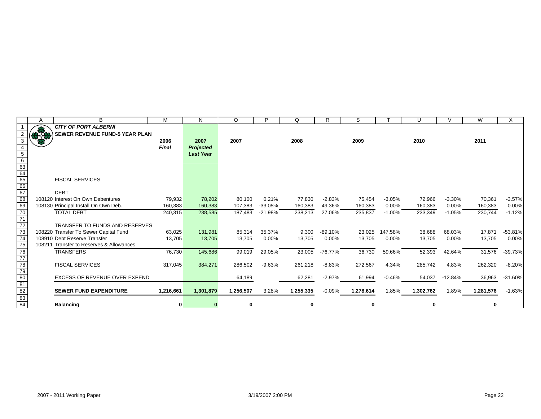|                                                                | Α   | B                                        | M            | N                | $\circ$   | P         | Q         | R         | S         |          | U         | $\mathcal{U}$ | W         | X         |
|----------------------------------------------------------------|-----|------------------------------------------|--------------|------------------|-----------|-----------|-----------|-----------|-----------|----------|-----------|---------------|-----------|-----------|
|                                                                |     | <b>CITY OF PORT ALBERNI</b>              |              |                  |           |           |           |           |           |          |           |               |           |           |
|                                                                | 878 | <b>SEWER REVENUE FUND-5 YEAR PLAN</b>    |              |                  |           |           |           |           |           |          |           |               |           |           |
| $\mathbf{3}$                                                   |     |                                          | 2006         | 2007             | 2007      |           | 2008      |           | 2009      |          | 2010      |               | 2011      |           |
|                                                                |     |                                          | <b>Final</b> | <b>Projected</b> |           |           |           |           |           |          |           |               |           |           |
| $\overline{5}$                                                 |     |                                          |              | <b>Last Year</b> |           |           |           |           |           |          |           |               |           |           |
| $\frac{6}{63}$ $\frac{63}{64}$ $\frac{64}{65}$ $\frac{67}{68}$ |     |                                          |              |                  |           |           |           |           |           |          |           |               |           |           |
|                                                                |     |                                          |              |                  |           |           |           |           |           |          |           |               |           |           |
|                                                                |     |                                          |              |                  |           |           |           |           |           |          |           |               |           |           |
|                                                                |     | <b>FISCAL SERVICES</b>                   |              |                  |           |           |           |           |           |          |           |               |           |           |
|                                                                |     |                                          |              |                  |           |           |           |           |           |          |           |               |           |           |
|                                                                |     | <b>DEBT</b>                              |              |                  |           |           |           |           |           |          |           |               |           |           |
|                                                                |     | 108120 Interest On Own Debentures        | 79,932       | 78,202           | 80,100    | 0.21%     | 77,830    | $-2.83%$  | 75,454    | $-3.05%$ | 72,966    | $-3.30%$      | 70,361    | $-3.57%$  |
| 69                                                             |     | 108130 Principal Install On Own Deb.     | 160,383      | 160,383          | 107,383   | $-33.05%$ | 160,383   | 49.36%    | 160,383   | 0.00%    | 160,383   | 0.00%         | 160,383   | 0.00%     |
| $\overline{70}$                                                |     | <b>TOTAL DEBT</b>                        | 240,315      | 238,585          | 187,483   | $-21.98%$ | 238,213   | 27.06%    | 235,837   | $-1.00%$ | 233,349   | $-1.05%$      | 230,744   | $-1.12%$  |
| $\frac{71}{72}$                                                |     |                                          |              |                  |           |           |           |           |           |          |           |               |           |           |
|                                                                |     | <b>TRANSFER TO FUNDS AND RESERVES</b>    |              |                  |           |           |           |           |           |          |           |               |           |           |
| $\frac{1}{73}$                                                 |     | 108220 Transfer To Sewer Capital Fund    | 63,025       | 131,981          | 85,314    | 35.37%    | 9,300     | $-89.10%$ | 23,025    | 147.58%  | 38,688    | 68.03%        | 17,871    | $-53.81%$ |
| $\overline{74}$                                                |     | 108910 Debt Reserve Transfer             | 13,705       | 13,705           | 13,705    | $0.00\%$  | 13,705    | 0.00%     | 13,705    | 0.00%    | 13,705    | 0.00%         | 13,705    | 0.00%     |
| $\overline{75}$                                                |     | 108211 Transfer to Reserves & Allowances |              |                  |           |           |           |           |           |          |           |               |           |           |
| 76<br>77<br>78<br>79<br>80                                     |     | <b>TRANSFERS</b>                         | 76,730       | 145,686          | 99,019    | 29.05%    | 23,005    | $-76.77%$ | 36,730    | 59.66%   | 52,393    | 42.64%        | 31,576    | $-39.73%$ |
|                                                                |     |                                          |              |                  |           |           |           |           |           |          |           |               |           |           |
|                                                                |     | <b>FISCAL SERVICES</b>                   | 317,045      | 384,271          | 286,502   | $-9.63%$  | 261,218   | $-8.83%$  | 272,567   | 4.34%    | 285,742   | 4.83%         | 262,320   | $-8.20%$  |
|                                                                |     |                                          |              |                  |           |           |           |           |           |          |           |               |           |           |
|                                                                |     | <b>EXCESS OF REVENUE OVER EXPEND</b>     |              |                  | 64,189    |           | 62,281    | $-2.97%$  | 61,994    | $-0.46%$ | 54,037    | $-12.84%$     | 36,963    | $-31.60%$ |
|                                                                |     |                                          |              |                  |           |           |           |           |           |          |           |               |           |           |
| $\frac{81}{82}$<br>$\frac{83}{84}$                             |     | <b>SEWER FUND EXPENDITURE</b>            | 1,216,661    | 1,301,879        | 1,256,507 | 3.28%     | 1,255,335 | $-0.09%$  | 1,278,614 | 1.85%    | 1,302,762 | 1.89%         | 1,281,576 | $-1.63%$  |
|                                                                |     |                                          |              |                  |           |           |           |           |           |          |           |               |           |           |
|                                                                |     | <b>Balancing</b>                         |              |                  | $\bf{0}$  |           | 0         |           | 0         |          | 0         |               | 0         |           |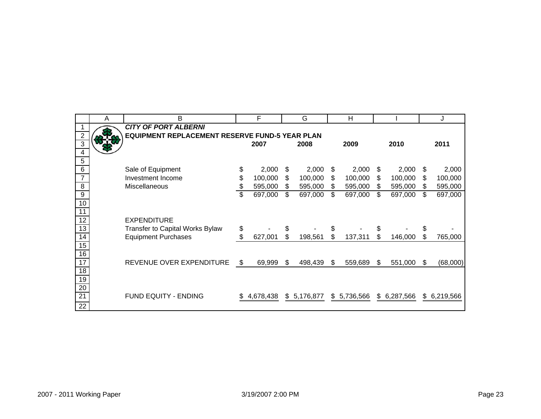|                 | Α | B                                              |    | F         |     | G           | H               |     |             |    | J           |
|-----------------|---|------------------------------------------------|----|-----------|-----|-------------|-----------------|-----|-------------|----|-------------|
|                 |   | <b>CITY OF PORT ALBERNI</b>                    |    |           |     |             |                 |     |             |    |             |
| $\overline{2}$  |   | EQUIPMENT REPLACEMENT RESERVE FUND-5 YEAR PLAN |    |           |     |             |                 |     |             |    |             |
| 3               |   |                                                |    | 2007      |     | 2008        | 2009            |     | 2010        |    | 2011        |
| 4               |   |                                                |    |           |     |             |                 |     |             |    |             |
| 5               |   |                                                |    |           |     |             |                 |     |             |    |             |
| 6               |   | Sale of Equipment                              | \$ | 2,000     | \$  | 2,000       | \$<br>2,000     | \$  | 2,000       | S  | 2,000       |
| $\overline{7}$  |   | Investment Income                              | \$ | 100,000   | \$  | 100,000     | \$<br>100,000   | \$  | 100,000     | S  | 100,000     |
| 8               |   | Miscellaneous                                  | \$ | 595,000   | \$. | 595,000     | \$<br>595,000   | \$  | 595,000     | S  | 595,000     |
| 9               |   |                                                | \$ | 697,000   | \$  | 697,000     | \$<br>697,000   | \$  | 697,000     | \$ | 697,000     |
| 10              |   |                                                |    |           |     |             |                 |     |             |    |             |
| 11              |   |                                                |    |           |     |             |                 |     |             |    |             |
| 12              |   | <b>EXPENDITURE</b>                             |    |           |     |             |                 |     |             |    |             |
| 13              |   | Transfer to Capital Works Bylaw                | \$ |           | \$  |             | \$              | \$  |             | \$ |             |
| 14              |   | <b>Equipment Purchases</b>                     | \$ | 627,001   | \$  | 198,561     | \$<br>137,311   | \$. | 146,000     |    | 765,000     |
| 15              |   |                                                |    |           |     |             |                 |     |             |    |             |
| 16              |   |                                                |    |           |     |             |                 |     |             |    |             |
| $\overline{17}$ |   | REVENUE OVER EXPENDITURE                       | \$ | 69,999    | \$  | 498,439     | \$<br>559,689   | \$  | 551,000     | \$ | (68,000)    |
| 18              |   |                                                |    |           |     |             |                 |     |             |    |             |
| 19              |   |                                                |    |           |     |             |                 |     |             |    |             |
| 20              |   |                                                |    |           |     |             |                 |     |             |    |             |
| 21              |   | FUND EQUITY - ENDING                           | S. | 4,678,438 |     | \$5,176,877 | \$<br>5,736,566 |     | \$6,287,566 |    | \$6,219,566 |
| 22              |   |                                                |    |           |     |             |                 |     |             |    |             |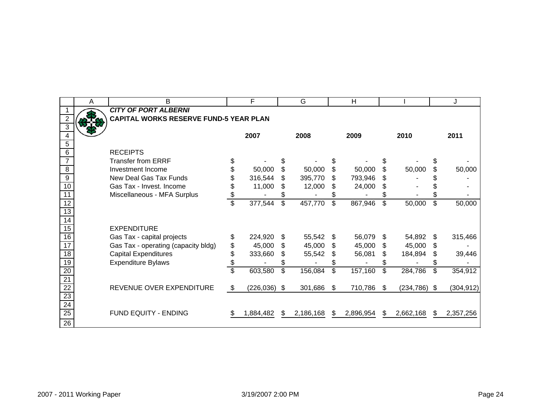|                 | A | B                                             |                          | F               |    | G         |    | H         |     |                |     | J          |
|-----------------|---|-----------------------------------------------|--------------------------|-----------------|----|-----------|----|-----------|-----|----------------|-----|------------|
|                 |   | <b>CITY OF PORT ALBERNI</b>                   |                          |                 |    |           |    |           |     |                |     |            |
| $\overline{c}$  |   | <b>CAPITAL WORKS RESERVE FUND-5 YEAR PLAN</b> |                          |                 |    |           |    |           |     |                |     |            |
| $\overline{3}$  |   |                                               |                          |                 |    |           |    |           |     |                |     |            |
| 4               |   |                                               |                          | 2007            |    | 2008      |    | 2009      |     | 2010           |     | 2011       |
| 5               |   |                                               |                          |                 |    |           |    |           |     |                |     |            |
| $\overline{6}$  |   | <b>RECEIPTS</b>                               |                          |                 |    |           |    |           |     |                |     |            |
| $\overline{7}$  |   | <b>Transfer from ERRF</b>                     | \$                       |                 |    |           |    |           |     |                |     |            |
| $\overline{8}$  |   | Investment Income                             | \$                       | 50,000          | \$ | 50,000    | \$ | 50,000    | \$  | 50,000         |     | 50,000     |
| $\overline{9}$  |   | New Deal Gas Tax Funds                        | \$                       | 316,544         | \$ | 395,770   | S  | 793,946   | \$. |                |     |            |
| 10              |   | Gas Tax - Invest, Income                      | \$                       | 11,000          | \$ | 12,000    | S  | 24,000    | S   |                |     |            |
| $\overline{11}$ |   | Miscellaneous - MFA Surplus                   | \$                       |                 |    |           | S  |           | S   |                |     |            |
| $\overline{12}$ |   |                                               | $\overline{\mathcal{S}}$ | 377,544         | \$ | 457,770   | \$ | 867,946   | \$  | 50,000         | \$  | 50,000     |
| 13              |   |                                               |                          |                 |    |           |    |           |     |                |     |            |
| $\overline{14}$ |   |                                               |                          |                 |    |           |    |           |     |                |     |            |
| 15              |   | <b>EXPENDITURE</b>                            |                          |                 |    |           |    |           |     |                |     |            |
| 16              |   | Gas Tax - capital projects                    | \$                       | 224,920         | \$ | 55,542    | S  | 56,079    | \$. | 54,892         | \$. | 315,466    |
| 17              |   | Gas Tax - operating (capacity bldg)           | \$                       | 45,000          | \$ | 45,000    | S  | 45,000    | \$  | 45,000         | S.  |            |
| 18              |   | <b>Capital Expenditures</b>                   | \$                       | 333,660         | \$ | 55,542    |    | 56,081    | \$  | 184,894        | \$. | 39,446     |
| 19              |   | <b>Expenditure Bylaws</b>                     | \$                       |                 | S  |           | \$ |           | S   |                | S   |            |
| $\overline{20}$ |   |                                               | $\overline{\mathbb{S}}$  | 603,580         | \$ | 156,084   | \$ | 157,160   | \$  | 284,786        | \$  | 354,912    |
| $\overline{21}$ |   |                                               |                          |                 |    |           |    |           |     |                |     |            |
| 22              |   | REVENUE OVER EXPENDITURE                      | \$                       | $(226, 036)$ \$ |    | 301,686   | S. | 710,786   | -S  | $(234,786)$ \$ |     | (304, 912) |
| 23              |   |                                               |                          |                 |    |           |    |           |     |                |     |            |
| $\overline{24}$ |   |                                               |                          |                 |    |           |    |           |     |                |     |            |
| $\overline{25}$ |   | <b>FUND EQUITY - ENDING</b>                   | S                        | 1,884,482       | S  | 2,186,168 | S. | 2,896,954 | \$. | 2,662,168      | \$. | 2,357,256  |
| $\overline{26}$ |   |                                               |                          |                 |    |           |    |           |     |                |     |            |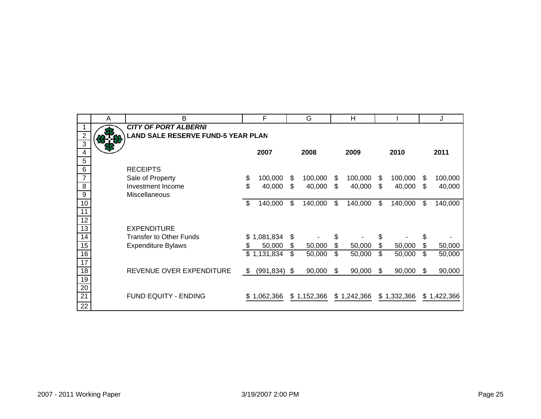|                         | Α | B                                         | F                         |    | G           | H             |     |             |     | J           |
|-------------------------|---|-------------------------------------------|---------------------------|----|-------------|---------------|-----|-------------|-----|-------------|
|                         |   | <b>CITY OF PORT ALBERNI</b>               |                           |    |             |               |     |             |     |             |
| $\overline{2}$          |   | <b>LAND SALE RESERVE FUND-5 YEAR PLAN</b> |                           |    |             |               |     |             |     |             |
| $\overline{3}$          |   |                                           |                           |    |             |               |     |             |     |             |
| 4                       |   |                                           | 2007                      |    | 2008        | 2009          |     | 2010        |     | 2011        |
| $\overline{5}$<br>$\,6$ |   | <b>RECEIPTS</b>                           |                           |    |             |               |     |             |     |             |
| $\overline{7}$          |   | Sale of Property                          | \$<br>100,000             | S  | 100,000     | \$<br>100,000 | \$  | 100,000     | \$  | 100,000     |
| 8                       |   | Investment Income                         | \$<br>40,000              | \$ | 40,000      | \$<br>40,000  | \$  | 40,000      | \$  | 40,000      |
| 9                       |   | Miscellaneous                             |                           |    |             |               |     |             |     |             |
| 10                      |   |                                           | \$<br>140,000             | \$ | 140,000     | \$<br>140,000 | \$  | 140,000     | \$  | 140,000     |
| 11                      |   |                                           |                           |    |             |               |     |             |     |             |
| $\overline{12}$         |   |                                           |                           |    |             |               |     |             |     |             |
| 13                      |   | <b>EXPENDITURE</b>                        |                           |    |             |               |     |             |     |             |
| $\overline{14}$         |   | <b>Transfer to Other Funds</b>            | \$1,081,834               | \$ |             | \$            | \$  |             | \$  |             |
| 15                      |   | <b>Expenditure Bylaws</b>                 | \$<br>50,000              | \$ | 50,000      | \$<br>50,000  | \$  | 50,000      | \$  | 50,000      |
| 16                      |   |                                           | $\overline{\$}$ 1,131,834 | \$ | 50,000      | \$<br>50,000  | \$  | 50,000      | \$  | 50,000      |
| 17                      |   |                                           |                           |    |             |               |     |             |     |             |
| $\overline{18}$         |   | REVENUE OVER EXPENDITURE                  | \$<br>$(991, 834)$ \$     |    | 90,000      | \$<br>90,000  | \$. | 90,000      | \$. | 90,000      |
| 19                      |   |                                           |                           |    |             |               |     |             |     |             |
| $\overline{20}$         |   |                                           |                           |    |             |               |     |             |     |             |
| $\overline{21}$         |   | FUND EQUITY - ENDING                      | \$1,062,366               |    | \$1,152,366 | \$1,242,366   |     | \$1,332,366 |     | \$1,422,366 |
| $\overline{22}$         |   |                                           |                           |    |             |               |     |             |     |             |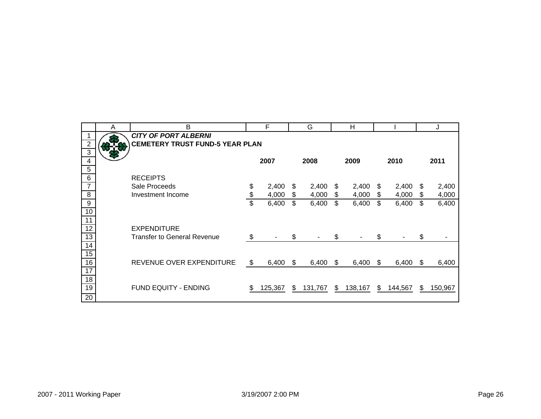|                  | A | B                                      | F           |     | G       |    | Н       |    |         |     | J       |
|------------------|---|----------------------------------------|-------------|-----|---------|----|---------|----|---------|-----|---------|
|                  |   | <b>CITY OF PORT ALBERNI</b>            |             |     |         |    |         |    |         |     |         |
| $\overline{c}$   |   | <b>CEMETERY TRUST FUND-5 YEAR PLAN</b> |             |     |         |    |         |    |         |     |         |
| 3                |   |                                        |             |     |         |    |         |    |         |     |         |
| 4                |   |                                        | 2007        |     | 2008    |    | 2009    |    | 2010    |     | 2011    |
| $\overline{5}$   |   |                                        |             |     |         |    |         |    |         |     |         |
| $\,6$            |   | <b>RECEIPTS</b>                        |             |     |         |    |         |    |         |     |         |
| $\overline{7}$   |   | Sale Proceeds                          | \$<br>2,400 | \$  | 2,400   | \$ | 2,400   | S  | 2,400   | S   | 2,400   |
| 8                |   | Investment Income                      | \$<br>4,000 | \$  | 4,000   | \$ | 4,000   | \$ | 4,000   | \$  | 4,000   |
| $\boldsymbol{9}$ |   |                                        | \$<br>6,400 | \$  | 6,400   | \$ | 6,400   | \$ | 6,400   | \$  | 6,400   |
| 10               |   |                                        |             |     |         |    |         |    |         |     |         |
| 11               |   |                                        |             |     |         |    |         |    |         |     |         |
| $\overline{12}$  |   | <b>EXPENDITURE</b>                     |             |     |         |    |         |    |         |     |         |
| $\overline{13}$  |   | <b>Transfer to General Revenue</b>     | \$          | \$  |         | \$ |         | \$ |         | \$  |         |
| 14               |   |                                        |             |     |         |    |         |    |         |     |         |
| 15               |   |                                        |             |     |         |    |         |    |         |     |         |
| 16               |   | REVENUE OVER EXPENDITURE               | \$<br>6,400 | \$. | 6,400   | S  | 6,400   | S  | 6,400   | \$. | 6,400   |
| 17               |   |                                        |             |     |         |    |         |    |         |     |         |
| 18               |   |                                        |             |     |         |    |         |    |         |     |         |
| 19               |   | FUND EQUITY - ENDING                   | 125,367     | S   | 131,767 | \$ | 138,167 | \$ | 144,567 | S   | 150,967 |
| 20               |   |                                        |             |     |         |    |         |    |         |     |         |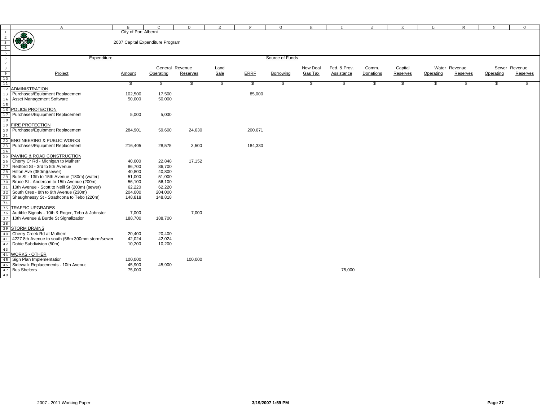|                                                                      | $\mathbb{A}$                                    | B                                | $\Gamma$        | D        | E             | F           | G               | H        |                   | J         | K        | L         | M             | N         | $\circ$       |
|----------------------------------------------------------------------|-------------------------------------------------|----------------------------------|-----------------|----------|---------------|-------------|-----------------|----------|-------------------|-----------|----------|-----------|---------------|-----------|---------------|
| $\mathbf{1}$                                                         |                                                 | City of Port Alberni             |                 |          |               |             |                 |          |                   |           |          |           |               |           |               |
| $\overline{2}$                                                       | 佛教                                              |                                  |                 |          |               |             |                 |          |                   |           |          |           |               |           |               |
| $\overline{\mathbf{3}}$                                              |                                                 | 2007 Capital Expenditure Program |                 |          |               |             |                 |          |                   |           |          |           |               |           |               |
| $\overline{4}$                                                       |                                                 |                                  |                 |          |               |             |                 |          |                   |           |          |           |               |           |               |
|                                                                      |                                                 |                                  |                 |          |               |             |                 |          |                   |           |          |           |               |           |               |
| $\begin{array}{r} 5 \\ 6 \\ 7 \\ 8 \\ \hline 9 \\ 10 \\ \end{array}$ | Expenditure                                     |                                  |                 |          |               |             | Source of Funds |          |                   |           |          |           |               |           |               |
|                                                                      |                                                 |                                  |                 |          |               |             |                 |          |                   |           |          |           |               |           |               |
|                                                                      |                                                 |                                  | General Revenue |          | Land          |             |                 | New Deal | Fed. & Prov.      | Comm.     | Capital  |           | Water Revenue |           | Sewer Revenue |
|                                                                      | Project                                         | Amount                           | Operating       | Reserves | Sale          | <b>ERRE</b> | Borrowing       | Gas Tax  | <b>Assistance</b> | Donations | Reserves | Operating | Reserves      | Operating | Reserves      |
|                                                                      |                                                 |                                  |                 |          |               |             |                 |          |                   |           |          |           |               |           |               |
| 11                                                                   |                                                 | \$                               | \$              | -S       | $\frac{1}{2}$ | - \$        | \$.             | - \$     | -S                | -S        | - 35     | - \$      | \$            | . ፕ       | £.            |
|                                                                      | <b>ADMINISTRATION</b>                           |                                  |                 |          |               |             |                 |          |                   |           |          |           |               |           |               |
|                                                                      | Purchases/Equipment Replacement                 | 102,500                          | 17,500          |          |               | 85,000      |                 |          |                   |           |          |           |               |           |               |
|                                                                      | Asset Management Software                       | 50,000                           | 50,000          |          |               |             |                 |          |                   |           |          |           |               |           |               |
|                                                                      |                                                 |                                  |                 |          |               |             |                 |          |                   |           |          |           |               |           |               |
|                                                                      | POLICE PROTECTION                               |                                  |                 |          |               |             |                 |          |                   |           |          |           |               |           |               |
|                                                                      | Purchases/Equipment Replacement                 | 5,000                            | 5,000           |          |               |             |                 |          |                   |           |          |           |               |           |               |
|                                                                      |                                                 |                                  |                 |          |               |             |                 |          |                   |           |          |           |               |           |               |
|                                                                      | <b>FIRE PROTECTION</b>                          |                                  |                 |          |               |             |                 |          |                   |           |          |           |               |           |               |
|                                                                      | Purchases/Equipment Replacement                 | 284,901                          | 59,600          | 24,630   |               | 200,671     |                 |          |                   |           |          |           |               |           |               |
|                                                                      |                                                 |                                  |                 |          |               |             |                 |          |                   |           |          |           |               |           |               |
|                                                                      | <b>ENGINEERING &amp; PUBLIC WORKS</b>           |                                  |                 |          |               |             |                 |          |                   |           |          |           |               |           |               |
|                                                                      | Purchases/Equipment Replacement                 | 216,405                          | 28,575          | 3,500    |               | 184,330     |                 |          |                   |           |          |           |               |           |               |
| 2.4                                                                  |                                                 |                                  |                 |          |               |             |                 |          |                   |           |          |           |               |           |               |
|                                                                      | PAVING & ROAD CONSTRUCTION                      |                                  |                 |          |               |             |                 |          |                   |           |          |           |               |           |               |
|                                                                      | Cherry Cr Rd - Michigan to Mulherr              | 40,000                           | 22,848          | 17,152   |               |             |                 |          |                   |           |          |           |               |           |               |
|                                                                      | Redford St - 3rd to 5th Avenue                  | 86,700                           | 86,700          |          |               |             |                 |          |                   |           |          |           |               |           |               |
|                                                                      | Hilton Ave (350m)(sewer)                        | 40,800                           | 40,800          |          |               |             |                 |          |                   |           |          |           |               |           |               |
|                                                                      | Bute St - 13th to 15th Avenue (180m) (water)    | 51,000                           | 51,000          |          |               |             |                 |          |                   |           |          |           |               |           |               |
|                                                                      | Bruce St - Anderson to 15th Avenue (200m)       | 56,100                           | 56,100          |          |               |             |                 |          |                   |           |          |           |               |           |               |
|                                                                      | 10th Avenue - Scott to Neill St (200m) (sewer)  | 62,220                           | 62,220          |          |               |             |                 |          |                   |           |          |           |               |           |               |
|                                                                      | South Cres - 8th to 9th Avenue (230m)           | 204,000                          | 204,000         |          |               |             |                 |          |                   |           |          |           |               |           |               |
|                                                                      | Shaughnessy St - Strathcona to Tebo (220m)      | 148,818                          | 148,818         |          |               |             |                 |          |                   |           |          |           |               |           |               |
| 34                                                                   |                                                 |                                  |                 |          |               |             |                 |          |                   |           |          |           |               |           |               |
| 35                                                                   | <b>TRAFFIC UPGRADES</b>                         |                                  |                 |          |               |             |                 |          |                   |           |          |           |               |           |               |
| 36                                                                   | Audible Signals - 10th & Roger, Tebo & Johnstor | 7,000                            |                 | 7,000    |               |             |                 |          |                   |           |          |           |               |           |               |
| 37                                                                   | 10th Avenue & Burde St Signalizatior            | 188,700                          | 188,700         |          |               |             |                 |          |                   |           |          |           |               |           |               |
| 38                                                                   |                                                 |                                  |                 |          |               |             |                 |          |                   |           |          |           |               |           |               |
| 39                                                                   | <b>STORM DRAINS</b>                             |                                  |                 |          |               |             |                 |          |                   |           |          |           |               |           |               |
| 40                                                                   | Cherry Creek Rd at Mulherr                      | 20,400                           | 20,400          |          |               |             |                 |          |                   |           |          |           |               |           |               |
|                                                                      | 4227 8th Avenue to south (56m 300mm storm/sewer | 42,024                           | 42,024          |          |               |             |                 |          |                   |           |          |           |               |           |               |
| 42                                                                   | Dobie Subdivision (50m)                         | 10,200                           | 10,200          |          |               |             |                 |          |                   |           |          |           |               |           |               |
| 43                                                                   |                                                 |                                  |                 |          |               |             |                 |          |                   |           |          |           |               |           |               |
| 44                                                                   | <b>WORKS - OTHER</b>                            |                                  |                 |          |               |             |                 |          |                   |           |          |           |               |           |               |
| 45                                                                   | Sign Plan Implementation                        | 100,000                          |                 | 100,000  |               |             |                 |          |                   |           |          |           |               |           |               |
| 46                                                                   | Sidewalk Replacements - 10th Avenue             | 45,900                           | 45,900          |          |               |             |                 |          |                   |           |          |           |               |           |               |
| 47                                                                   | <b>Bus Shelters</b>                             | 75,000                           |                 |          |               |             |                 |          | 75,000            |           |          |           |               |           |               |
| 48                                                                   |                                                 |                                  |                 |          |               |             |                 |          |                   |           |          |           |               |           |               |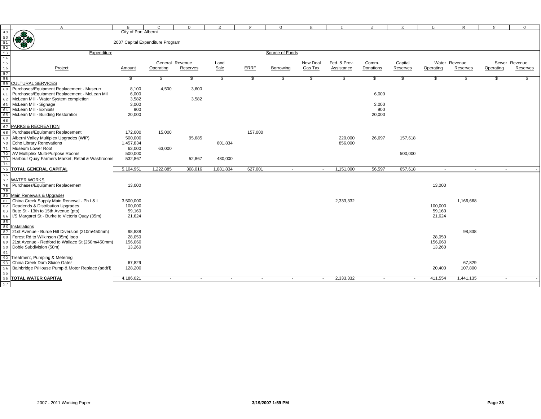|                                                 |                                                  | B                                |           | D.                       | E                        | F           |                 | H                        |              |           | K                        |           |               | $_{\rm N}$               | $\circ$       |
|-------------------------------------------------|--------------------------------------------------|----------------------------------|-----------|--------------------------|--------------------------|-------------|-----------------|--------------------------|--------------|-----------|--------------------------|-----------|---------------|--------------------------|---------------|
| 49                                              | $\mathbb{A}$                                     | City of Port Alberni             | C         |                          |                          |             | G               |                          |              | J         |                          |           | М             |                          |               |
| 50                                              |                                                  |                                  |           |                          |                          |             |                 |                          |              |           |                          |           |               |                          |               |
| 51                                              |                                                  | 2007 Capital Expenditure Program |           |                          |                          |             |                 |                          |              |           |                          |           |               |                          |               |
| 52                                              |                                                  |                                  |           |                          |                          |             |                 |                          |              |           |                          |           |               |                          |               |
|                                                 | Expenditure                                      |                                  |           |                          |                          |             | Source of Funds |                          |              |           |                          |           |               |                          |               |
| $\frac{53}{54}$ $\frac{55}{56}$ $\frac{56}{57}$ |                                                  |                                  |           |                          |                          |             |                 |                          |              |           |                          |           |               |                          |               |
|                                                 |                                                  |                                  |           | General Revenue          | Land                     |             |                 | New Deal                 | Fed. & Prov. | Comm.     | Capital                  |           | Water Revenue |                          | Sewer Revenue |
|                                                 | Project                                          | Amount                           | Operating | Reserves                 | Sale                     | <b>ERRF</b> | Borrowing       | <b>Gas Tax</b>           | Assistance   | Donations | Reserves                 | Operating | Reserves      | Operating                | Reserves      |
|                                                 |                                                  |                                  |           |                          |                          |             |                 |                          |              |           |                          |           |               |                          |               |
| 58                                              |                                                  | \$                               | \$        | \$                       | $\sqrt[6]{\frac{2}{5}}$  | \$          | \$              |                          | S            | \$        | \$                       | \$        | \$            |                          |               |
| 59                                              | <b>CULTURAL SERVICES</b>                         |                                  |           |                          |                          |             |                 |                          |              |           |                          |           |               |                          |               |
| 60                                              | Purchases/Equipment Replacement - Museum         | 8,100                            | 4,500     | 3,600                    |                          |             |                 |                          |              |           |                          |           |               |                          |               |
|                                                 | Purchases/Equipment Replacement - McLean Mil     | 6,000                            |           |                          |                          |             |                 |                          |              | 6,000     |                          |           |               |                          |               |
|                                                 | McLean Mill - Water System completion            | 3,582                            |           | 3,582                    |                          |             |                 |                          |              |           |                          |           |               |                          |               |
|                                                 | McLean Mill - Signage                            | 3,000                            |           |                          |                          |             |                 |                          |              | 3,000     |                          |           |               |                          |               |
| 64                                              | McLean Mill - Exhibits                           | 900                              |           |                          |                          |             |                 |                          |              | 900       |                          |           |               |                          |               |
|                                                 | McLean Mill - Building Restoratior               | 20,000                           |           |                          |                          |             |                 |                          |              | 20,000    |                          |           |               |                          |               |
| 66                                              |                                                  |                                  |           |                          |                          |             |                 |                          |              |           |                          |           |               |                          |               |
| 67                                              | PARKS & RECREATION                               |                                  |           |                          |                          |             |                 |                          |              |           |                          |           |               |                          |               |
| 68                                              | Purchases/Equipment Replacement                  | 172,000                          | 15,000    |                          |                          | 157,000     |                 |                          |              |           |                          |           |               |                          |               |
|                                                 | Alberni Valley Multiplex Upgrades (WIP)          |                                  |           |                          |                          |             |                 |                          | 220,000      |           |                          |           |               |                          |               |
| 69                                              | <b>Echo Library Renovations</b>                  | 500,000<br>1,457,834             |           | 95,685                   | 601,834                  |             |                 |                          | 856,000      | 26,697    | 157,618                  |           |               |                          |               |
|                                                 | Museum Lower Roof                                | 63,000                           | 63,000    |                          |                          |             |                 |                          |              |           |                          |           |               |                          |               |
| 71                                              | AV Multiplex Multi-Purpose Rooms                 | 500,000                          |           |                          |                          |             |                 |                          |              |           | 500,000                  |           |               |                          |               |
| 72                                              |                                                  |                                  |           |                          |                          |             |                 |                          |              |           |                          |           |               |                          |               |
| 73<br>74                                        | Harbour Quay Farmers Market, Retail & Washrooms  | 532,867                          |           | 52,867                   | 480,000                  |             |                 |                          |              |           |                          |           |               |                          |               |
|                                                 | <b>75  TOTAL GENERAL CAPITAL</b>                 | 5,104,951                        | 1,222,885 | 308,016                  | 1,081,834                | 627,001     | $\sim$          | $\sim$                   | 1,151,000    | 56,597    | 657,618                  | $\sim$    | $\sim$        | $\sim$                   |               |
|                                                 |                                                  |                                  |           |                          |                          |             |                 |                          |              |           |                          |           |               |                          |               |
| 76<br>77                                        | <b>WATER WORKS</b>                               |                                  |           |                          |                          |             |                 |                          |              |           |                          |           |               |                          |               |
|                                                 | Purchases/Equipment Replacement                  | 13,000                           |           |                          |                          |             |                 |                          |              |           |                          | 13,000    |               |                          |               |
|                                                 |                                                  |                                  |           |                          |                          |             |                 |                          |              |           |                          |           |               |                          |               |
| 79                                              | 80 Main Renewals & Upgrades                      |                                  |           |                          |                          |             |                 |                          |              |           |                          |           |               |                          |               |
|                                                 | China Creek Supply Main Renewal - Ph I & I       | 3,500,000                        |           |                          |                          |             |                 |                          | 2,333,332    |           |                          |           | 1,166,668     |                          |               |
|                                                 | Deadends & Distribution Upgrades                 | 100,000                          |           |                          |                          |             |                 |                          |              |           |                          | 100,000   |               |                          |               |
|                                                 | Bute St - 13th to 15th Avenue (ptp)              | 59,160                           |           |                          |                          |             |                 |                          |              |           |                          | 59,160    |               |                          |               |
| 84                                              | I/S Margaret St - Burke to Victoria Quay (35m)   | 21,624                           |           |                          |                          |             |                 |                          |              |           |                          | 21,624    |               |                          |               |
| 85                                              |                                                  |                                  |           |                          |                          |             |                 |                          |              |           |                          |           |               |                          |               |
| 86                                              | Installations                                    |                                  |           |                          |                          |             |                 |                          |              |           |                          |           |               |                          |               |
| 87                                              | 21st Avenue - Burde Hill Diversion (210m/450mm)  | 98,838                           |           |                          |                          |             |                 |                          |              |           |                          |           | 98,838        |                          |               |
| 88                                              | Forest Rd to Wilkinson (95m) loop                | 28,050                           |           |                          |                          |             |                 |                          |              |           |                          | 28,050    |               |                          |               |
| 89                                              | 21st Avenue - Redford to Wallace St (250m/450mm) | 156,060                          |           |                          |                          |             |                 |                          |              |           |                          | 156,060   |               |                          |               |
| 90                                              | Dobie Subdivision (50m)                          | 13,260                           |           |                          |                          |             |                 |                          |              |           |                          | 13,260    |               |                          |               |
| 91                                              |                                                  |                                  |           |                          |                          |             |                 |                          |              |           |                          |           |               |                          |               |
| 92                                              | Treatment, Pumping & Metering                    |                                  |           |                          |                          |             |                 |                          |              |           |                          |           |               |                          |               |
| 93                                              | China Creek Dam Sluice Gates                     | 67,829                           |           |                          |                          |             |                 |                          |              |           |                          |           | 67,829        |                          |               |
|                                                 | Bainbridge P/House Pump & Motor Replace (addt'l) | 128,200                          |           |                          |                          |             |                 |                          |              |           |                          | 20,400    | 107,800       |                          |               |
| 95                                              |                                                  |                                  |           |                          |                          |             |                 |                          |              |           |                          |           |               |                          |               |
|                                                 | TOTAL WATER CAPITAL                              | 4,186,021                        | $\sim$    | $\overline{\phantom{a}}$ | $\overline{\phantom{a}}$ | $\sim$      | $\sim$          | $\overline{\phantom{a}}$ | 2,333,332    |           | $\overline{\phantom{a}}$ | 411,554   | 1,441,135     | $\overline{\phantom{a}}$ |               |
| 97                                              |                                                  |                                  |           |                          |                          |             |                 |                          |              |           |                          |           |               |                          |               |
|                                                 |                                                  |                                  |           |                          |                          |             |                 |                          |              |           |                          |           |               |                          |               |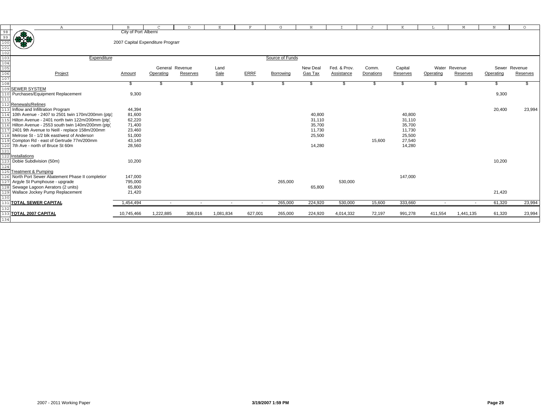|                                                                  | $\mathbb A$                                          | B                                |                 | $\mathbb{D}$             | Ε         | F           | G               | Н              |              | $\cdot$   | K        |                          | M             | $_{\rm N}$ | $\Omega$      |
|------------------------------------------------------------------|------------------------------------------------------|----------------------------------|-----------------|--------------------------|-----------|-------------|-----------------|----------------|--------------|-----------|----------|--------------------------|---------------|------------|---------------|
| 98<br>99<br>100<br>101<br>102<br>103<br>104<br>105<br>106<br>107 | **                                                   | City of Port Alberni             |                 |                          |           |             |                 |                |              |           |          |                          |               |            |               |
|                                                                  |                                                      | 2007 Capital Expenditure Program |                 |                          |           |             |                 |                |              |           |          |                          |               |            |               |
|                                                                  |                                                      |                                  |                 |                          |           |             |                 |                |              |           |          |                          |               |            |               |
|                                                                  |                                                      |                                  |                 |                          |           |             |                 |                |              |           |          |                          |               |            |               |
|                                                                  | Expenditure                                          |                                  |                 |                          |           |             | Source of Funds |                |              |           |          |                          |               |            |               |
|                                                                  |                                                      |                                  |                 |                          |           |             |                 |                |              |           |          |                          |               |            |               |
|                                                                  |                                                      |                                  | General Revenue |                          | Land      |             |                 | New Deal       | Fed. & Prov. | Comm.     | Capital  |                          | Water Revenue |            | Sewer Revenue |
|                                                                  | Project                                              | Amount                           | Operating       | Reserves                 | Sale      | <b>ERRF</b> | Borrowing       | <b>Gas Tax</b> | Assistance   | Donations | Reserves | Operating                | Reserves      | Operating  | Reserves      |
|                                                                  |                                                      |                                  |                 |                          |           |             |                 |                |              |           |          |                          |               |            |               |
|                                                                  | <b>SEWER SYSTEM</b>                                  |                                  |                 |                          | - 35      |             |                 |                |              |           | Ъ        | \$.                      |               |            |               |
|                                                                  | Purchases/Equipment Replacement                      | 9,300                            |                 |                          |           |             |                 |                |              |           |          |                          |               | 9,300      |               |
|                                                                  |                                                      |                                  |                 |                          |           |             |                 |                |              |           |          |                          |               |            |               |
|                                                                  | 112 Renewals/Relines                                 |                                  |                 |                          |           |             |                 |                |              |           |          |                          |               |            |               |
|                                                                  | Inflow and Infiltration Program                      | 44,394                           |                 |                          |           |             |                 |                |              |           |          |                          |               | 20,400     | 23,994        |
| 114                                                              | 10th Avenue - 2407 to 2501 twin 170m/200mm (ptp)     | 81,600                           |                 |                          |           |             |                 | 40,800         |              |           | 40,800   |                          |               |            |               |
|                                                                  | 115 Hilton Avenue - 2401 north twin 122m/200mm (ptp) | 62,220                           |                 |                          |           |             |                 | 31,110         |              |           | 31,110   |                          |               |            |               |
|                                                                  | 116 Hilton Avenue - 2553 south twin 140m/200mm (ptp) | 71,400                           |                 |                          |           |             |                 | 35,700         |              |           | 35,700   |                          |               |            |               |
|                                                                  | 2401 9th Avenue to Neill - replace 158m/200mm        | 23,460                           |                 |                          |           |             |                 | 11,730         |              |           | 11,730   |                          |               |            |               |
|                                                                  | Melrose St - 1/2 blk east/west of Anderson           | 51,000                           |                 |                          |           |             |                 | 25,500         |              |           | 25,500   |                          |               |            |               |
|                                                                  | Compton Rd - east of Gertrude 77m/200mm              | 43,140                           |                 |                          |           |             |                 |                |              | 15,600    | 27,540   |                          |               |            |               |
|                                                                  | 7th Ave - north of Bruce St 60m                      | 28,560                           |                 |                          |           |             |                 | 14,280         |              |           | 14,280   |                          |               |            |               |
| 121                                                              |                                                      |                                  |                 |                          |           |             |                 |                |              |           |          |                          |               |            |               |
|                                                                  | Installations                                        |                                  |                 |                          |           |             |                 |                |              |           |          |                          |               |            |               |
|                                                                  | Dobie Subdivision (50m)                              | 10,200                           |                 |                          |           |             |                 |                |              |           |          |                          |               | 10,200     |               |
| 124                                                              |                                                      |                                  |                 |                          |           |             |                 |                |              |           |          |                          |               |            |               |
|                                                                  | <b>Treatment &amp; Pumping</b>                       |                                  |                 |                          |           |             |                 |                |              |           |          |                          |               |            |               |
|                                                                  | North Port Sewer Abatement Phase II completion       | 147,000                          |                 |                          |           |             |                 |                |              |           | 147,000  |                          |               |            |               |
|                                                                  | Argyle St Pumphouse - upgrade                        | 795,000                          |                 |                          |           |             | 265,000         |                | 530,000      |           |          |                          |               |            |               |
|                                                                  | Sewage Lagoon Aerators (2 units)                     | 65,800                           |                 |                          |           |             |                 | 65,800         |              |           |          |                          |               |            |               |
|                                                                  | Wallace Jockey Pump Replacement                      | 21,420                           |                 |                          |           |             |                 |                |              |           |          |                          |               | 21,420     |               |
|                                                                  | 131 TOTAL SEWER CAPITAL                              | 1,454,494                        | $\sim$          | $\overline{\phantom{a}}$ |           | $\sim$      | 265,000         | 224,920        | 530,000      | 15,600    | 333,660  | $\overline{\phantom{a}}$ | $\sim$        | 61,320     | 23,994        |
| 132                                                              |                                                      |                                  |                 |                          |           |             |                 |                |              |           |          |                          |               |            |               |
|                                                                  | 133 TOTAL 2007 CAPITAL                               | 10,745,466                       | 1,222,885       | 308,016                  | 1,081,834 | 627,001     | 265,000         | 224,920        | 4,014,332    | 72,197    | 991,278  | 411,554                  | 1,441,135     | 61,320     | 23,994        |
| 134                                                              |                                                      |                                  |                 |                          |           |             |                 |                |              |           |          |                          |               |            |               |
|                                                                  |                                                      |                                  |                 |                          |           |             |                 |                |              |           |          |                          |               |            |               |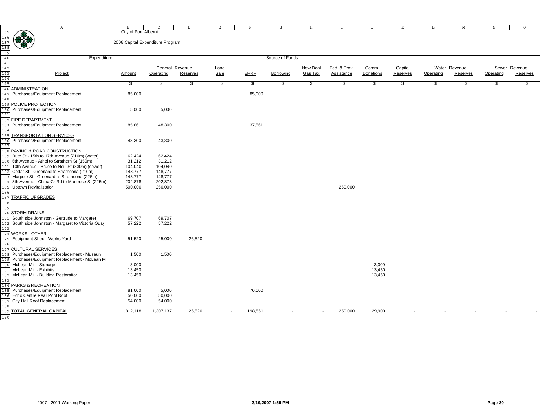|            | $\mathbb{A}$                                                         | В                                | C               | D        | Е                  | F           | G               | Н        |              | J         | K        | т.        | М             | $\, {\rm N}$ | $\circ$       |
|------------|----------------------------------------------------------------------|----------------------------------|-----------------|----------|--------------------|-------------|-----------------|----------|--------------|-----------|----------|-----------|---------------|--------------|---------------|
| 135        |                                                                      | City of Port Alberni             |                 |          |                    |             |                 |          |              |           |          |           |               |              |               |
| 136        | æ                                                                    |                                  |                 |          |                    |             |                 |          |              |           |          |           |               |              |               |
|            | ₩₩                                                                   | 2008 Capital Expenditure Program |                 |          |                    |             |                 |          |              |           |          |           |               |              |               |
| 137<br>138 |                                                                      |                                  |                 |          |                    |             |                 |          |              |           |          |           |               |              |               |
| 139        |                                                                      |                                  |                 |          |                    |             |                 |          |              |           |          |           |               |              |               |
| 140        | Expenditure                                                          |                                  |                 |          |                    |             | Source of Funds |          |              |           |          |           |               |              |               |
| 141        |                                                                      |                                  |                 |          |                    |             |                 |          |              |           |          |           |               |              |               |
| 142        |                                                                      |                                  | General Revenue |          | Land               |             |                 | New Deal | Fed. & Prov. | Comm.     | Capital  |           | Water Revenue |              | Sewer Revenue |
| 143        | Project                                                              | Amount                           | Operating       | Reserves | Sale               | <b>ERRF</b> | Borrowing       | Gas Tax  | Assistance   | Donations | Reserves | Operating | Reserves      | Operating    | Reserves      |
| 144        |                                                                      |                                  |                 |          |                    |             |                 |          |              |           |          |           |               |              |               |
| 145        |                                                                      | \$                               | \$              | \$       | $\mathbf{\hat{z}}$ | \$          | S               | \$       | S            | S         | \$       | \$.       | - 35          |              |               |
|            | 146 ADMINISTRATION                                                   |                                  |                 |          |                    |             |                 |          |              |           |          |           |               |              |               |
|            | 147 Purchases/Equipment Replacement                                  | 85,000                           |                 |          |                    | 85,000      |                 |          |              |           |          |           |               |              |               |
| 148        |                                                                      |                                  |                 |          |                    |             |                 |          |              |           |          |           |               |              |               |
|            | 149 POLICE PROTECTION                                                |                                  |                 |          |                    |             |                 |          |              |           |          |           |               |              |               |
|            | 150 Purchases/Equipment Replacement                                  | 5,000                            | 5,000           |          |                    |             |                 |          |              |           |          |           |               |              |               |
| 151        |                                                                      |                                  |                 |          |                    |             |                 |          |              |           |          |           |               |              |               |
|            | 152 FIRE DEPARTMENT                                                  |                                  |                 |          |                    |             |                 |          |              |           |          |           |               |              |               |
| 153        | Purchases/Equipment Replacement                                      | 85,861                           | 48,300          |          |                    | 37,561      |                 |          |              |           |          |           |               |              |               |
| 154        |                                                                      |                                  |                 |          |                    |             |                 |          |              |           |          |           |               |              |               |
|            | 155 TRANSPORTATION SERVICES                                          |                                  |                 |          |                    |             |                 |          |              |           |          |           |               |              |               |
|            | 156 Purchases/Equipment Replacement                                  | 43,300                           | 43,300          |          |                    |             |                 |          |              |           |          |           |               |              |               |
| 157        |                                                                      |                                  |                 |          |                    |             |                 |          |              |           |          |           |               |              |               |
|            | 158 PAVING & ROAD CONSTRUCTION                                       |                                  |                 |          |                    |             |                 |          |              |           |          |           |               |              |               |
|            | 159 Bute St - 15th to 17th Avenue (210m) (water)                     | 62,424                           | 62,424          |          |                    |             |                 |          |              |           |          |           |               |              |               |
|            | 160 6th Avenue - Athol to Strathern St (150m)                        | 31,212                           | 31,212          |          |                    |             |                 |          |              |           |          |           |               |              |               |
| 161        | 10th Avenue - Bruce to Neill St (330m) (sewer)                       | 104,040                          | 104,040         |          |                    |             |                 |          |              |           |          |           |               |              |               |
|            | 162 Cedar St - Greenard to Strathcona (210m)                         | 148,777                          | 148,777         |          |                    |             |                 |          |              |           |          |           |               |              |               |
| 163        | Marpole St - Greenard to Strathcona (225m)                           | 148,777                          | 148,777         |          |                    |             |                 |          |              |           |          |           |               |              |               |
|            | 164 8th Avenue - China Cr Rd to Montrose St (225m)                   | 202,878                          | 202,878         |          |                    |             |                 |          |              |           |          |           |               |              |               |
|            | 165 Uptown Revitalization                                            | 500,000                          | 250,000         |          |                    |             |                 |          | 250,000      |           |          |           |               |              |               |
| 166        |                                                                      |                                  |                 |          |                    |             |                 |          |              |           |          |           |               |              |               |
|            | 167 TRAFFIC UPGRADES                                                 |                                  |                 |          |                    |             |                 |          |              |           |          |           |               |              |               |
| 168        |                                                                      |                                  |                 |          |                    |             |                 |          |              |           |          |           |               |              |               |
| 169        |                                                                      |                                  |                 |          |                    |             |                 |          |              |           |          |           |               |              |               |
|            | 170 STORM DRAINS                                                     |                                  |                 |          |                    |             |                 |          |              |           |          |           |               |              |               |
|            | 171 South side Johnston - Gertrude to Margaret                       | 69,707                           | 69,707          |          |                    |             |                 |          |              |           |          |           |               |              |               |
|            | 172 South side Johnston - Margaret to Victoria Quay                  | 57,222                           | 57,222          |          |                    |             |                 |          |              |           |          |           |               |              |               |
| 173        |                                                                      |                                  |                 |          |                    |             |                 |          |              |           |          |           |               |              |               |
|            | 174 WORKS - OTHER                                                    |                                  |                 |          |                    |             |                 |          |              |           |          |           |               |              |               |
|            | 175 Equipment Shed - Works Yard                                      | 51,520                           | 25,000          | 26,520   |                    |             |                 |          |              |           |          |           |               |              |               |
| 176        |                                                                      |                                  |                 |          |                    |             |                 |          |              |           |          |           |               |              |               |
|            | 177 CULTURAL SERVICES                                                |                                  |                 |          |                    |             |                 |          |              |           |          |           |               |              |               |
|            | 178 Purchases/Equipment Replacement - Museum                         | 1,500                            | 1,500           |          |                    |             |                 |          |              |           |          |           |               |              |               |
|            | 179 Purchases/Equipment Replacement - McLean Mil                     |                                  |                 |          |                    |             |                 |          |              |           |          |           |               |              |               |
|            | 180 McLean Mill - Signage                                            | 3,000                            |                 |          |                    |             |                 |          |              | 3,000     |          |           |               |              |               |
|            | 181 McLean Mill - Exhibits<br>182 McLean Mill - Building Restoration | 13,450                           |                 |          |                    |             |                 |          |              | 13,450    |          |           |               |              |               |
| 183        |                                                                      | 13,450                           |                 |          |                    |             |                 |          |              | 13,450    |          |           |               |              |               |
|            | 184 PARKS & RECREATION                                               |                                  |                 |          |                    |             |                 |          |              |           |          |           |               |              |               |
|            | 185 Purchases/Equipment Replacement                                  | 81,000                           | 5,000           |          |                    | 76,000      |                 |          |              |           |          |           |               |              |               |
|            | 186 Echo Centre Rear Pool Roof                                       | 50,000                           | 50,000          |          |                    |             |                 |          |              |           |          |           |               |              |               |
|            | 187 City Hall Roof Replacement                                       | 54,000                           | 54,000          |          |                    |             |                 |          |              |           |          |           |               |              |               |
| 188        |                                                                      |                                  |                 |          |                    |             |                 |          |              |           |          |           |               |              |               |
|            | 189 TOTAL GENERAL CAPITAL                                            | 1,812,118                        | 1,307,137       | 26,520   | $\sim$             | 198,561     | $\sim$          | $\sim$   | 250,000      | 29,900    | $\sim$   | $\sim$    | $\sim$        | $\sim$       |               |
| 190        |                                                                      |                                  |                 |          |                    |             |                 |          |              |           |          |           |               |              |               |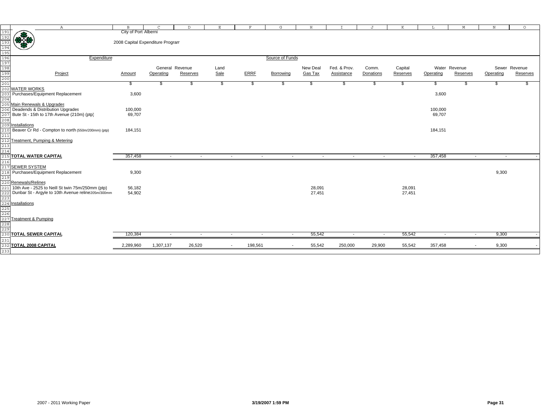|            | $\mathbb{A}$                                                                                             | $\mathbf{B}$                                             | $\mathcal{C}$   | D        | E.           |                   | G                | H        |              |           | K                        |           | M                        | N         | $\circ$       |
|------------|----------------------------------------------------------------------------------------------------------|----------------------------------------------------------|-----------------|----------|--------------|-------------------|------------------|----------|--------------|-----------|--------------------------|-----------|--------------------------|-----------|---------------|
|            |                                                                                                          | City of Port Alberni<br>2008 Capital Expenditure Program |                 |          |              |                   |                  |          |              |           |                          |           |                          |           |               |
|            |                                                                                                          |                                                          |                 |          |              |                   |                  |          |              |           |                          |           |                          |           |               |
|            | Expenditure                                                                                              |                                                          |                 |          |              |                   | Source of Funds  |          |              |           |                          |           |                          |           |               |
|            |                                                                                                          |                                                          | General Revenue |          |              |                   |                  | New Deal | Fed. & Prov. | Comm.     | Capital                  |           | Water Revenue            |           | Sewer Revenue |
|            | Project                                                                                                  | Amount                                                   | Operating       | Reserves | Land<br>Sale | <b>ERRF</b>       | Borrowing        | Gas Tax  | Assistance   | Donations | Reserves                 | Operating | Reserves                 | Operating | Reserves      |
|            |                                                                                                          |                                                          |                 |          |              |                   |                  |          |              |           |                          |           |                          |           |               |
|            |                                                                                                          | 56                                                       |                 | -S       | \$           | S                 | S                | -86      | S            | S         | S                        | S         |                          |           |               |
|            |                                                                                                          |                                                          |                 |          |              |                   |                  |          |              |           |                          |           |                          |           |               |
| 203        | Purchases/Equipment Replacement                                                                          | 3,600                                                    |                 |          |              |                   |                  |          |              |           |                          | 3,600     |                          |           |               |
| 204        |                                                                                                          |                                                          |                 |          |              |                   |                  |          |              |           |                          |           |                          |           |               |
|            | 205 Main Renewals & Upgrades                                                                             |                                                          |                 |          |              |                   |                  |          |              |           |                          |           |                          |           |               |
|            | 206 Deadends & Distribution Upgrades                                                                     | 100,000                                                  |                 |          |              |                   |                  |          |              |           |                          | 100,000   |                          |           |               |
|            | $\overline{207}$ Bute St - 15th to 17th Avenue (210m) (ptp)                                              | 69,707                                                   |                 |          |              |                   |                  |          |              |           |                          | 69,707    |                          |           |               |
|            | 208<br>209 <mark>Installations</mark>                                                                    |                                                          |                 |          |              |                   |                  |          |              |           |                          |           |                          |           |               |
|            |                                                                                                          |                                                          |                 |          |              |                   |                  |          |              |           |                          |           |                          |           |               |
| 210        | Beaver Cr Rd - Compton to north (550m/200mm) (ptp)                                                       | 184,151                                                  |                 |          |              |                   |                  |          |              |           |                          | 184,151   |                          |           |               |
| 211        |                                                                                                          |                                                          |                 |          |              |                   |                  |          |              |           |                          |           |                          |           |               |
| 212        | Treatment, Pumping & Metering                                                                            |                                                          |                 |          |              |                   |                  |          |              |           |                          |           |                          |           |               |
| 213<br>214 |                                                                                                          |                                                          |                 |          |              |                   |                  |          |              |           |                          |           |                          |           |               |
| 215        | TOTAL WATER CAPITAL                                                                                      | 357,458                                                  | $\sim$          | $\sim$   |              | $\sim$            | $\sim$<br>$\sim$ | $\sim$   | $\sim$       | $\sim$    | $\overline{\phantom{a}}$ | 357,458   | $\sim$                   | $\sim$    |               |
|            |                                                                                                          |                                                          |                 |          |              |                   |                  |          |              |           |                          |           |                          |           |               |
| 216        |                                                                                                          |                                                          |                 |          |              |                   |                  |          |              |           |                          |           |                          |           |               |
|            | <u>----<br/>217 SEWER SYSTEM</u><br>218 Purchases/Equipment Replacement                                  | 9,300                                                    |                 |          |              |                   |                  |          |              |           |                          |           |                          | 9,300     |               |
|            |                                                                                                          |                                                          |                 |          |              |                   |                  |          |              |           |                          |           |                          |           |               |
|            | 219<br>220 Renewals/Relines<br>221 10th Ave - 2525 to                                                    |                                                          |                 |          |              |                   |                  |          |              |           |                          |           |                          |           |               |
|            | 10th Ave - 2525 to Neill St twin 75m/250mm (ptp)                                                         | 56,182                                                   |                 |          |              |                   |                  | 28,091   |              |           | 28,091                   |           |                          |           |               |
| 222        | Dunbar St - Argyle to 10th Avenue reline205m/300mm                                                       | 54,902                                                   |                 |          |              |                   |                  | 27,451   |              |           | 27,451                   |           |                          |           |               |
|            |                                                                                                          |                                                          |                 |          |              |                   |                  |          |              |           |                          |           |                          |           |               |
|            |                                                                                                          |                                                          |                 |          |              |                   |                  |          |              |           |                          |           |                          |           |               |
|            |                                                                                                          |                                                          |                 |          |              |                   |                  |          |              |           |                          |           |                          |           |               |
|            | $\begin{array}{r}\n \underline{223} \\  224 \\  \underline{225} \\  226 \\  \underline{227} \end{array}$ |                                                          |                 |          |              |                   |                  |          |              |           |                          |           |                          |           |               |
|            | <b>Treatment &amp; Pumping</b>                                                                           |                                                          |                 |          |              |                   |                  |          |              |           |                          |           |                          |           |               |
| 228<br>229 |                                                                                                          |                                                          |                 |          |              |                   |                  |          |              |           |                          |           |                          |           |               |
|            |                                                                                                          |                                                          |                 |          |              |                   |                  |          |              |           |                          |           |                          |           |               |
|            | 230 TOTAL SEWER CAPITAL                                                                                  | 120,384                                                  | $\sim$          | $\sim$   |              | $\sim$            | $\sim$<br>$\sim$ | 55,542   | $\sim$       | $\sim$    | 55,542                   | $\sim$    | $\sim$                   | 9,300     |               |
| 231        | 232 TOTAL 2008 CAPITAL                                                                                   | 2,289,960                                                | 1,307,137       | 26,520   |              | 198,561<br>$\sim$ | $\sim$           | 55,542   | 250,000      | 29,900    | 55,542                   | 357,458   | $\overline{\phantom{a}}$ | 9,300     |               |
| 233        |                                                                                                          |                                                          |                 |          |              |                   |                  |          |              |           |                          |           |                          |           |               |
|            |                                                                                                          |                                                          |                 |          |              |                   |                  |          |              |           |                          |           |                          |           |               |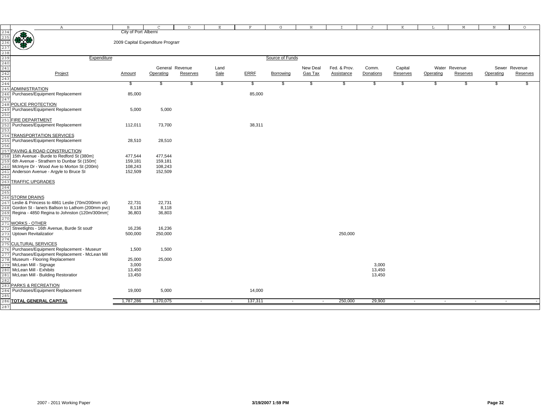|                                                                    | $\mathbb{A}$                                     | B                                | C               | $\mathbb{D}$ | Е             | F           | G                | H        | T            | J         | K        | L         | M             | N         | $\circ$       |
|--------------------------------------------------------------------|--------------------------------------------------|----------------------------------|-----------------|--------------|---------------|-------------|------------------|----------|--------------|-----------|----------|-----------|---------------|-----------|---------------|
| 234<br>235<br>236<br>237<br>238<br>239<br>240<br>242<br>242<br>242 |                                                  | City of Port Alberni             |                 |              |               |             |                  |          |              |           |          |           |               |           |               |
|                                                                    | <b>BACK</b>                                      |                                  |                 |              |               |             |                  |          |              |           |          |           |               |           |               |
|                                                                    |                                                  | 2009 Capital Expenditure Program |                 |              |               |             |                  |          |              |           |          |           |               |           |               |
|                                                                    |                                                  |                                  |                 |              |               |             |                  |          |              |           |          |           |               |           |               |
|                                                                    |                                                  |                                  |                 |              |               |             |                  |          |              |           |          |           |               |           |               |
|                                                                    |                                                  |                                  |                 |              |               |             |                  |          |              |           |          |           |               |           |               |
|                                                                    | Expenditure                                      |                                  |                 |              |               |             | Source of Funds  |          |              |           |          |           |               |           |               |
|                                                                    |                                                  |                                  |                 |              |               |             |                  |          |              |           |          |           |               |           |               |
|                                                                    |                                                  |                                  | General Revenue |              | Land          |             |                  | New Deal | Fed. & Prov. | Comm.     | Capital  |           | Water Revenue |           | Sewer Revenue |
|                                                                    | Project                                          | Amount                           | Operating       | Reserves     | Sale          | <b>ERRF</b> | <b>Borrowing</b> | Gas Tax  | Assistance   | Donations | Reserves | Operating | Reserves      | Operating | Reserves      |
|                                                                    |                                                  |                                  |                 |              |               |             |                  |          |              |           |          |           |               |           |               |
|                                                                    |                                                  |                                  |                 |              |               |             |                  |          |              |           |          |           |               |           |               |
|                                                                    |                                                  | S.                               | S.              | \$           | $\frac{1}{2}$ | \$          | S.               | \$       | \$           | \$        | \$       | \$        | S.            | \$        | \$            |
| 245                                                                | <b>ADMINISTRATION</b>                            |                                  |                 |              |               |             |                  |          |              |           |          |           |               |           |               |
| 246                                                                | Purchases/Equipment Replacement                  | 85,000                           |                 |              |               | 85,000      |                  |          |              |           |          |           |               |           |               |
| 247                                                                |                                                  |                                  |                 |              |               |             |                  |          |              |           |          |           |               |           |               |
|                                                                    | 248 POLICE PROTECTION                            |                                  |                 |              |               |             |                  |          |              |           |          |           |               |           |               |
|                                                                    | Purchases/Equipment Replacement                  |                                  | 5,000           |              |               |             |                  |          |              |           |          |           |               |           |               |
| 249                                                                |                                                  | 5,000                            |                 |              |               |             |                  |          |              |           |          |           |               |           |               |
|                                                                    |                                                  |                                  |                 |              |               |             |                  |          |              |           |          |           |               |           |               |
| 251                                                                | <b>FIRE DEPARTMENT</b>                           |                                  |                 |              |               |             |                  |          |              |           |          |           |               |           |               |
| 252                                                                | Purchases/Equipment Replacement                  | 112,011                          | 73,700          |              |               | 38,311      |                  |          |              |           |          |           |               |           |               |
|                                                                    |                                                  |                                  |                 |              |               |             |                  |          |              |           |          |           |               |           |               |
|                                                                    | <b>TRANSPORTATION SERVICES</b>                   |                                  |                 |              |               |             |                  |          |              |           |          |           |               |           |               |
|                                                                    |                                                  |                                  |                 |              |               |             |                  |          |              |           |          |           |               |           |               |
|                                                                    | Purchases/Equipment Replacement                  | 28,510                           | 28,510          |              |               |             |                  |          |              |           |          |           |               |           |               |
| 256                                                                |                                                  |                                  |                 |              |               |             |                  |          |              |           |          |           |               |           |               |
| 257                                                                | PAVING & ROAD CONSTRUCTION                       |                                  |                 |              |               |             |                  |          |              |           |          |           |               |           |               |
|                                                                    | 15th Avenue - Burde to Redford St (380m)         | 477,544                          | 477,544         |              |               |             |                  |          |              |           |          |           |               |           |               |
| 259                                                                | 6th Avenue - Strathern to Dunbar St (150m)       | 159,181                          | 159,181         |              |               |             |                  |          |              |           |          |           |               |           |               |
|                                                                    | McIntyre Dr - Wood Ave to Morton St (200m)       |                                  | 108,243         |              |               |             |                  |          |              |           |          |           |               |           |               |
|                                                                    |                                                  | 108,243                          |                 |              |               |             |                  |          |              |           |          |           |               |           |               |
| 261                                                                | Anderson Avenue - Argyle to Bruce St             | 152,509                          | 152,509         |              |               |             |                  |          |              |           |          |           |               |           |               |
| 262                                                                |                                                  |                                  |                 |              |               |             |                  |          |              |           |          |           |               |           |               |
| 263                                                                | <b>TRAFFIC UPGRADES</b>                          |                                  |                 |              |               |             |                  |          |              |           |          |           |               |           |               |
| 264                                                                |                                                  |                                  |                 |              |               |             |                  |          |              |           |          |           |               |           |               |
| 265                                                                |                                                  |                                  |                 |              |               |             |                  |          |              |           |          |           |               |           |               |
| 266                                                                |                                                  |                                  |                 |              |               |             |                  |          |              |           |          |           |               |           |               |
|                                                                    | <b>STORM DRAINS</b>                              |                                  |                 |              |               |             |                  |          |              |           |          |           |               |           |               |
| 267                                                                | Leslie & Princess to 4861 Leslie (70m/200mm vit) | 22,731                           | 22,731          |              |               |             |                  |          |              |           |          |           |               |           |               |
|                                                                    | Gordon St - lane/s Ballson to Lathom (200mm pvc) | 8,118                            | 8,118           |              |               |             |                  |          |              |           |          |           |               |           |               |
| 269                                                                | Regina - 4850 Regina to Johnston (120m/300mm)    | 36,803                           | 36,803          |              |               |             |                  |          |              |           |          |           |               |           |               |
|                                                                    |                                                  |                                  |                 |              |               |             |                  |          |              |           |          |           |               |           |               |
| 271                                                                | <b>WORKS - OTHER</b>                             |                                  |                 |              |               |             |                  |          |              |           |          |           |               |           |               |
|                                                                    |                                                  |                                  |                 |              |               |             |                  |          |              |           |          |           |               |           |               |
| 272                                                                | Streetlights - 16th Avenue, Burde St south       | 16,236                           | 16,236          |              |               |             |                  |          |              |           |          |           |               |           |               |
| 273                                                                | <b>Uptown Revitalization</b>                     | 500,000                          | 250,000         |              |               |             |                  |          | 250,000      |           |          |           |               |           |               |
| 274                                                                |                                                  |                                  |                 |              |               |             |                  |          |              |           |          |           |               |           |               |
|                                                                    | 275 CULTURAL SERVICES                            |                                  |                 |              |               |             |                  |          |              |           |          |           |               |           |               |
| 276                                                                | Purchases/Equipment Replacement - Museum         | 1,500                            | 1,500           |              |               |             |                  |          |              |           |          |           |               |           |               |
| 277                                                                | Purchases/Equipment Replacement - McLean Mil     |                                  |                 |              |               |             |                  |          |              |           |          |           |               |           |               |
|                                                                    | Museum - Flooring Replacement                    |                                  |                 |              |               |             |                  |          |              |           |          |           |               |           |               |
|                                                                    |                                                  | 25,000                           | 25,000          |              |               |             |                  |          |              |           |          |           |               |           |               |
| 279                                                                | McLean Mill - Signage                            | 3,000                            |                 |              |               |             |                  |          |              | 3,000     |          |           |               |           |               |
| 280                                                                | McLean Mill - Exhibits                           | 13,450                           |                 |              |               |             |                  |          |              | 13,450    |          |           |               |           |               |
| 281                                                                | McLean Mill - Building Restoration               | 13,450                           |                 |              |               |             |                  |          |              | 13,450    |          |           |               |           |               |
|                                                                    |                                                  |                                  |                 |              |               |             |                  |          |              |           |          |           |               |           |               |
| 283                                                                | PARKS & RECREATION                               |                                  |                 |              |               |             |                  |          |              |           |          |           |               |           |               |
|                                                                    |                                                  |                                  |                 |              |               |             |                  |          |              |           |          |           |               |           |               |
|                                                                    | 284 Purchases/Equipment Replacement              | 19,000                           | 5,000           |              |               | 14,000      |                  |          |              |           |          |           |               |           |               |
|                                                                    |                                                  |                                  |                 |              |               |             |                  |          |              |           |          |           |               |           |               |
|                                                                    | 286 TOTAL GENERAL CAPITAL                        | 1,787,286                        | 1,370,075       | $\sim$       | $\sim$        | 137,311     | $\sim$           | $\sim$   | 250,000      | 29,900    | $\sim$   | $\sim$    | $\sim$        | $\sim$    |               |
| 287                                                                |                                                  |                                  |                 |              |               |             |                  |          |              |           |          |           |               |           |               |
|                                                                    |                                                  |                                  |                 |              |               |             |                  |          |              |           |          |           |               |           |               |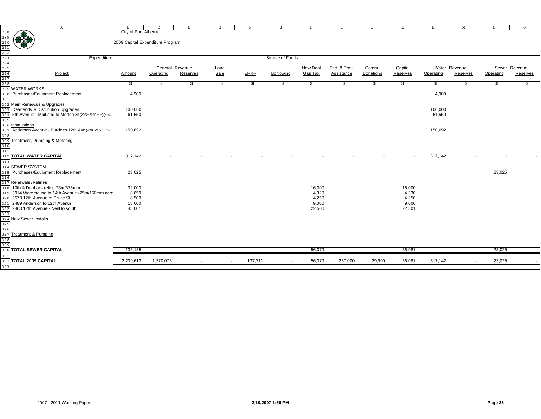|            | $\mathbb{A}$                                                                                                                   | $\mathbf{B}$                     | $\mathcal{C}$ | $\mathbb{D}$    | Е                  | F           |         | G               | H              | T            | J         | K        | L                        | M                        | $_{\rm N}$ | $\circ$       |
|------------|--------------------------------------------------------------------------------------------------------------------------------|----------------------------------|---------------|-----------------|--------------------|-------------|---------|-----------------|----------------|--------------|-----------|----------|--------------------------|--------------------------|------------|---------------|
|            | 288<br>289<br>2991<br>2992<br>299<br>299<br>299<br>299<br>200 Purchases/Fquint<br>300 Purchases/Fquint<br>200 Purchases/Fquint | City of Port Alberni             |               |                 |                    |             |         |                 |                |              |           |          |                          |                          |            |               |
|            |                                                                                                                                |                                  |               |                 |                    |             |         |                 |                |              |           |          |                          |                          |            |               |
|            |                                                                                                                                | 2009 Capital Expenditure Program |               |                 |                    |             |         |                 |                |              |           |          |                          |                          |            |               |
|            |                                                                                                                                |                                  |               |                 |                    |             |         |                 |                |              |           |          |                          |                          |            |               |
|            |                                                                                                                                |                                  |               |                 |                    |             |         |                 |                |              |           |          |                          |                          |            |               |
|            |                                                                                                                                |                                  |               |                 |                    |             |         |                 |                |              |           |          |                          |                          |            |               |
|            | Expenditure                                                                                                                    |                                  |               |                 |                    |             |         | Source of Funds |                |              |           |          |                          |                          |            |               |
|            |                                                                                                                                |                                  |               |                 |                    |             |         |                 |                |              |           |          |                          |                          |            |               |
|            |                                                                                                                                |                                  |               | General Revenue | Land               |             |         |                 | New Deal       | Fed. & Prov. | Comm.     | Capital  |                          | Water Revenue            |            | Sewer Revenue |
|            |                                                                                                                                |                                  |               |                 |                    |             |         |                 |                |              |           |          |                          |                          |            |               |
|            | Project                                                                                                                        | Amount                           | Operating     | Reserves        | Sale               | <b>ERRF</b> |         | Borrowing       | <b>Gas Tax</b> | Assistance   | Donations | Reserves | Operating                | Reserves                 | Operating  | Reserves      |
|            |                                                                                                                                |                                  |               |                 |                    |             |         |                 |                |              |           |          |                          |                          |            |               |
|            |                                                                                                                                | S.                               | æ.            | S               | $\mathbf{\hat{z}}$ |             | \$      | \$              | \$             | S            | \$        | \$       | S                        |                          |            |               |
|            |                                                                                                                                |                                  |               |                 |                    |             |         |                 |                |              |           |          |                          |                          |            |               |
| 300        | Purchases/Equipment Replacement                                                                                                | 4,900                            |               |                 |                    |             |         |                 |                |              |           |          | 4,900                    |                          |            |               |
|            |                                                                                                                                |                                  |               |                 |                    |             |         |                 |                |              |           |          |                          |                          |            |               |
| 301        |                                                                                                                                |                                  |               |                 |                    |             |         |                 |                |              |           |          |                          |                          |            |               |
|            | 302 Main Renewals & Upgrades                                                                                                   |                                  |               |                 |                    |             |         |                 |                |              |           |          |                          |                          |            |               |
| 303        | Deadends & Distribution Upgrades                                                                                               | 100,000                          |               |                 |                    |             |         |                 |                |              |           |          | 100,000                  |                          |            |               |
| 304        | 5th Avenue - Maitland to Morton St(205m/150mm)(ptp)                                                                            | 61,550                           |               |                 |                    |             |         |                 |                |              |           |          | 61,550                   |                          |            |               |
|            |                                                                                                                                |                                  |               |                 |                    |             |         |                 |                |              |           |          |                          |                          |            |               |
|            | 305<br>306 <mark>Installations</mark>                                                                                          |                                  |               |                 |                    |             |         |                 |                |              |           |          |                          |                          |            |               |
|            |                                                                                                                                |                                  |               |                 |                    |             |         |                 |                |              |           |          |                          |                          |            |               |
| 307        | Anderson Avenue - Burde to 12th Ave (400m/150mm)                                                                               | 150,692                          |               |                 |                    |             |         |                 |                |              |           |          | 150,692                  |                          |            |               |
| 308        |                                                                                                                                |                                  |               |                 |                    |             |         |                 |                |              |           |          |                          |                          |            |               |
| 309        | Treatment, Pumping & Metering                                                                                                  |                                  |               |                 |                    |             |         |                 |                |              |           |          |                          |                          |            |               |
| 310        |                                                                                                                                |                                  |               |                 |                    |             |         |                 |                |              |           |          |                          |                          |            |               |
| 311        |                                                                                                                                |                                  |               |                 |                    |             |         |                 |                |              |           |          |                          |                          |            |               |
|            | <b>312 TOTAL WATER CAPITAL</b>                                                                                                 | 317,142                          |               |                 |                    |             |         |                 |                |              |           |          | 317,142                  |                          |            |               |
|            |                                                                                                                                |                                  | $\sim$        | $\sim$          |                    | $\sim$      | $\sim$  | $\sim$          | $\sim$         | $\sim$       | $\sim$    | $\sim$   |                          | $\sim$                   | $\sim$ $-$ |               |
| 313        |                                                                                                                                |                                  |               |                 |                    |             |         |                 |                |              |           |          |                          |                          |            |               |
|            | 314 SEWER SYSTEM                                                                                                               |                                  |               |                 |                    |             |         |                 |                |              |           |          |                          |                          |            |               |
| 315        | Purchases/Equipment Replacement                                                                                                | 23,025                           |               |                 |                    |             |         |                 |                |              |           |          |                          |                          | 23,025     |               |
| 316        |                                                                                                                                |                                  |               |                 |                    |             |         |                 |                |              |           |          |                          |                          |            |               |
|            | 317 Renewals / Relines                                                                                                         |                                  |               |                 |                    |             |         |                 |                |              |           |          |                          |                          |            |               |
|            |                                                                                                                                |                                  |               |                 |                    |             |         |                 |                |              |           |          |                          |                          |            |               |
| 318        | 10th & Dunbar - reline 73m/375mm                                                                                               | 32,000                           |               |                 |                    |             |         |                 | 16,000         |              |           | 16,000   |                          |                          |            |               |
| 319        | 3914 Waterhouse to 14th Avenue (25m/150mm ncrc                                                                                 | 8,659                            |               |                 |                    |             |         |                 | 4,329          |              |           | 4,330    |                          |                          |            |               |
| 320        | 2573 12th Avenue to Bruce St                                                                                                   | 8,500                            |               |                 |                    |             |         |                 | 4,250          |              |           | 4,250    |                          |                          |            |               |
|            | 2489 Anderson to 12th Avenue                                                                                                   | 18,000                           |               |                 |                    |             |         |                 | 9,000          |              |           | 9,000    |                          |                          |            |               |
| 322        | 2463 12th Avenue - Neill to south                                                                                              | 45,001                           |               |                 |                    |             |         |                 | 22,500         |              |           | 22,501   |                          |                          |            |               |
| 323        |                                                                                                                                |                                  |               |                 |                    |             |         |                 |                |              |           |          |                          |                          |            |               |
|            |                                                                                                                                |                                  |               |                 |                    |             |         |                 |                |              |           |          |                          |                          |            |               |
|            | 324 New Sewer Installs                                                                                                         |                                  |               |                 |                    |             |         |                 |                |              |           |          |                          |                          |            |               |
| 325<br>326 |                                                                                                                                |                                  |               |                 |                    |             |         |                 |                |              |           |          |                          |                          |            |               |
|            |                                                                                                                                |                                  |               |                 |                    |             |         |                 |                |              |           |          |                          |                          |            |               |
| 327        | <b>Treatment &amp; Pumping</b>                                                                                                 |                                  |               |                 |                    |             |         |                 |                |              |           |          |                          |                          |            |               |
|            |                                                                                                                                |                                  |               |                 |                    |             |         |                 |                |              |           |          |                          |                          |            |               |
| 328<br>329 |                                                                                                                                |                                  |               |                 |                    |             |         |                 |                |              |           |          |                          |                          |            |               |
|            |                                                                                                                                |                                  |               |                 |                    |             |         |                 |                |              |           |          |                          |                          |            |               |
|            | <b>330 TOTAL SEWER CAPITAL</b>                                                                                                 | 135,185                          | $\sim$        | $\sim$          |                    | $\sim$      | $\sim$  | $\sim$          | 56,079         | $\sim$       | $\sim$    | 56,081   | $\overline{\phantom{a}}$ | $\sim$                   | 23,025     |               |
| 331        |                                                                                                                                |                                  |               |                 |                    |             |         |                 |                |              |           |          |                          |                          |            |               |
|            | 332 TOTAL 2009 CAPITAL                                                                                                         | 2,239,613                        | 1,370,075     |                 |                    | $\sim$      | 137,311 | $\sim$          | 56,079         | 250,000      | 29,900    | 56,081   | 317,142                  | $\overline{\phantom{a}}$ | 23,025     |               |
| 333        |                                                                                                                                |                                  |               |                 |                    |             |         |                 |                |              |           |          |                          |                          |            |               |
|            |                                                                                                                                |                                  |               |                 |                    |             |         |                 |                |              |           |          |                          |                          |            |               |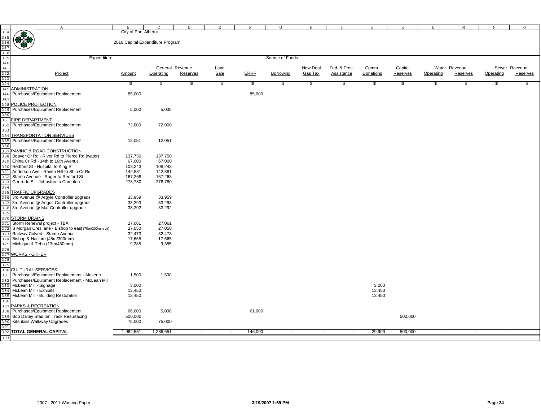|                                                                                                            | $\mathbb{A}$                                        | в                                | $\Gamma$        | D                        | Е      | F           | G               | H        |                   | $\cdot$ T | K        | L         | M             | N         | $\circ$       |
|------------------------------------------------------------------------------------------------------------|-----------------------------------------------------|----------------------------------|-----------------|--------------------------|--------|-------------|-----------------|----------|-------------------|-----------|----------|-----------|---------------|-----------|---------------|
|                                                                                                            |                                                     | City of Port Alberni             |                 |                          |        |             |                 |          |                   |           |          |           |               |           |               |
| $\begin{array}{r} 334 \\ 335 \\ 336 \\ 337 \\ 338 \\ 339 \\ 340 \\ 341 \\ 342 \\ 343 \\ 44 \\ \end{array}$ |                                                     |                                  |                 |                          |        |             |                 |          |                   |           |          |           |               |           |               |
|                                                                                                            |                                                     | 2010 Capital Expenditure Program |                 |                          |        |             |                 |          |                   |           |          |           |               |           |               |
|                                                                                                            |                                                     |                                  |                 |                          |        |             |                 |          |                   |           |          |           |               |           |               |
|                                                                                                            |                                                     |                                  |                 |                          |        |             |                 |          |                   |           |          |           |               |           |               |
|                                                                                                            | Expenditure                                         |                                  |                 |                          |        |             | Source of Funds |          |                   |           |          |           |               |           |               |
|                                                                                                            |                                                     |                                  |                 |                          |        |             |                 |          |                   |           |          |           |               |           |               |
|                                                                                                            |                                                     |                                  | General Revenue |                          | Land   |             |                 | New Deal | Fed. & Prov.      | Comm.     | Capital  |           | Water Revenue |           | Sewer Revenue |
|                                                                                                            | Project                                             | Amount                           | Operating       | <b>Reserves</b>          | Sale   | <b>ERRF</b> | Borrowing       | Gas Tax  | <b>Assistance</b> | Donations | Reserves | Operating | Reserves      | Operating | Reserves      |
|                                                                                                            |                                                     |                                  |                 |                          |        |             |                 |          |                   |           |          |           |               |           |               |
|                                                                                                            |                                                     |                                  |                 | S                        | \$     | \$          | \$.             | \$       | \$                |           | \$       | \$        | \$            | \$.       |               |
|                                                                                                            |                                                     | \$                               | \$              |                          |        |             |                 |          |                   | \$        |          |           |               |           |               |
| 345                                                                                                        | ADMINISTRATION                                      |                                  |                 |                          |        |             |                 |          |                   |           |          |           |               |           |               |
| 346                                                                                                        | Purchases/Equipment Replacement                     | 85,000                           |                 |                          |        | 85,000      |                 |          |                   |           |          |           |               |           |               |
| 347                                                                                                        |                                                     |                                  |                 |                          |        |             |                 |          |                   |           |          |           |               |           |               |
|                                                                                                            | 348 POLICE PROTECTION                               |                                  |                 |                          |        |             |                 |          |                   |           |          |           |               |           |               |
| 349                                                                                                        | Purchases/Equipment Replacement                     | 5,000                            | 5,000           |                          |        |             |                 |          |                   |           |          |           |               |           |               |
| 35C                                                                                                        |                                                     |                                  |                 |                          |        |             |                 |          |                   |           |          |           |               |           |               |
| 351                                                                                                        | FIRE DEPARTMENT                                     |                                  |                 |                          |        |             |                 |          |                   |           |          |           |               |           |               |
| 352                                                                                                        | Purchases/Equipment Replacement                     | 72,000                           | 72,000          |                          |        |             |                 |          |                   |           |          |           |               |           |               |
| 353                                                                                                        |                                                     |                                  |                 |                          |        |             |                 |          |                   |           |          |           |               |           |               |
| 354                                                                                                        | <b>TRANSPORTATION SERVICES</b>                      |                                  |                 |                          |        |             |                 |          |                   |           |          |           |               |           |               |
|                                                                                                            | Purchases/Equipment Replacement                     | 12,051                           | 12,051          |                          |        |             |                 |          |                   |           |          |           |               |           |               |
|                                                                                                            |                                                     |                                  |                 |                          |        |             |                 |          |                   |           |          |           |               |           |               |
| 356                                                                                                        |                                                     |                                  |                 |                          |        |             |                 |          |                   |           |          |           |               |           |               |
|                                                                                                            | 357 PAVING & ROAD CONSTRUCTION                      |                                  |                 |                          |        |             |                 |          |                   |           |          |           |               |           |               |
| 358                                                                                                        | Beaver Cr Rd - River Rd to Pierce Rd (water)        | 137,750                          | 137,750         |                          |        |             |                 |          |                   |           |          |           |               |           |               |
| 35 S                                                                                                       | China Cr Rd - 14th to 16th Avenue                   | 67,000                           | 67,000          |                          |        |             |                 |          |                   |           |          |           |               |           |               |
| 360                                                                                                        | Redford St - Hospital to King St                    | 108,243                          | 108,243         |                          |        |             |                 |          |                   |           |          |           |               |           |               |
| 361                                                                                                        | Anderson Ave - Raven Hill to Ship Cr Rd             | 142,881                          | 142,881         |                          |        |             |                 |          |                   |           |          |           |               |           |               |
| 362                                                                                                        | Stamp Avenue - Roger to Redford St                  | 167,268                          | 167,268         |                          |        |             |                 |          |                   |           |          |           |               |           |               |
| 363                                                                                                        | Gertrude St - Johnston to Compton                   | 278,780                          | 278,780         |                          |        |             |                 |          |                   |           |          |           |               |           |               |
| 364                                                                                                        |                                                     |                                  |                 |                          |        |             |                 |          |                   |           |          |           |               |           |               |
| 365                                                                                                        | <b>TRAFFIC UPGRADES</b>                             |                                  |                 |                          |        |             |                 |          |                   |           |          |           |               |           |               |
| 366                                                                                                        | 3rd Avenue @ Argyle Controller upgrade              | 33,959                           | 33,959          |                          |        |             |                 |          |                   |           |          |           |               |           |               |
| 367                                                                                                        | 3rd Avenue @ Angus Controller upgrade               | 33,293                           | 33,293          |                          |        |             |                 |          |                   |           |          |           |               |           |               |
|                                                                                                            | 3rd Avenue @ Mar Controller upgrade                 | 33,292                           | 33,292          |                          |        |             |                 |          |                   |           |          |           |               |           |               |
| 368                                                                                                        |                                                     |                                  |                 |                          |        |             |                 |          |                   |           |          |           |               |           |               |
| 369                                                                                                        |                                                     |                                  |                 |                          |        |             |                 |          |                   |           |          |           |               |           |               |
|                                                                                                            | 370 STORM DRAINS                                    |                                  |                 |                          |        |             |                 |          |                   |           |          |           |               |           |               |
| 371                                                                                                        | Storm Renewal project - TBA                         | 27,061                           | 27,061          |                          |        |             |                 |          |                   |           |          |           |               |           |               |
| 372                                                                                                        | S Morgan Cres lane - Bishop to east (70m/200mm vit) | 27,050                           | 27,050          |                          |        |             |                 |          |                   |           |          |           |               |           |               |
|                                                                                                            | Railway Culvert - Stamp Avenue                      | 32,473                           | 32,473          |                          |        |             |                 |          |                   |           |          |           |               |           |               |
|                                                                                                            | Bishop & Haslam (45m/300mm)                         | 17,665                           | 17,665          |                          |        |             |                 |          |                   |           |          |           |               |           |               |
|                                                                                                            | Michigan & Tebo (13m/450mm)                         | 9,385                            | 9,385           |                          |        |             |                 |          |                   |           |          |           |               |           |               |
| 376                                                                                                        |                                                     |                                  |                 |                          |        |             |                 |          |                   |           |          |           |               |           |               |
| 377                                                                                                        | <b>WORKS - OTHER</b>                                |                                  |                 |                          |        |             |                 |          |                   |           |          |           |               |           |               |
| 378                                                                                                        |                                                     |                                  |                 |                          |        |             |                 |          |                   |           |          |           |               |           |               |
| 379                                                                                                        |                                                     |                                  |                 |                          |        |             |                 |          |                   |           |          |           |               |           |               |
|                                                                                                            | 380 CULTURAL SERVICES                               |                                  |                 |                          |        |             |                 |          |                   |           |          |           |               |           |               |
| 381                                                                                                        | Purchases/Equipment Replacement - Museum            | 1,500                            | 1,500           |                          |        |             |                 |          |                   |           |          |           |               |           |               |
|                                                                                                            | Purchases/Equipment Replacement - McLean Mil        |                                  |                 |                          |        |             |                 |          |                   |           |          |           |               |           |               |
| 382                                                                                                        |                                                     |                                  |                 |                          |        |             |                 |          |                   |           |          |           |               |           |               |
| 383                                                                                                        | McLean Mill - Signage                               | 3,000                            |                 |                          |        |             |                 |          |                   | 3,000     |          |           |               |           |               |
| 384                                                                                                        | McLean Mill - Exhibits                              | 13,450                           |                 |                          |        |             |                 |          |                   | 13,450    |          |           |               |           |               |
| 385                                                                                                        | McLean Mill - Building Restoration                  | 13,450                           |                 |                          |        |             |                 |          |                   | 13,450    |          |           |               |           |               |
| 386                                                                                                        |                                                     |                                  |                 |                          |        |             |                 |          |                   |           |          |           |               |           |               |
|                                                                                                            | 387 PARKS & RECREATION                              |                                  |                 |                          |        |             |                 |          |                   |           |          |           |               |           |               |
| 388                                                                                                        | Purchases/Equipment Replacement                     | 66,000                           | 5,000           |                          |        | 61,000      |                 |          |                   |           |          |           |               |           |               |
| 389                                                                                                        | Bob Dailey Stadium Track Resurfacing                | 500,000                          |                 |                          |        |             |                 |          |                   |           | 500,000  |           |               |           |               |
| 390                                                                                                        | Kitsuksis Walkway Upgrades                          | 75,000                           | 75,000          |                          |        |             |                 |          |                   |           |          |           |               |           |               |
| 391                                                                                                        |                                                     |                                  |                 |                          |        |             |                 |          |                   |           |          |           |               |           |               |
|                                                                                                            | <b>392 TOTAL GENERAL CAPITAL</b>                    | 1,962,551                        | 1,286,651       | $\overline{\phantom{a}}$ | $\sim$ | 146,000     | $\sim$          |          | $\sim$            | 29,900    | 500,000  |           | $\sim$        | $\sim$    |               |
| 393                                                                                                        |                                                     |                                  |                 |                          |        |             |                 |          |                   |           |          |           |               |           |               |
|                                                                                                            |                                                     |                                  |                 |                          |        |             |                 |          |                   |           |          |           |               |           |               |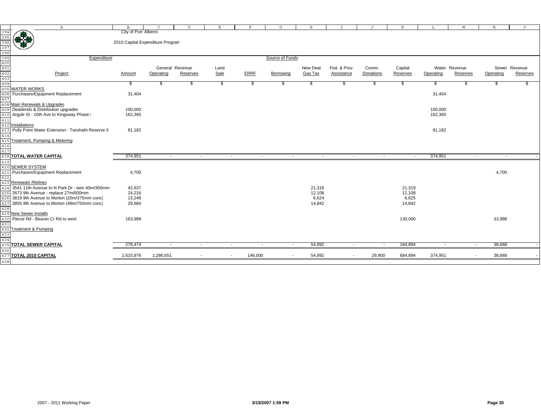|                                                                                                                                            | $\mathbb{A}$                                      | $\mathbf{B}$                     | $\mathcal{C}$            | D                        | $\mathbf E$   |        | $\mathbf{F}$             | G               | $_{\rm H}$ |                          | J         | K        | L         | М                        | $_{\rm N}$               | $\circ$       |
|--------------------------------------------------------------------------------------------------------------------------------------------|---------------------------------------------------|----------------------------------|--------------------------|--------------------------|---------------|--------|--------------------------|-----------------|------------|--------------------------|-----------|----------|-----------|--------------------------|--------------------------|---------------|
| $\begin{array}{r} 3.94 \\ 3.95 \\ 3.96 \\ 3.97 \\ 3.97 \\ 3.98 \\ 3.99 \\ 3.99 \\ 4.01 \\ \hline 4.01 \\ 4.03 \\ 4.04 \\ 4.05 \end{array}$ | 佛佛                                                | City of Port Alberni             |                          |                          |               |        |                          |                 |            |                          |           |          |           |                          |                          |               |
|                                                                                                                                            |                                                   |                                  |                          |                          |               |        |                          |                 |            |                          |           |          |           |                          |                          |               |
|                                                                                                                                            |                                                   | 2010 Capital Expenditure Program |                          |                          |               |        |                          |                 |            |                          |           |          |           |                          |                          |               |
|                                                                                                                                            |                                                   |                                  |                          |                          |               |        |                          |                 |            |                          |           |          |           |                          |                          |               |
|                                                                                                                                            |                                                   |                                  |                          |                          |               |        |                          |                 |            |                          |           |          |           |                          |                          |               |
|                                                                                                                                            | Expenditure                                       |                                  |                          |                          |               |        |                          | Source of Funds |            |                          |           |          |           |                          |                          |               |
|                                                                                                                                            |                                                   |                                  |                          |                          |               |        |                          |                 |            |                          |           |          |           |                          |                          |               |
|                                                                                                                                            |                                                   |                                  |                          | General Revenue          | Land          |        |                          |                 | New Deal   | Fed. & Prov.             | Comm.     | Capital  |           | Water Revenue            |                          | Sewer Revenue |
|                                                                                                                                            | Project                                           | <b>Amount</b>                    | Operating                | Reserves                 | Sale          |        | <b>ERRF</b>              | Borrowing       | Gas Tax    | Assistance               | Donations | Reserves | Operating | Reserves                 | Operating                | Reserves      |
|                                                                                                                                            |                                                   |                                  |                          |                          |               |        |                          |                 |            |                          |           |          |           |                          |                          |               |
|                                                                                                                                            |                                                   | S.                               | \$                       | \$                       | $\frac{1}{2}$ |        | - \$                     | S               | \$         | \$                       | \$        |          |           |                          | -86                      | S             |
|                                                                                                                                            | <b>WATER WORKS</b>                                |                                  |                          |                          |               |        |                          |                 |            |                          |           | \$       | \$        | 26                       |                          |               |
|                                                                                                                                            | Purchases/Equipment Replacement                   |                                  |                          |                          |               |        |                          |                 |            |                          |           |          |           |                          |                          |               |
| 406                                                                                                                                        |                                                   | 31,404                           |                          |                          |               |        |                          |                 |            |                          |           |          | 31,404    |                          |                          |               |
| 407                                                                                                                                        |                                                   |                                  |                          |                          |               |        |                          |                 |            |                          |           |          |           |                          |                          |               |
| 408                                                                                                                                        | Main Renewals & Upgrades                          |                                  |                          |                          |               |        |                          |                 |            |                          |           |          |           |                          |                          |               |
|                                                                                                                                            | 409 Deadends & Distribution upgrades              | 100,000                          |                          |                          |               |        |                          |                 |            |                          |           |          | 100,000   |                          |                          |               |
|                                                                                                                                            | 410 Argyle St - 10th Ave to Kingsway Phase I      | 162,365                          |                          |                          |               |        |                          |                 |            |                          |           |          | 162,365   |                          |                          |               |
| 411                                                                                                                                        |                                                   |                                  |                          |                          |               |        |                          |                 |            |                          |           |          |           |                          |                          |               |
| 412                                                                                                                                        | Installations                                     |                                  |                          |                          |               |        |                          |                 |            |                          |           |          |           |                          |                          |               |
| 413                                                                                                                                        | Polly Point Water Extension - Tseshaht Reserve II | 81,182                           |                          |                          |               |        |                          |                 |            |                          |           |          | 81,182    |                          |                          |               |
|                                                                                                                                            |                                                   |                                  |                          |                          |               |        |                          |                 |            |                          |           |          |           |                          |                          |               |
| 414<br>415                                                                                                                                 | Treatment, Pumping & Metering                     |                                  |                          |                          |               |        |                          |                 |            |                          |           |          |           |                          |                          |               |
|                                                                                                                                            |                                                   |                                  |                          |                          |               |        |                          |                 |            |                          |           |          |           |                          |                          |               |
| 416<br>417                                                                                                                                 |                                                   |                                  |                          |                          |               |        |                          |                 |            |                          |           |          |           |                          |                          |               |
| 418                                                                                                                                        | <b>TOTAL WATER CAPITAL</b>                        | 374,951                          | $\sim$                   |                          | $\sim$        | $\sim$ | $\sim$                   | $\sim$          | $\sim$     | $\sim$                   | $\sim$    |          | 374,951   | $\sim$                   | $\overline{\phantom{a}}$ |               |
|                                                                                                                                            |                                                   |                                  |                          |                          |               |        |                          |                 |            |                          |           |          |           |                          |                          |               |
|                                                                                                                                            | 419<br>420 <mark>SEWER SYSTEM</mark>              |                                  |                          |                          |               |        |                          |                 |            |                          |           |          |           |                          |                          |               |
| 421                                                                                                                                        | Purchases/Equipment Replacement                   | 4,700                            |                          |                          |               |        |                          |                 |            |                          |           |          |           |                          | 4,700                    |               |
| 422                                                                                                                                        |                                                   |                                  |                          |                          |               |        |                          |                 |            |                          |           |          |           |                          |                          |               |
| 423                                                                                                                                        | <b>Renewals /Relines</b>                          |                                  |                          |                          |               |        |                          |                 |            |                          |           |          |           |                          |                          |               |
| 424                                                                                                                                        | 3541 11th Avenue to N Park Dr - twin 40m/300mm    | 42,637                           |                          |                          |               |        |                          |                 | 21,318     |                          |           | 21,319   |           |                          |                          |               |
| 425                                                                                                                                        | 2673 9th Avenue - replace 27m/600mm               | 24,216                           |                          |                          |               |        |                          |                 | 12,108     |                          |           | 12,108   |           |                          |                          |               |
| 426                                                                                                                                        | 3819 9th Avenue to Morton (20m/375mm conc)        | 13,249                           |                          |                          |               |        |                          |                 | 6,624      |                          |           | 6,625    |           |                          |                          |               |
|                                                                                                                                            | 3855 9th Avenue to Morton (48m/750mm conc)        | 29,684                           |                          |                          |               |        |                          |                 | 14,842     |                          |           | 14,842   |           |                          |                          |               |
| 427                                                                                                                                        |                                                   |                                  |                          |                          |               |        |                          |                 |            |                          |           |          |           |                          |                          |               |
| 428                                                                                                                                        |                                                   |                                  |                          |                          |               |        |                          |                 |            |                          |           |          |           |                          |                          |               |
|                                                                                                                                            | 429 New Sewer Installs                            |                                  |                          |                          |               |        |                          |                 |            |                          |           |          |           |                          |                          |               |
| 430                                                                                                                                        | Pierce Rd - Beaver Cr Rd to west                  | 163,988                          |                          |                          |               |        |                          |                 |            |                          |           | 130,000  |           |                          | 33,988                   |               |
| 431                                                                                                                                        |                                                   |                                  |                          |                          |               |        |                          |                 |            |                          |           |          |           |                          |                          |               |
|                                                                                                                                            | 432 Treatment & Pumping                           |                                  |                          |                          |               |        |                          |                 |            |                          |           |          |           |                          |                          |               |
| 433<br>434                                                                                                                                 |                                                   |                                  |                          |                          |               |        |                          |                 |            |                          |           |          |           |                          |                          |               |
|                                                                                                                                            |                                                   |                                  |                          |                          |               |        |                          |                 |            |                          |           |          |           |                          |                          |               |
|                                                                                                                                            | <b>435 TOTAL SEWER CAPITAL</b>                    | 278,474                          | $\overline{\phantom{a}}$ | $\overline{\phantom{a}}$ |               | $\sim$ | $\overline{\phantom{a}}$ | $\sim$          | 54,892     | $\sim$                   | $\sim$    | 184,894  |           | $\sim$                   | 38,688                   |               |
| 436                                                                                                                                        |                                                   |                                  |                          |                          |               |        |                          |                 |            |                          |           |          |           |                          |                          |               |
|                                                                                                                                            | 437 TOTAL 2010 CAPITAL                            | 2,615,976                        | 1,286,651                |                          |               | $\sim$ | 146,000                  | $\sim$          | 54,892     | $\overline{\phantom{a}}$ | 29,900    | 684,894  | 374,951   | $\overline{\phantom{a}}$ | 38,688                   |               |
| 438                                                                                                                                        |                                                   |                                  |                          |                          |               |        |                          |                 |            |                          |           |          |           |                          |                          |               |
|                                                                                                                                            |                                                   |                                  |                          |                          |               |        |                          |                 |            |                          |           |          |           |                          |                          |               |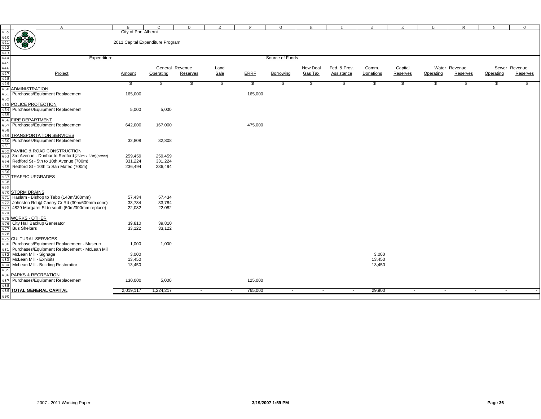|                                                                               | $\mathbb{A}$                                        | B                                | $\mathcal{C}$             | $\mathbb{D}$    | Е    | F                 | G               | $\, {\rm H}$ | $\mathsf{T}$      | J         | K        | L         | M             | N         | $\circ$       |
|-------------------------------------------------------------------------------|-----------------------------------------------------|----------------------------------|---------------------------|-----------------|------|-------------------|-----------------|--------------|-------------------|-----------|----------|-----------|---------------|-----------|---------------|
|                                                                               |                                                     | City of Port Alberni             |                           |                 |      |                   |                 |              |                   |           |          |           |               |           |               |
| $439$<br>$440$<br>$441$<br>$442$<br>$443$<br>$444$<br>$445$<br>$446$<br>$447$ | $\bigoplus_{i=1}^n$                                 |                                  |                           |                 |      |                   |                 |              |                   |           |          |           |               |           |               |
|                                                                               |                                                     | 2011 Capital Expenditure Program |                           |                 |      |                   |                 |              |                   |           |          |           |               |           |               |
|                                                                               |                                                     |                                  |                           |                 |      |                   |                 |              |                   |           |          |           |               |           |               |
|                                                                               |                                                     |                                  |                           |                 |      |                   |                 |              |                   |           |          |           |               |           |               |
|                                                                               |                                                     |                                  |                           |                 |      |                   |                 |              |                   |           |          |           |               |           |               |
|                                                                               | Expenditure                                         |                                  |                           |                 |      |                   | Source of Funds |              |                   |           |          |           |               |           |               |
|                                                                               |                                                     |                                  |                           |                 |      |                   |                 |              |                   |           |          |           |               |           |               |
|                                                                               |                                                     |                                  |                           | General Revenue | Land |                   |                 | New Deal     | Fed. & Prov.      | Comm.     | Capital  |           | Water Revenue |           | Sewer Revenue |
|                                                                               | Project                                             | Amount                           | Operating                 | Reserves        | Sale | <b>ERRE</b>       | Borrowing       | Gas Tax      | <b>Assistance</b> | Donations | Reserves | Operating | Reserves      | Operating | Reserves      |
|                                                                               |                                                     |                                  |                           |                 |      |                   |                 |              |                   |           |          |           |               |           |               |
| 449                                                                           |                                                     | \$                               | $\boldsymbol{\mathsf{s}}$ | \$              | \$   | \$                | \$              | \$           | \$                | \$        | \$       | \$        | \$            | \$        |               |
| 450                                                                           | ADMINISTRATION                                      |                                  |                           |                 |      |                   |                 |              |                   |           |          |           |               |           |               |
|                                                                               | Purchases/Equipment Replacement                     |                                  |                           |                 |      | 165,000           |                 |              |                   |           |          |           |               |           |               |
| 451                                                                           |                                                     | 165,000                          |                           |                 |      |                   |                 |              |                   |           |          |           |               |           |               |
| 452                                                                           |                                                     |                                  |                           |                 |      |                   |                 |              |                   |           |          |           |               |           |               |
| 453                                                                           | POLICE PROTECTION                                   |                                  |                           |                 |      |                   |                 |              |                   |           |          |           |               |           |               |
| 454                                                                           | Purchases/Equipment Replacement                     | 5,000                            | 5,000                     |                 |      |                   |                 |              |                   |           |          |           |               |           |               |
| 455                                                                           |                                                     |                                  |                           |                 |      |                   |                 |              |                   |           |          |           |               |           |               |
| 456                                                                           | FIRE DEPARTMENT                                     |                                  |                           |                 |      |                   |                 |              |                   |           |          |           |               |           |               |
| 457                                                                           | Purchases/Equipment Replacement                     | 642,000                          | 167,000                   |                 |      | 475,000           |                 |              |                   |           |          |           |               |           |               |
|                                                                               |                                                     |                                  |                           |                 |      |                   |                 |              |                   |           |          |           |               |           |               |
| 458                                                                           |                                                     |                                  |                           |                 |      |                   |                 |              |                   |           |          |           |               |           |               |
| 459                                                                           | TRANSPORTATION SERVICES                             |                                  |                           |                 |      |                   |                 |              |                   |           |          |           |               |           |               |
| 460                                                                           | Purchases/Equipment Replacement                     | 32,808                           | 32,808                    |                 |      |                   |                 |              |                   |           |          |           |               |           |               |
| 461                                                                           |                                                     |                                  |                           |                 |      |                   |                 |              |                   |           |          |           |               |           |               |
| 462                                                                           | PAVING & ROAD CONSTRUCTION                          |                                  |                           |                 |      |                   |                 |              |                   |           |          |           |               |           |               |
| 463                                                                           | 3rd Avenue - Dunbar to Redford (750m x 22m) (sewer) | 259,459                          | 259,459                   |                 |      |                   |                 |              |                   |           |          |           |               |           |               |
|                                                                               |                                                     |                                  |                           |                 |      |                   |                 |              |                   |           |          |           |               |           |               |
| 464                                                                           | Redford St - 5th to 10th Avenue (700m)              | 331,224                          | 331,224                   |                 |      |                   |                 |              |                   |           |          |           |               |           |               |
| 465                                                                           | Redford St - 10th to San Mateo (700m)               | 236,494                          | 236,494                   |                 |      |                   |                 |              |                   |           |          |           |               |           |               |
| 466                                                                           |                                                     |                                  |                           |                 |      |                   |                 |              |                   |           |          |           |               |           |               |
| 467                                                                           | <b>TRAFFIC UPGRADES</b>                             |                                  |                           |                 |      |                   |                 |              |                   |           |          |           |               |           |               |
| 468                                                                           |                                                     |                                  |                           |                 |      |                   |                 |              |                   |           |          |           |               |           |               |
| 469                                                                           |                                                     |                                  |                           |                 |      |                   |                 |              |                   |           |          |           |               |           |               |
| 470                                                                           | <b>STORM DRAINS</b>                                 |                                  |                           |                 |      |                   |                 |              |                   |           |          |           |               |           |               |
|                                                                               | Haslam - Bishop to Tebo (140m/300mm)                | 57,434                           | 57,434                    |                 |      |                   |                 |              |                   |           |          |           |               |           |               |
| 471                                                                           |                                                     |                                  |                           |                 |      |                   |                 |              |                   |           |          |           |               |           |               |
| 472                                                                           | Johnston Rd @ Cherry Cr Rd (30m/600mm conc)         | 33,784                           | 33,784                    |                 |      |                   |                 |              |                   |           |          |           |               |           |               |
| 473                                                                           | 4829 Margaret St to south (50m/300mm replace)       | 22,082                           | 22,082                    |                 |      |                   |                 |              |                   |           |          |           |               |           |               |
| 474                                                                           |                                                     |                                  |                           |                 |      |                   |                 |              |                   |           |          |           |               |           |               |
|                                                                               | 475 WORKS - OTHER                                   |                                  |                           |                 |      |                   |                 |              |                   |           |          |           |               |           |               |
|                                                                               | 476 City Hall Backup Generator                      | 39,810                           | 39,810                    |                 |      |                   |                 |              |                   |           |          |           |               |           |               |
| 477                                                                           | <b>Bus Shelters</b>                                 | 33,122                           | 33,122                    |                 |      |                   |                 |              |                   |           |          |           |               |           |               |
| 478                                                                           |                                                     |                                  |                           |                 |      |                   |                 |              |                   |           |          |           |               |           |               |
|                                                                               |                                                     |                                  |                           |                 |      |                   |                 |              |                   |           |          |           |               |           |               |
|                                                                               | 479 CULTURAL SERVICES                               |                                  |                           |                 |      |                   |                 |              |                   |           |          |           |               |           |               |
|                                                                               | 480 Purchases/Equipment Replacement - Museum        | 1,000                            | 1,000                     |                 |      |                   |                 |              |                   |           |          |           |               |           |               |
| 481                                                                           | Purchases/Equipment Replacement - McLean Mil        |                                  |                           |                 |      |                   |                 |              |                   |           |          |           |               |           |               |
| 482                                                                           | McLean Mill - Signage                               | 3,000                            |                           |                 |      |                   |                 |              |                   | 3,000     |          |           |               |           |               |
| 483                                                                           | McLean Mill - Exhibits                              | 13,450                           |                           |                 |      |                   |                 |              |                   | 13,450    |          |           |               |           |               |
| 484                                                                           | McLean Mill - Building Restoration                  | 13,450                           |                           |                 |      |                   |                 |              |                   | 13,450    |          |           |               |           |               |
| 485                                                                           |                                                     |                                  |                           |                 |      |                   |                 |              |                   |           |          |           |               |           |               |
|                                                                               | PARKS & RECREATION                                  |                                  |                           |                 |      |                   |                 |              |                   |           |          |           |               |           |               |
| 486                                                                           |                                                     |                                  |                           |                 |      |                   |                 |              |                   |           |          |           |               |           |               |
| 487                                                                           | Purchases/Equipment Replacement                     | 130,000                          | 5,000                     |                 |      | 125,000           |                 |              |                   |           |          |           |               |           |               |
| 488                                                                           |                                                     |                                  |                           |                 |      |                   |                 |              |                   |           |          |           |               |           |               |
|                                                                               | <b>489 TOTAL GENERAL CAPITAL</b>                    | 2,019,117                        | 1,224,217                 | $\sim$          |      | 765,000<br>$\sim$ | $\sim$          | $\sim$       | $\sim$            | 29,900    | $\sim$   | $\sim$    | $\sim$        | $\sim$    |               |
| 490                                                                           |                                                     |                                  |                           |                 |      |                   |                 |              |                   |           |          |           |               |           |               |
|                                                                               |                                                     |                                  |                           |                 |      |                   |                 |              |                   |           |          |           |               |           |               |